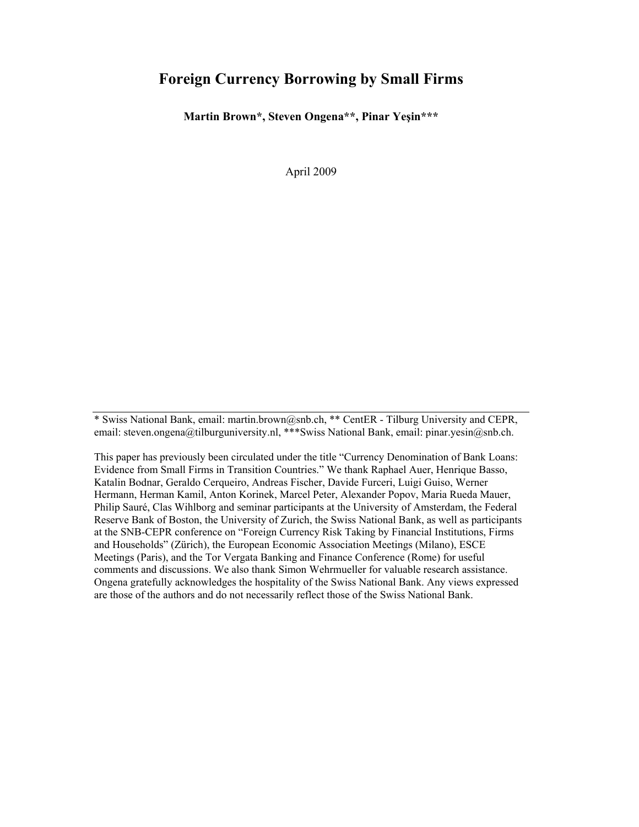# **Foreign Currency Borrowing by Small Firms**

**Martin Brown\*, Steven Ongena\*\*, Pinar Yeşin\*\*\***

April 2009

\* Swiss National Bank, email: martin.brown@snb.ch, \*\* CentER - Tilburg University and CEPR, email: steven.ongena@tilburguniversity.nl, \*\*\*Swiss National Bank, email: pinar.yesin@snb.ch.

This paper has previously been circulated under the title "Currency Denomination of Bank Loans: Evidence from Small Firms in Transition Countries." We thank Raphael Auer, Henrique Basso, Katalin Bodnar, Geraldo Cerqueiro, Andreas Fischer, Davide Furceri, Luigi Guiso, Werner Hermann, Herman Kamil, Anton Korinek, Marcel Peter, Alexander Popov, Maria Rueda Mauer, Philip Sauré, Clas Wihlborg and seminar participants at the University of Amsterdam, the Federal Reserve Bank of Boston, the University of Zurich, the Swiss National Bank, as well as participants at the SNB-CEPR conference on "Foreign Currency Risk Taking by Financial Institutions, Firms and Households" (Zürich), the European Economic Association Meetings (Milano), ESCE Meetings (Paris), and the Tor Vergata Banking and Finance Conference (Rome) for useful comments and discussions. We also thank Simon Wehrmueller for valuable research assistance. Ongena gratefully acknowledges the hospitality of the Swiss National Bank. Any views expressed are those of the authors and do not necessarily reflect those of the Swiss National Bank.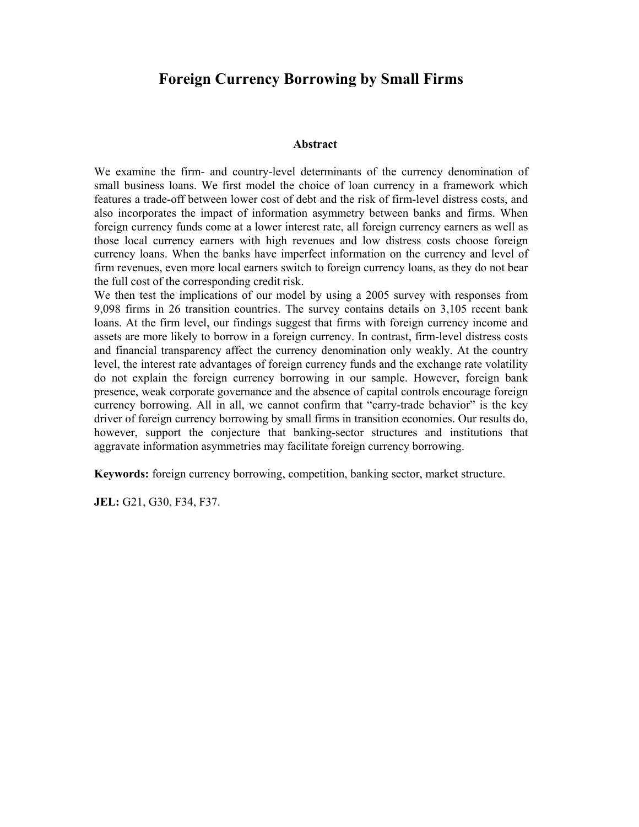# **Foreign Currency Borrowing by Small Firms**

#### **Abstract**

We examine the firm- and country-level determinants of the currency denomination of small business loans. We first model the choice of loan currency in a framework which features a trade-off between lower cost of debt and the risk of firm-level distress costs, and also incorporates the impact of information asymmetry between banks and firms. When foreign currency funds come at a lower interest rate, all foreign currency earners as well as those local currency earners with high revenues and low distress costs choose foreign currency loans. When the banks have imperfect information on the currency and level of firm revenues, even more local earners switch to foreign currency loans, as they do not bear the full cost of the corresponding credit risk.

We then test the implications of our model by using a 2005 survey with responses from 9,098 firms in 26 transition countries. The survey contains details on 3,105 recent bank loans. At the firm level, our findings suggest that firms with foreign currency income and assets are more likely to borrow in a foreign currency. In contrast, firm-level distress costs and financial transparency affect the currency denomination only weakly. At the country level, the interest rate advantages of foreign currency funds and the exchange rate volatility do not explain the foreign currency borrowing in our sample. However, foreign bank presence, weak corporate governance and the absence of capital controls encourage foreign currency borrowing. All in all, we cannot confirm that "carry-trade behavior" is the key driver of foreign currency borrowing by small firms in transition economies. Our results do, however, support the conjecture that banking-sector structures and institutions that aggravate information asymmetries may facilitate foreign currency borrowing.

**Keywords:** foreign currency borrowing, competition, banking sector, market structure.

**JEL:** G21, G30, F34, F37.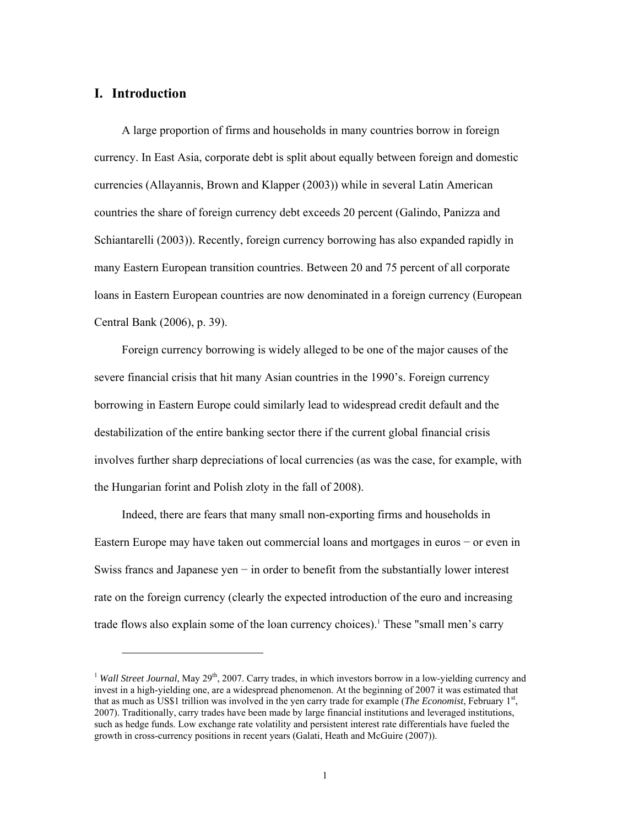# **I. Introduction**

A large proportion of firms and households in many countries borrow in foreign currency. In East Asia, corporate debt is split about equally between foreign and domestic currencies (Allayannis, Brown and Klapper (2003)) while in several Latin American countries the share of foreign currency debt exceeds 20 percent (Galindo, Panizza and Schiantarelli (2003)). Recently, foreign currency borrowing has also expanded rapidly in many Eastern European transition countries. Between 20 and 75 percent of all corporate loans in Eastern European countries are now denominated in a foreign currency (European Central Bank (2006), p. 39).

Foreign currency borrowing is widely alleged to be one of the major causes of the severe financial crisis that hit many Asian countries in the 1990's. Foreign currency borrowing in Eastern Europe could similarly lead to widespread credit default and the destabilization of the entire banking sector there if the current global financial crisis involves further sharp depreciations of local currencies (as was the case, for example, with the Hungarian forint and Polish zloty in the fall of 2008).

Indeed, there are fears that many small non-exporting firms and households in Eastern Europe may have taken out commercial loans and mortgages in euros − or even in Swiss francs and Japanese yen  $-$  in order to benefit from the substantially lower interest rate on the foreign currency (clearly the expected introduction of the euro and increasing trade flows also explain some of the loan currency choices).<sup>1</sup> These "small men's carry

<sup>&</sup>lt;sup>1</sup> *Wall Street Journal*, May 29<sup>th</sup>, 2007. Carry trades, in which investors borrow in a low-yielding currency and invest in a high-yielding one, are a widespread phenomenon. At the beginning of 2007 it was estimated that that as much as US\$1 trillion was involved in the yen carry trade for example (*The Economist*, February 1<sup>st</sup>, 2007). Traditionally, carry trades have been made by large financial institutions and leveraged institutions, such as hedge funds. Low exchange rate volatility and persistent interest rate differentials have fueled the growth in cross-currency positions in recent years (Galati, Heath and McGuire (2007)).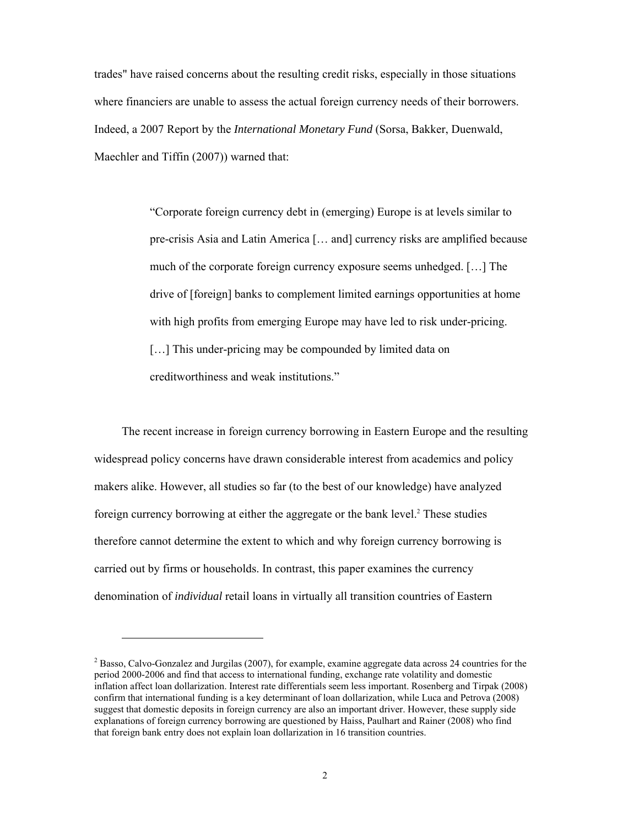trades" have raised concerns about the resulting credit risks, especially in those situations where financiers are unable to assess the actual foreign currency needs of their borrowers. Indeed, a 2007 Report by the *International Monetary Fund* (Sorsa, Bakker, Duenwald, Maechler and Tiffin (2007)) warned that:

> "Corporate foreign currency debt in (emerging) Europe is at levels similar to pre-crisis Asia and Latin America [… and] currency risks are amplified because much of the corporate foreign currency exposure seems unhedged. […] The drive of [foreign] banks to complement limited earnings opportunities at home with high profits from emerging Europe may have led to risk under-pricing. [...] This under-pricing may be compounded by limited data on creditworthiness and weak institutions."

The recent increase in foreign currency borrowing in Eastern Europe and the resulting widespread policy concerns have drawn considerable interest from academics and policy makers alike. However, all studies so far (to the best of our knowledge) have analyzed foreign currency borrowing at either the aggregate or the bank level.<sup>2</sup> These studies therefore cannot determine the extent to which and why foreign currency borrowing is carried out by firms or households. In contrast, this paper examines the currency denomination of *individual* retail loans in virtually all transition countries of Eastern

 $\overline{\phantom{a}}$ 

 $2^2$  Basso, Calvo-Gonzalez and Jurgilas (2007), for example, examine aggregate data across 24 countries for the period 2000-2006 and find that access to international funding, exchange rate volatility and domestic inflation affect loan dollarization. Interest rate differentials seem less important. Rosenberg and Tirpak (2008) confirm that international funding is a key determinant of loan dollarization, while Luca and Petrova (2008) suggest that domestic deposits in foreign currency are also an important driver. However, these supply side explanations of foreign currency borrowing are questioned by Haiss, Paulhart and Rainer (2008) who find that foreign bank entry does not explain loan dollarization in 16 transition countries.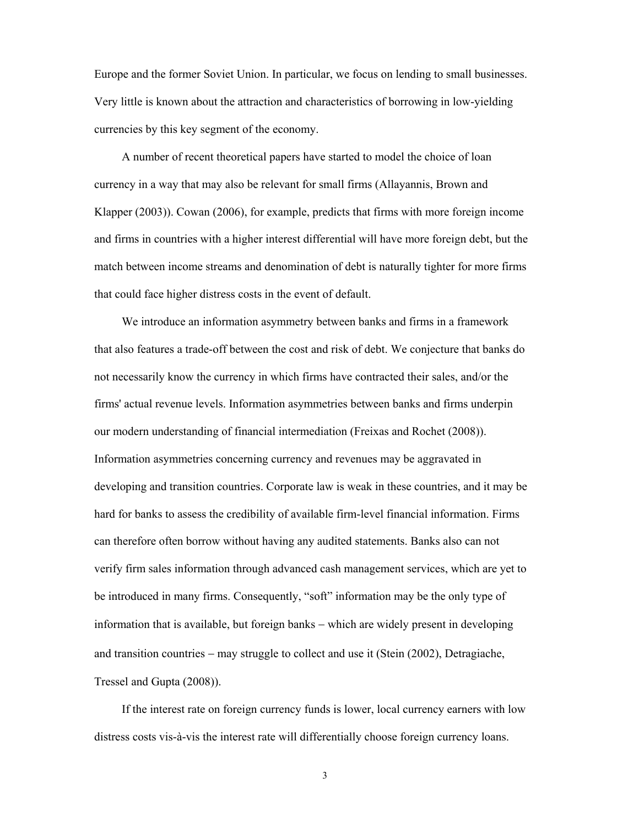Europe and the former Soviet Union. In particular, we focus on lending to small businesses. Very little is known about the attraction and characteristics of borrowing in low-yielding currencies by this key segment of the economy.

A number of recent theoretical papers have started to model the choice of loan currency in a way that may also be relevant for small firms (Allayannis, Brown and Klapper (2003)). Cowan (2006), for example, predicts that firms with more foreign income and firms in countries with a higher interest differential will have more foreign debt, but the match between income streams and denomination of debt is naturally tighter for more firms that could face higher distress costs in the event of default.

We introduce an information asymmetry between banks and firms in a framework that also features a trade-off between the cost and risk of debt. We conjecture that banks do not necessarily know the currency in which firms have contracted their sales, and/or the firms' actual revenue levels. Information asymmetries between banks and firms underpin our modern understanding of financial intermediation (Freixas and Rochet (2008)). Information asymmetries concerning currency and revenues may be aggravated in developing and transition countries. Corporate law is weak in these countries, and it may be hard for banks to assess the credibility of available firm-level financial information. Firms can therefore often borrow without having any audited statements. Banks also can not verify firm sales information through advanced cash management services, which are yet to be introduced in many firms. Consequently, "soft" information may be the only type of information that is available, but foreign banks  $-$  which are widely present in developing and transition countries  $-$  may struggle to collect and use it (Stein (2002), Detragiache, Tressel and Gupta (2008)).

If the interest rate on foreign currency funds is lower, local currency earners with low distress costs vis-à-vis the interest rate will differentially choose foreign currency loans.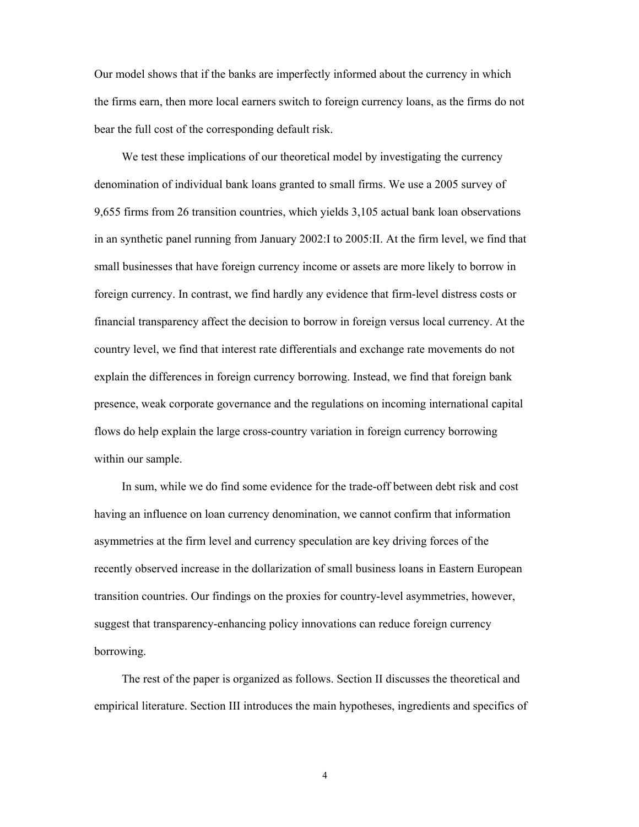Our model shows that if the banks are imperfectly informed about the currency in which the firms earn, then more local earners switch to foreign currency loans, as the firms do not bear the full cost of the corresponding default risk.

We test these implications of our theoretical model by investigating the currency denomination of individual bank loans granted to small firms. We use a 2005 survey of 9,655 firms from 26 transition countries, which yields 3,105 actual bank loan observations in an synthetic panel running from January 2002:I to 2005:II. At the firm level, we find that small businesses that have foreign currency income or assets are more likely to borrow in foreign currency. In contrast, we find hardly any evidence that firm-level distress costs or financial transparency affect the decision to borrow in foreign versus local currency. At the country level, we find that interest rate differentials and exchange rate movements do not explain the differences in foreign currency borrowing. Instead, we find that foreign bank presence, weak corporate governance and the regulations on incoming international capital flows do help explain the large cross-country variation in foreign currency borrowing within our sample.

In sum, while we do find some evidence for the trade-off between debt risk and cost having an influence on loan currency denomination, we cannot confirm that information asymmetries at the firm level and currency speculation are key driving forces of the recently observed increase in the dollarization of small business loans in Eastern European transition countries. Our findings on the proxies for country-level asymmetries, however, suggest that transparency-enhancing policy innovations can reduce foreign currency borrowing.

The rest of the paper is organized as follows. Section II discusses the theoretical and empirical literature. Section III introduces the main hypotheses, ingredients and specifics of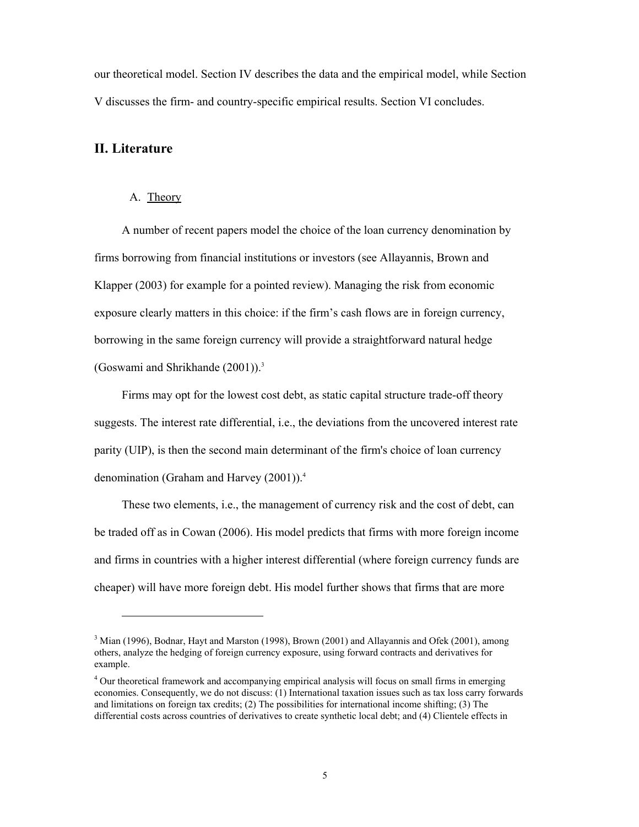our theoretical model. Section IV describes the data and the empirical model, while Section V discusses the firm- and country-specific empirical results. Section VI concludes.

# **II. Literature**

 $\overline{\phantom{a}}$ 

#### A. Theory

A number of recent papers model the choice of the loan currency denomination by firms borrowing from financial institutions or investors (see Allayannis, Brown and Klapper (2003) for example for a pointed review). Managing the risk from economic exposure clearly matters in this choice: if the firm's cash flows are in foreign currency, borrowing in the same foreign currency will provide a straightforward natural hedge (Goswami and Shrikhande (2001)).3

Firms may opt for the lowest cost debt, as static capital structure trade-off theory suggests. The interest rate differential, i.e., the deviations from the uncovered interest rate parity (UIP), is then the second main determinant of the firm's choice of loan currency denomination (Graham and Harvey (2001)).<sup>4</sup>

These two elements, i.e., the management of currency risk and the cost of debt, can be traded off as in Cowan (2006). His model predicts that firms with more foreign income and firms in countries with a higher interest differential (where foreign currency funds are cheaper) will have more foreign debt. His model further shows that firms that are more

<sup>&</sup>lt;sup>3</sup> Mian (1996), Bodnar, Hayt and Marston (1998), Brown (2001) and Allayannis and Ofek (2001), among others, analyze the hedging of foreign currency exposure, using forward contracts and derivatives for example.

<sup>&</sup>lt;sup>4</sup> Our theoretical framework and accompanying empirical analysis will focus on small firms in emerging economies. Consequently, we do not discuss: (1) International taxation issues such as tax loss carry forwards and limitations on foreign tax credits; (2) The possibilities for international income shifting; (3) The differential costs across countries of derivatives to create synthetic local debt; and (4) Clientele effects in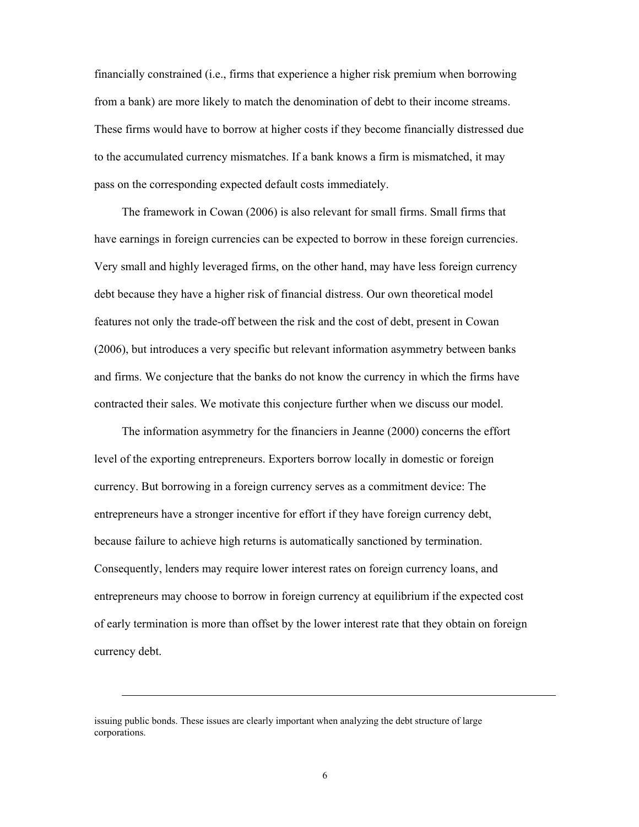financially constrained (i.e., firms that experience a higher risk premium when borrowing from a bank) are more likely to match the denomination of debt to their income streams. These firms would have to borrow at higher costs if they become financially distressed due to the accumulated currency mismatches. If a bank knows a firm is mismatched, it may pass on the corresponding expected default costs immediately.

The framework in Cowan (2006) is also relevant for small firms. Small firms that have earnings in foreign currencies can be expected to borrow in these foreign currencies. Very small and highly leveraged firms, on the other hand, may have less foreign currency debt because they have a higher risk of financial distress. Our own theoretical model features not only the trade-off between the risk and the cost of debt, present in Cowan (2006), but introduces a very specific but relevant information asymmetry between banks and firms. We conjecture that the banks do not know the currency in which the firms have contracted their sales. We motivate this conjecture further when we discuss our model.

The information asymmetry for the financiers in Jeanne (2000) concerns the effort level of the exporting entrepreneurs. Exporters borrow locally in domestic or foreign currency. But borrowing in a foreign currency serves as a commitment device: The entrepreneurs have a stronger incentive for effort if they have foreign currency debt, because failure to achieve high returns is automatically sanctioned by termination. Consequently, lenders may require lower interest rates on foreign currency loans, and entrepreneurs may choose to borrow in foreign currency at equilibrium if the expected cost of early termination is more than offset by the lower interest rate that they obtain on foreign currency debt.

 $\overline{\phantom{a}}$ 

issuing public bonds. These issues are clearly important when analyzing the debt structure of large corporations.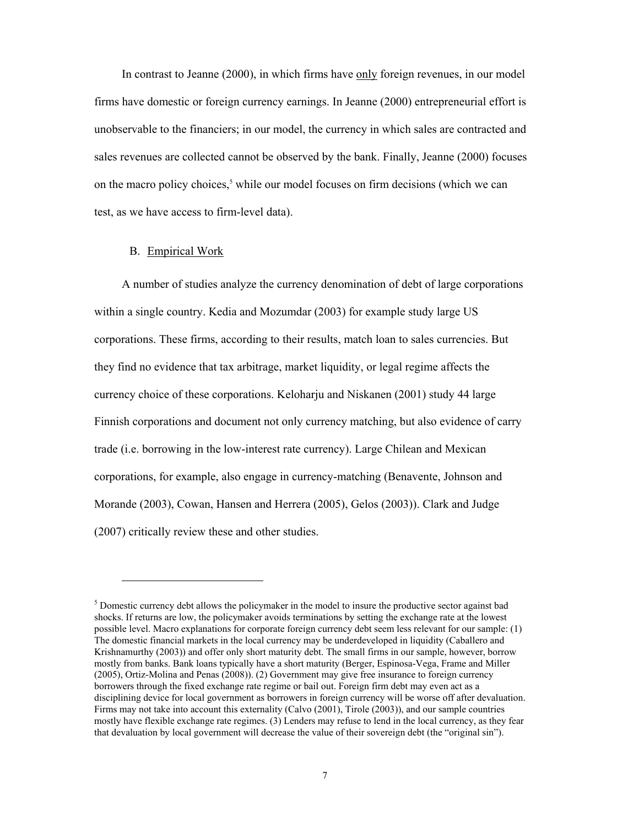In contrast to Jeanne (2000), in which firms have only foreign revenues, in our model firms have domestic or foreign currency earnings. In Jeanne (2000) entrepreneurial effort is unobservable to the financiers; in our model, the currency in which sales are contracted and sales revenues are collected cannot be observed by the bank. Finally, Jeanne (2000) focuses on the macro policy choices,<sup>5</sup> while our model focuses on firm decisions (which we can test, as we have access to firm-level data).

#### B. Empirical Work

 $\overline{a}$ 

A number of studies analyze the currency denomination of debt of large corporations within a single country. Kedia and Mozumdar (2003) for example study large US corporations. These firms, according to their results, match loan to sales currencies. But they find no evidence that tax arbitrage, market liquidity, or legal regime affects the currency choice of these corporations. Keloharju and Niskanen (2001) study 44 large Finnish corporations and document not only currency matching, but also evidence of carry trade (i.e. borrowing in the low-interest rate currency). Large Chilean and Mexican corporations, for example, also engage in currency-matching (Benavente, Johnson and Morande (2003), Cowan, Hansen and Herrera (2005), Gelos (2003)). Clark and Judge (2007) critically review these and other studies.

 $<sup>5</sup>$  Domestic currency debt allows the policymaker in the model to insure the productive sector against bad</sup> shocks. If returns are low, the policymaker avoids terminations by setting the exchange rate at the lowest possible level. Macro explanations for corporate foreign currency debt seem less relevant for our sample: (1) The domestic financial markets in the local currency may be underdeveloped in liquidity (Caballero and Krishnamurthy (2003)) and offer only short maturity debt. The small firms in our sample, however, borrow mostly from banks. Bank loans typically have a short maturity (Berger, Espinosa-Vega, Frame and Miller (2005), Ortiz-Molina and Penas (2008)). (2) Government may give free insurance to foreign currency borrowers through the fixed exchange rate regime or bail out. Foreign firm debt may even act as a disciplining device for local government as borrowers in foreign currency will be worse off after devaluation. Firms may not take into account this externality (Calvo (2001), Tirole (2003)), and our sample countries mostly have flexible exchange rate regimes. (3) Lenders may refuse to lend in the local currency, as they fear that devaluation by local government will decrease the value of their sovereign debt (the "original sin").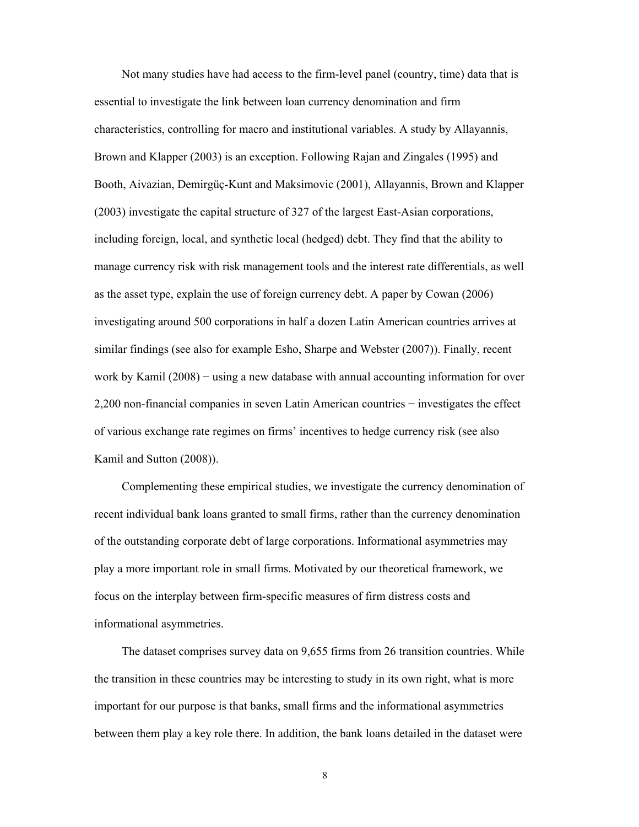Not many studies have had access to the firm-level panel (country, time) data that is essential to investigate the link between loan currency denomination and firm characteristics, controlling for macro and institutional variables. A study by Allayannis, Brown and Klapper (2003) is an exception. Following Rajan and Zingales (1995) and Booth, Aivazian, Demirgüç-Kunt and Maksimovic (2001), Allayannis, Brown and Klapper (2003) investigate the capital structure of 327 of the largest East-Asian corporations, including foreign, local, and synthetic local (hedged) debt. They find that the ability to manage currency risk with risk management tools and the interest rate differentials, as well as the asset type, explain the use of foreign currency debt. A paper by Cowan (2006) investigating around 500 corporations in half a dozen Latin American countries arrives at similar findings (see also for example Esho, Sharpe and Webster (2007)). Finally, recent work by Kamil (2008) − using a new database with annual accounting information for over 2,200 non-financial companies in seven Latin American countries − investigates the effect of various exchange rate regimes on firms' incentives to hedge currency risk (see also Kamil and Sutton (2008)).

Complementing these empirical studies, we investigate the currency denomination of recent individual bank loans granted to small firms, rather than the currency denomination of the outstanding corporate debt of large corporations. Informational asymmetries may play a more important role in small firms. Motivated by our theoretical framework, we focus on the interplay between firm-specific measures of firm distress costs and informational asymmetries.

The dataset comprises survey data on 9,655 firms from 26 transition countries. While the transition in these countries may be interesting to study in its own right, what is more important for our purpose is that banks, small firms and the informational asymmetries between them play a key role there. In addition, the bank loans detailed in the dataset were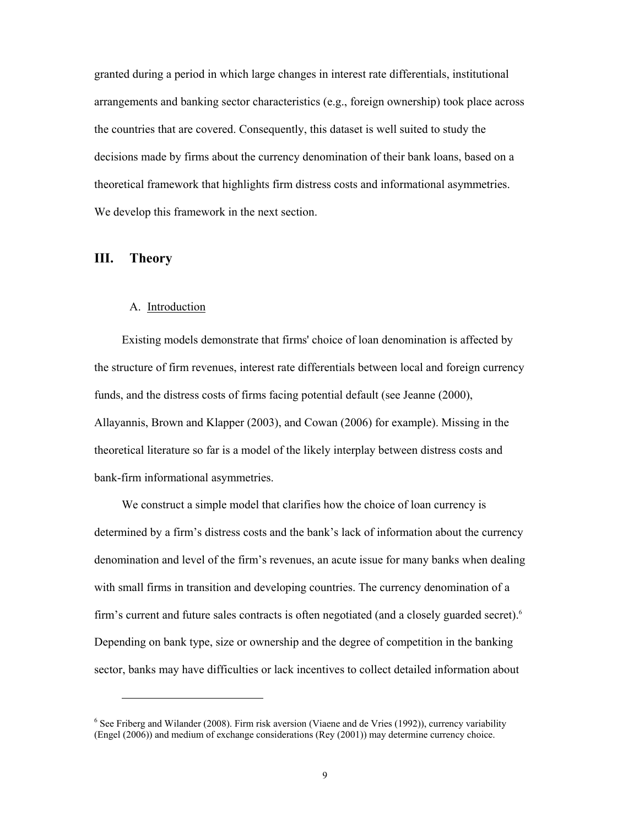granted during a period in which large changes in interest rate differentials, institutional arrangements and banking sector characteristics (e.g., foreign ownership) took place across the countries that are covered. Consequently, this dataset is well suited to study the decisions made by firms about the currency denomination of their bank loans, based on a theoretical framework that highlights firm distress costs and informational asymmetries. We develop this framework in the next section.

# **III. Theory**

 $\overline{a}$ 

#### A. Introduction

Existing models demonstrate that firms' choice of loan denomination is affected by the structure of firm revenues, interest rate differentials between local and foreign currency funds, and the distress costs of firms facing potential default (see Jeanne (2000), Allayannis, Brown and Klapper (2003), and Cowan (2006) for example). Missing in the theoretical literature so far is a model of the likely interplay between distress costs and bank-firm informational asymmetries.

We construct a simple model that clarifies how the choice of loan currency is determined by a firm's distress costs and the bank's lack of information about the currency denomination and level of the firm's revenues, an acute issue for many banks when dealing with small firms in transition and developing countries. The currency denomination of a firm's current and future sales contracts is often negotiated (and a closely guarded secret).6 Depending on bank type, size or ownership and the degree of competition in the banking sector, banks may have difficulties or lack incentives to collect detailed information about

 $6$  See Friberg and Wilander (2008). Firm risk aversion (Viaene and de Vries (1992)), currency variability (Engel (2006)) and medium of exchange considerations (Rey (2001)) may determine currency choice.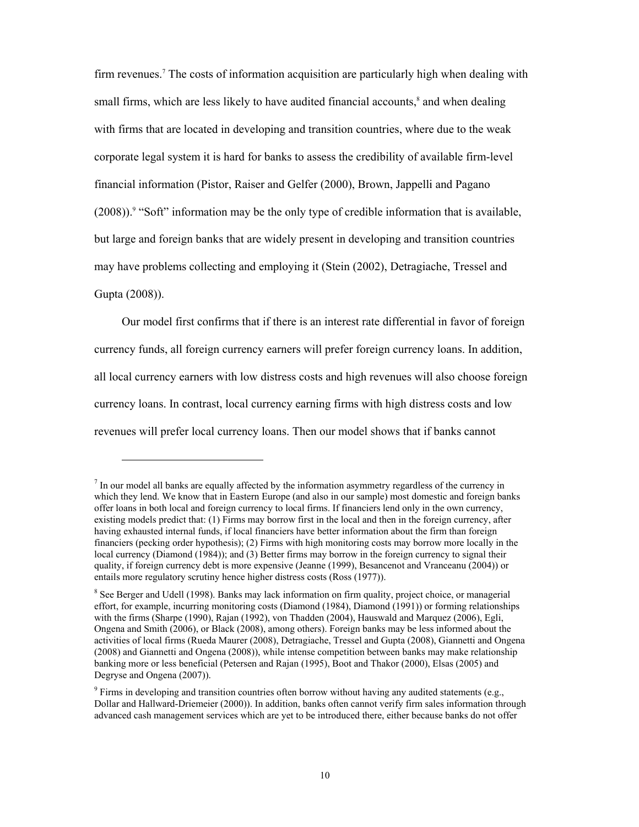firm revenues.<sup>7</sup> The costs of information acquisition are particularly high when dealing with small firms, which are less likely to have audited financial accounts,<sup>8</sup> and when dealing with firms that are located in developing and transition countries, where due to the weak corporate legal system it is hard for banks to assess the credibility of available firm-level financial information (Pistor, Raiser and Gelfer (2000), Brown, Jappelli and Pagano  $(2008)$ .<sup>9</sup> "Soft" information may be the only type of credible information that is available, but large and foreign banks that are widely present in developing and transition countries may have problems collecting and employing it (Stein (2002), Detragiache, Tressel and Gupta (2008)).

Our model first confirms that if there is an interest rate differential in favor of foreign currency funds, all foreign currency earners will prefer foreign currency loans. In addition, all local currency earners with low distress costs and high revenues will also choose foreign currency loans. In contrast, local currency earning firms with high distress costs and low revenues will prefer local currency loans. Then our model shows that if banks cannot

l

 $<sup>7</sup>$  In our model all banks are equally affected by the information asymmetry regardless of the currency in</sup> which they lend. We know that in Eastern Europe (and also in our sample) most domestic and foreign banks offer loans in both local and foreign currency to local firms. If financiers lend only in the own currency, existing models predict that: (1) Firms may borrow first in the local and then in the foreign currency, after having exhausted internal funds, if local financiers have better information about the firm than foreign financiers (pecking order hypothesis); (2) Firms with high monitoring costs may borrow more locally in the local currency (Diamond (1984)); and (3) Better firms may borrow in the foreign currency to signal their quality, if foreign currency debt is more expensive (Jeanne (1999), Besancenot and Vranceanu (2004)) or entails more regulatory scrutiny hence higher distress costs (Ross (1977)).

<sup>&</sup>lt;sup>8</sup> See Berger and Udell (1998). Banks may lack information on firm quality, project choice, or managerial effort, for example, incurring monitoring costs (Diamond (1984), Diamond (1991)) or forming relationships with the firms (Sharpe (1990), Rajan (1992), von Thadden (2004), Hauswald and Marquez (2006), Egli, Ongena and Smith (2006), or Black (2008), among others). Foreign banks may be less informed about the activities of local firms (Rueda Maurer (2008), Detragiache, Tressel and Gupta (2008), Giannetti and Ongena (2008) and Giannetti and Ongena (2008)), while intense competition between banks may make relationship banking more or less beneficial (Petersen and Rajan (1995), Boot and Thakor (2000), Elsas (2005) and Degryse and Ongena (2007)).

 $9$  Firms in developing and transition countries often borrow without having any audited statements (e.g., Dollar and Hallward-Driemeier (2000)). In addition, banks often cannot verify firm sales information through advanced cash management services which are yet to be introduced there, either because banks do not offer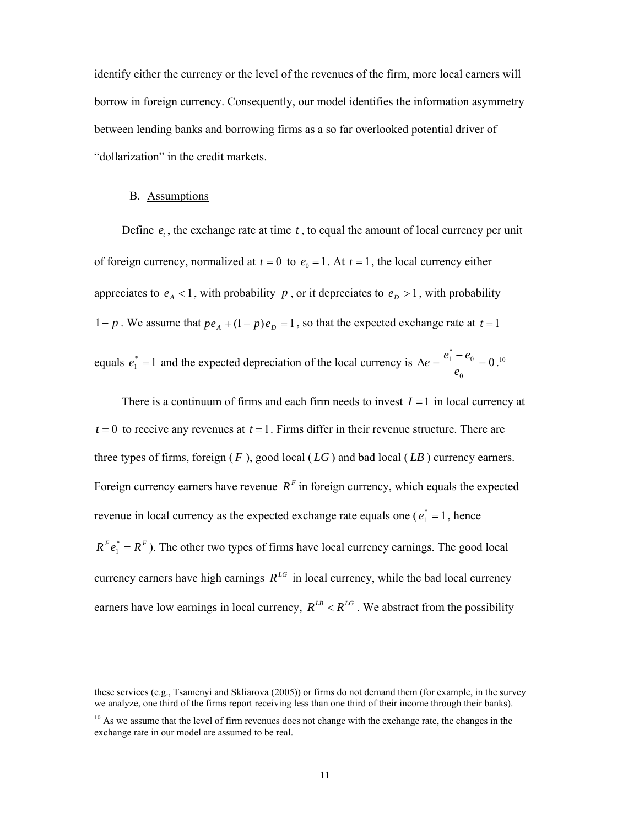identify either the currency or the level of the revenues of the firm, more local earners will borrow in foreign currency. Consequently, our model identifies the information asymmetry between lending banks and borrowing firms as a so far overlooked potential driver of "dollarization" in the credit markets.

#### B. Assumptions

l

Define  $e_t$ , the exchange rate at time  $t$ , to equal the amount of local currency per unit of foreign currency, normalized at  $t = 0$  to  $e_0 = 1$ . At  $t = 1$ , the local currency either appreciates to  $e_A < 1$ , with probability p, or it depreciates to  $e_D > 1$ , with probability  $1-p$ . We assume that  $pe_{A} + (1-p)e_{D} = 1$ , so that the expected exchange rate at  $t = 1$ 

equals  $e_1^* = 1$  and the expected depreciation of the local currency is  $\Delta e = \frac{e_1 - e_0}{\Delta} = 0$ 0  $\Delta e = \frac{e_1^* - e_0}{e_0} = 0.^{10}$ 

There is a continuum of firms and each firm needs to invest  $I = 1$  in local currency at  $t = 0$  to receive any revenues at  $t = 1$ . Firms differ in their revenue structure. There are three types of firms, foreign  $(F)$ , good local  $(LG)$  and bad local  $(LB)$  currency earners. Foreign currency earners have revenue  $R<sup>F</sup>$  in foreign currency, which equals the expected revenue in local currency as the expected exchange rate equals one ( $e_1^* = 1$ , hence  $R^F e_1^* = R^F$ ). The other two types of firms have local currency earnings. The good local currency earners have high earnings  $R^{LG}$  in local currency, while the bad local currency earners have low earnings in local currency,  $R^{LB} < R^{LG}$ . We abstract from the possibility

these services (e.g., Tsamenyi and Skliarova (2005)) or firms do not demand them (for example, in the survey we analyze, one third of the firms report receiving less than one third of their income through their banks).

 $10$  As we assume that the level of firm revenues does not change with the exchange rate, the changes in the exchange rate in our model are assumed to be real.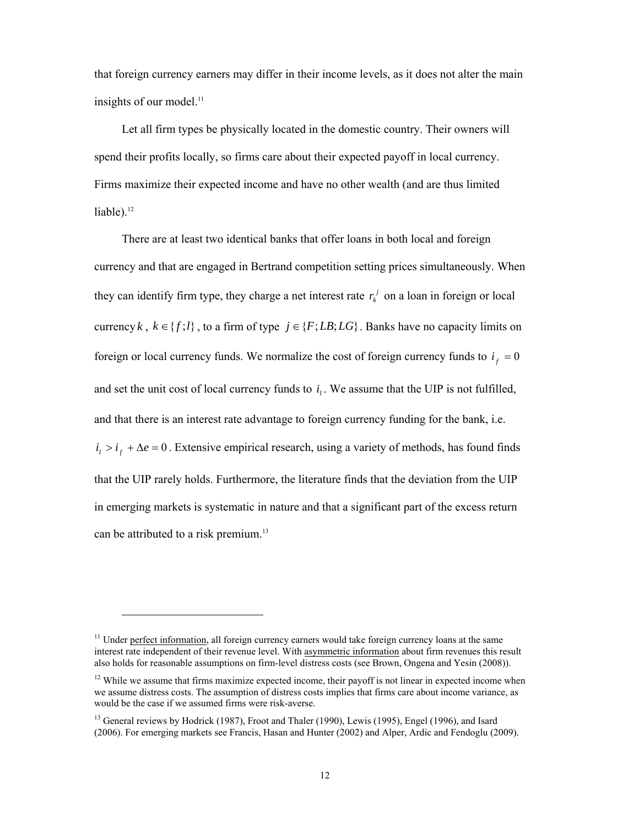that foreign currency earners may differ in their income levels, as it does not alter the main insights of our model.<sup>11</sup>

Let all firm types be physically located in the domestic country. Their owners will spend their profits locally, so firms care about their expected payoff in local currency. Firms maximize their expected income and have no other wealth (and are thus limited liable). $12$ 

There are at least two identical banks that offer loans in both local and foreign currency and that are engaged in Bertrand competition setting prices simultaneously. When they can identify firm type, they charge a net interest rate  $r_k^j$  on a loan in foreign or local currency  $k$ ,  $k \in \{f;l\}$ , to a firm of type  $j \in \{F; LB; LG\}$ . Banks have no capacity limits on foreign or local currency funds. We normalize the cost of foreign currency funds to  $i_f = 0$ and set the unit cost of local currency funds to  $i<sub>i</sub>$ . We assume that the UIP is not fulfilled, and that there is an interest rate advantage to foreign currency funding for the bank, i.e.  $i_l > i_f + \Delta e = 0$ . Extensive empirical research, using a variety of methods, has found finds that the UIP rarely holds. Furthermore, the literature finds that the deviation from the UIP in emerging markets is systematic in nature and that a significant part of the excess return can be attributed to a risk premium.<sup>13</sup>

 $\overline{a}$ 

<sup>&</sup>lt;sup>11</sup> Under perfect information, all foreign currency earners would take foreign currency loans at the same interest rate independent of their revenue level. With asymmetric information about firm revenues this result also holds for reasonable assumptions on firm-level distress costs (see Brown, Ongena and Yesin (2008)).

<sup>&</sup>lt;sup>12</sup> While we assume that firms maximize expected income, their payoff is not linear in expected income when we assume distress costs. The assumption of distress costs implies that firms care about income variance, as would be the case if we assumed firms were risk-averse.

<sup>&</sup>lt;sup>13</sup> General reviews by Hodrick (1987), Froot and Thaler (1990), Lewis (1995), Engel (1996), and Isard (2006). For emerging markets see Francis, Hasan and Hunter (2002) and Alper, Ardic and Fendoglu (2009).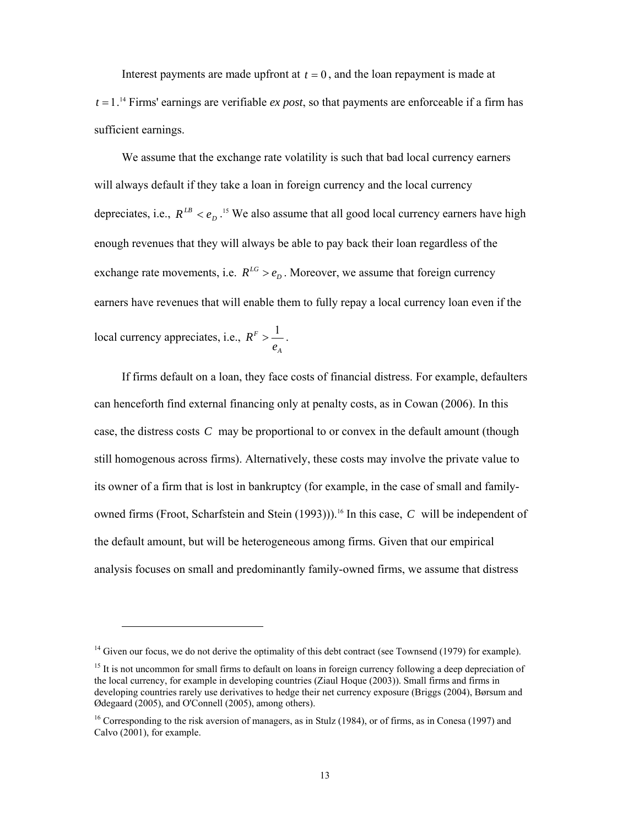Interest payments are made upfront at  $t = 0$ , and the loan repayment is made at  $t = 1$ .<sup>14</sup> Firms' earnings are verifiable *ex post*, so that payments are enforceable if a firm has sufficient earnings.

We assume that the exchange rate volatility is such that bad local currency earners will always default if they take a loan in foreign currency and the local currency depreciates, i.e.,  $R^{LB} < e_D$ .<sup>15</sup> We also assume that all good local currency earners have high enough revenues that they will always be able to pay back their loan regardless of the exchange rate movements, i.e.  $R^{LG} > e_D$ . Moreover, we assume that foreign currency earners have revenues that will enable them to fully repay a local currency loan even if the local currency appreciates, i.e., *A F e*  $R^F > \frac{1}{\cdots}$ .

If firms default on a loan, they face costs of financial distress. For example, defaulters can henceforth find external financing only at penalty costs, as in Cowan (2006). In this case, the distress costs *C* may be proportional to or convex in the default amount (though still homogenous across firms). Alternatively, these costs may involve the private value to its owner of a firm that is lost in bankruptcy (for example, in the case of small and familyowned firms (Froot, Scharfstein and Stein (1993))).<sup>16</sup> In this case, *C* will be independent of the default amount, but will be heterogeneous among firms. Given that our empirical analysis focuses on small and predominantly family-owned firms, we assume that distress

l

<sup>&</sup>lt;sup>14</sup> Given our focus, we do not derive the optimality of this debt contract (see Townsend (1979) for example).

<sup>&</sup>lt;sup>15</sup> It is not uncommon for small firms to default on loans in foreign currency following a deep depreciation of the local currency, for example in developing countries (Ziaul Hoque (2003)). Small firms and firms in developing countries rarely use derivatives to hedge their net currency exposure (Briggs (2004), Børsum and Ødegaard (2005), and O'Connell (2005), among others).

<sup>&</sup>lt;sup>16</sup> Corresponding to the risk aversion of managers, as in Stulz (1984), or of firms, as in Conesa (1997) and Calvo (2001), for example.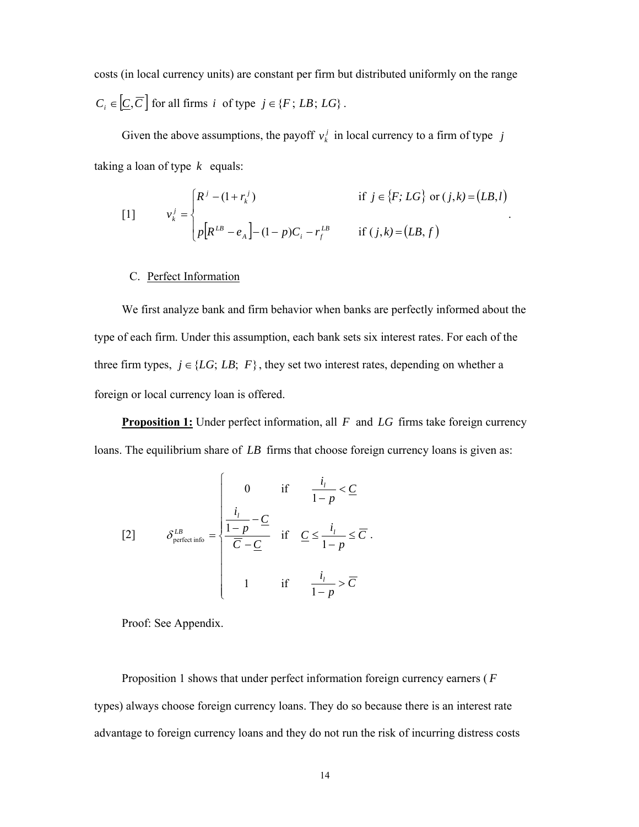costs (in local currency units) are constant per firm but distributed uniformly on the range  $C_i \in \left[ \underline{C}, \overline{C} \right]$  for all firms *i* of type  $j \in \{F; LB; LG\}$ .

Given the above assumptions, the payoff  $v_k^j$  in local currency to a firm of type *j* taking a loan of type *k* equals:

[1] 
$$
v_k^j = \begin{cases} R^j - (1 + r_k^j) & \text{if } j \in \{F; LG\} \text{ or } (j,k) = (LB, l) \\ p[R^{LB} - e_A] - (1 - p)C_i - r_f^{LB} & \text{if } (j,k) = (LB, f) \end{cases}
$$

.

## C. Perfect Information

We first analyze bank and firm behavior when banks are perfectly informed about the type of each firm. Under this assumption, each bank sets six interest rates. For each of the three firm types,  $j \in \{LG; LB; F\}$ , they set two interest rates, depending on whether a foreign or local currency loan is offered.

**Proposition 1:** Under perfect information, all *F* and *LG* firms take foreign currency loans. The equilibrium share of *LB* firms that choose foreign currency loans is given as:

$$
[2] \qquad \delta_{\text{perfect info}}^{LB} = \begin{cases} 0 & \text{if} & \frac{i_l}{1-p} < \underline{C} \\ \frac{i_l}{1-p} - \underline{C} & \text{if} & \underline{C} \le \frac{i_l}{1-p} \le \overline{C} \\ 1 & \text{if} & \frac{i_l}{1-p} > \overline{C} \end{cases}
$$

Proof: See Appendix.

Proposition 1 shows that under perfect information foreign currency earners ( *F* types) always choose foreign currency loans. They do so because there is an interest rate advantage to foreign currency loans and they do not run the risk of incurring distress costs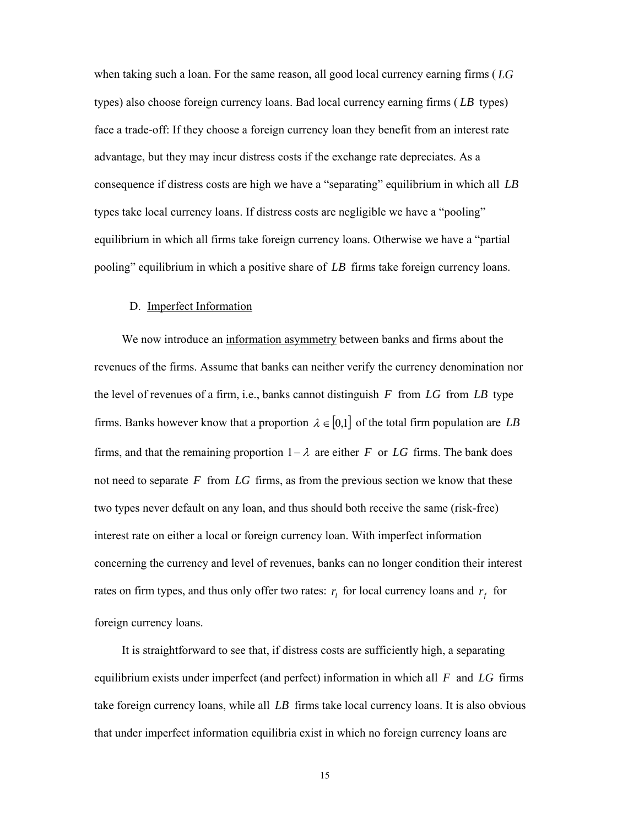when taking such a loan. For the same reason, all good local currency earning firms ( *LG* types) also choose foreign currency loans. Bad local currency earning firms ( *LB* types) face a trade-off: If they choose a foreign currency loan they benefit from an interest rate advantage, but they may incur distress costs if the exchange rate depreciates. As a consequence if distress costs are high we have a "separating" equilibrium in which all *LB* types take local currency loans. If distress costs are negligible we have a "pooling" equilibrium in which all firms take foreign currency loans. Otherwise we have a "partial pooling" equilibrium in which a positive share of *LB* firms take foreign currency loans.

#### D. Imperfect Information

We now introduce an information asymmetry between banks and firms about the revenues of the firms. Assume that banks can neither verify the currency denomination nor the level of revenues of a firm, i.e., banks cannot distinguish *F* from *LG* from *LB* type firms. Banks however know that a proportion  $\lambda \in [0,1]$  of the total firm population are *LB* firms, and that the remaining proportion  $1 - \lambda$  are either *F* or *LG* firms. The bank does not need to separate *F* from *LG* firms, as from the previous section we know that these two types never default on any loan, and thus should both receive the same (risk-free) interest rate on either a local or foreign currency loan. With imperfect information concerning the currency and level of revenues, banks can no longer condition their interest rates on firm types, and thus only offer two rates:  $r_i$  for local currency loans and  $r_f$  for foreign currency loans.

It is straightforward to see that, if distress costs are sufficiently high, a separating equilibrium exists under imperfect (and perfect) information in which all *F* and *LG* firms take foreign currency loans, while all *LB* firms take local currency loans. It is also obvious that under imperfect information equilibria exist in which no foreign currency loans are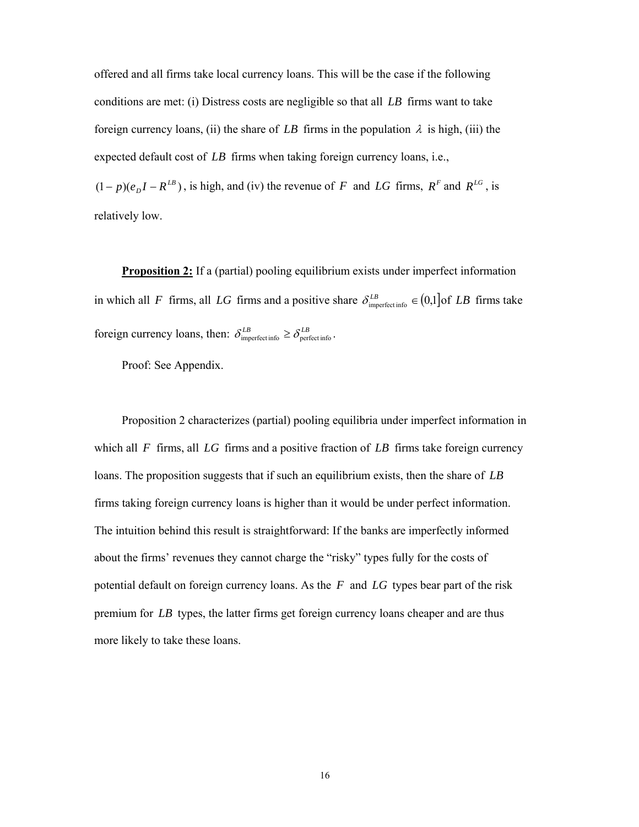offered and all firms take local currency loans. This will be the case if the following conditions are met: (i) Distress costs are negligible so that all *LB* firms want to take foreign currency loans, (ii) the share of *LB* firms in the population  $\lambda$  is high, (iii) the expected default cost of *LB* firms when taking foreign currency loans, i.e.,

 $(1-p)(e_p I - R^{LB})$ , is high, and (iv) the revenue of *F* and *LG* firms,  $R^F$  and  $R^{LG}$ , is relatively low.

**Proposition 2:** If a (partial) pooling equilibrium exists under imperfect information in which all *F* firms, all *LG* firms and a positive share  $\delta_{\text{imperfect info}}^{LB} \in (0,1]$  of *LB* firms take foreign currency loans, then:  $\delta_{\text{imperfect info}}^{LB} \geq \delta_{\text{perfect info}}^{LB}$ .

Proof: See Appendix.

Proposition 2 characterizes (partial) pooling equilibria under imperfect information in which all *F* firms, all *LG* firms and a positive fraction of *LB* firms take foreign currency loans. The proposition suggests that if such an equilibrium exists, then the share of *LB* firms taking foreign currency loans is higher than it would be under perfect information. The intuition behind this result is straightforward: If the banks are imperfectly informed about the firms' revenues they cannot charge the "risky" types fully for the costs of potential default on foreign currency loans. As the *F* and *LG* types bear part of the risk premium for *LB* types, the latter firms get foreign currency loans cheaper and are thus more likely to take these loans.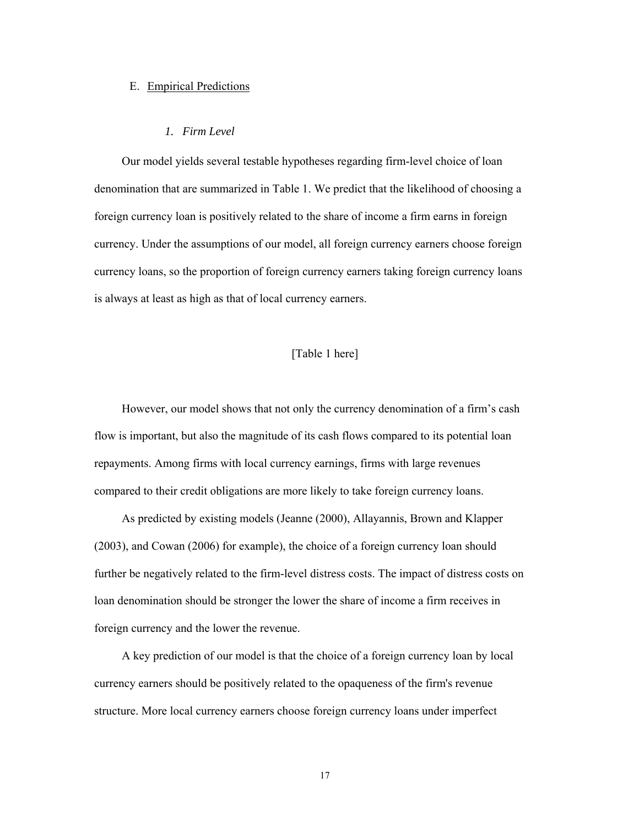#### E. Empirical Predictions

#### *1. Firm Level*

Our model yields several testable hypotheses regarding firm-level choice of loan denomination that are summarized in Table 1. We predict that the likelihood of choosing a foreign currency loan is positively related to the share of income a firm earns in foreign currency. Under the assumptions of our model, all foreign currency earners choose foreign currency loans, so the proportion of foreign currency earners taking foreign currency loans is always at least as high as that of local currency earners.

#### [Table 1 here]

However, our model shows that not only the currency denomination of a firm's cash flow is important, but also the magnitude of its cash flows compared to its potential loan repayments. Among firms with local currency earnings, firms with large revenues compared to their credit obligations are more likely to take foreign currency loans.

As predicted by existing models (Jeanne (2000), Allayannis, Brown and Klapper (2003), and Cowan (2006) for example), the choice of a foreign currency loan should further be negatively related to the firm-level distress costs. The impact of distress costs on loan denomination should be stronger the lower the share of income a firm receives in foreign currency and the lower the revenue.

A key prediction of our model is that the choice of a foreign currency loan by local currency earners should be positively related to the opaqueness of the firm's revenue structure. More local currency earners choose foreign currency loans under imperfect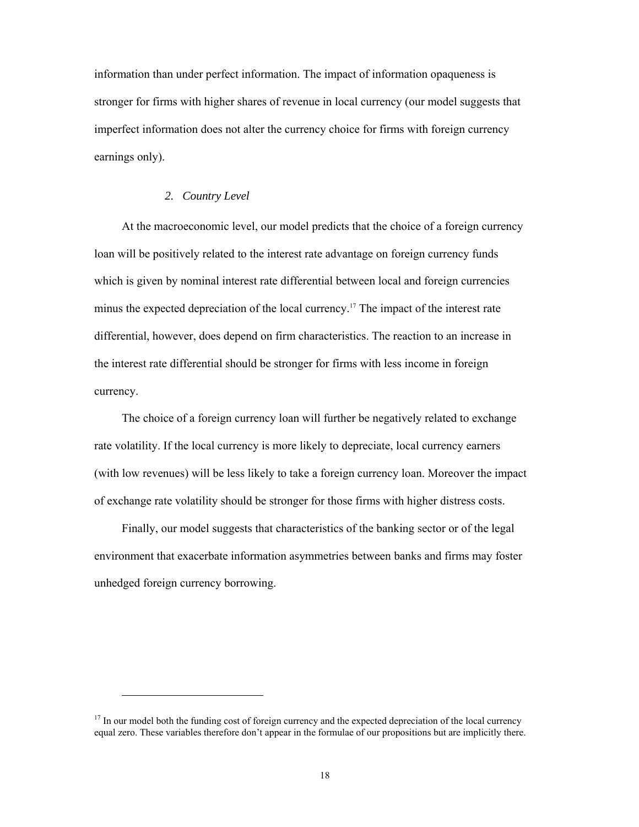information than under perfect information. The impact of information opaqueness is stronger for firms with higher shares of revenue in local currency (our model suggests that imperfect information does not alter the currency choice for firms with foreign currency earnings only).

# *2. Country Level*

l

At the macroeconomic level, our model predicts that the choice of a foreign currency loan will be positively related to the interest rate advantage on foreign currency funds which is given by nominal interest rate differential between local and foreign currencies minus the expected depreciation of the local currency.<sup>17</sup> The impact of the interest rate differential, however, does depend on firm characteristics. The reaction to an increase in the interest rate differential should be stronger for firms with less income in foreign currency.

The choice of a foreign currency loan will further be negatively related to exchange rate volatility. If the local currency is more likely to depreciate, local currency earners (with low revenues) will be less likely to take a foreign currency loan. Moreover the impact of exchange rate volatility should be stronger for those firms with higher distress costs.

Finally, our model suggests that characteristics of the banking sector or of the legal environment that exacerbate information asymmetries between banks and firms may foster unhedged foreign currency borrowing.

<sup>&</sup>lt;sup>17</sup> In our model both the funding cost of foreign currency and the expected depreciation of the local currency equal zero. These variables therefore don't appear in the formulae of our propositions but are implicitly there.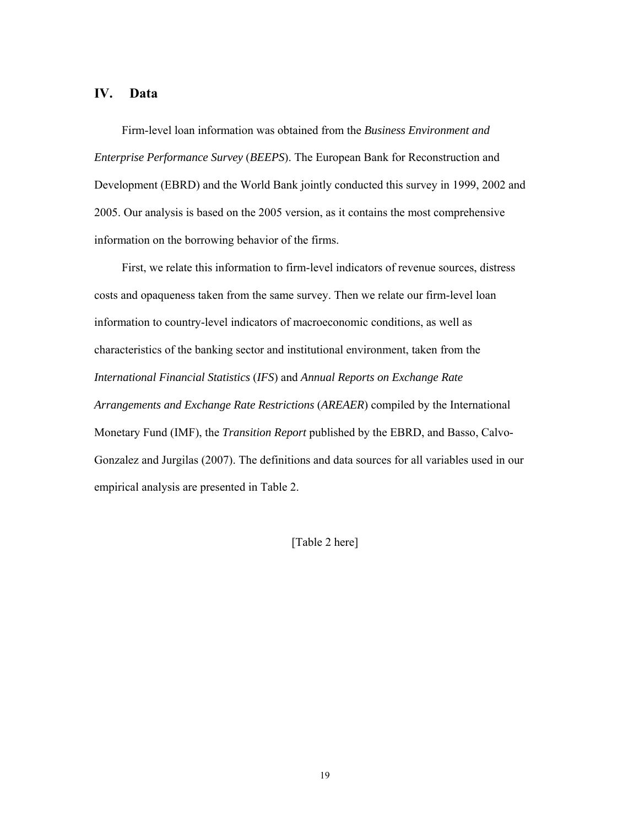# **IV. Data**

Firm-level loan information was obtained from the *Business Environment and Enterprise Performance Survey* (*BEEPS*). The European Bank for Reconstruction and Development (EBRD) and the World Bank jointly conducted this survey in 1999, 2002 and 2005. Our analysis is based on the 2005 version, as it contains the most comprehensive information on the borrowing behavior of the firms.

First, we relate this information to firm-level indicators of revenue sources, distress costs and opaqueness taken from the same survey. Then we relate our firm-level loan information to country-level indicators of macroeconomic conditions, as well as characteristics of the banking sector and institutional environment, taken from the *International Financial Statistics* (*IFS*) and *Annual Reports on Exchange Rate Arrangements and Exchange Rate Restrictions* (*AREAER*) compiled by the International Monetary Fund (IMF), the *Transition Report* published by the EBRD, and Basso, Calvo-Gonzalez and Jurgilas (2007). The definitions and data sources for all variables used in our empirical analysis are presented in Table 2.

[Table 2 here]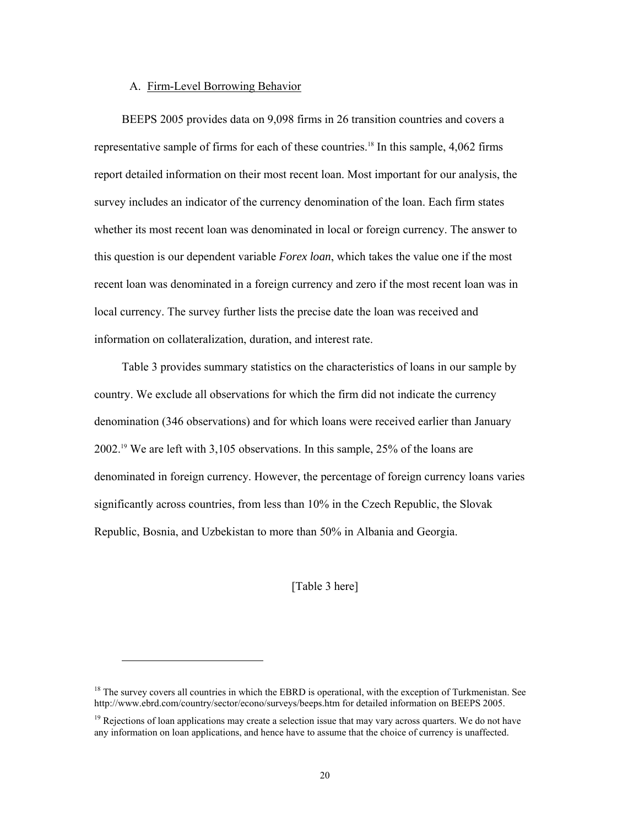#### A. Firm-Level Borrowing Behavior

BEEPS 2005 provides data on 9,098 firms in 26 transition countries and covers a representative sample of firms for each of these countries.<sup>18</sup> In this sample, 4,062 firms report detailed information on their most recent loan. Most important for our analysis, the survey includes an indicator of the currency denomination of the loan. Each firm states whether its most recent loan was denominated in local or foreign currency. The answer to this question is our dependent variable *Forex loan*, which takes the value one if the most recent loan was denominated in a foreign currency and zero if the most recent loan was in local currency. The survey further lists the precise date the loan was received and information on collateralization, duration, and interest rate.

Table 3 provides summary statistics on the characteristics of loans in our sample by country. We exclude all observations for which the firm did not indicate the currency denomination (346 observations) and for which loans were received earlier than January 2002.19 We are left with 3,105 observations. In this sample, 25% of the loans are denominated in foreign currency. However, the percentage of foreign currency loans varies significantly across countries, from less than 10% in the Czech Republic, the Slovak Republic, Bosnia, and Uzbekistan to more than 50% in Albania and Georgia.

[Table 3 here]

l

<sup>&</sup>lt;sup>18</sup> The survey covers all countries in which the EBRD is operational, with the exception of Turkmenistan. See http://www.ebrd.com/country/sector/econo/surveys/beeps.htm for detailed information on BEEPS 2005.

 $19$  Rejections of loan applications may create a selection issue that may vary across quarters. We do not have any information on loan applications, and hence have to assume that the choice of currency is unaffected.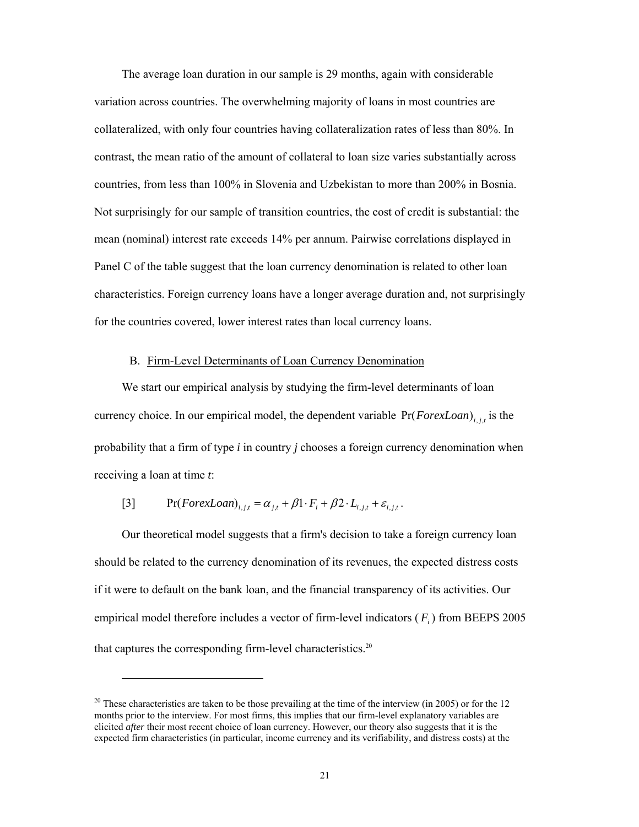The average loan duration in our sample is 29 months, again with considerable variation across countries. The overwhelming majority of loans in most countries are collateralized, with only four countries having collateralization rates of less than 80%. In contrast, the mean ratio of the amount of collateral to loan size varies substantially across countries, from less than 100% in Slovenia and Uzbekistan to more than 200% in Bosnia. Not surprisingly for our sample of transition countries, the cost of credit is substantial: the mean (nominal) interest rate exceeds 14% per annum. Pairwise correlations displayed in Panel C of the table suggest that the loan currency denomination is related to other loan characteristics. Foreign currency loans have a longer average duration and, not surprisingly for the countries covered, lower interest rates than local currency loans.

#### B. Firm-Level Determinants of Loan Currency Denomination

We start our empirical analysis by studying the firm-level determinants of loan currency choice. In our empirical model, the dependent variable  $Pr(For ex Loan)_{i,i}$  is the probability that a firm of type *i* in country *j* chooses a foreign currency denomination when receiving a loan at time *t*:

[3] 
$$
\Pr(For ex Loan)_{i,j,t} = \alpha_{j,t} + \beta 1 \cdot F_i + \beta 2 \cdot L_{i,j,t} + \varepsilon_{i,j,t}.
$$

Our theoretical model suggests that a firm's decision to take a foreign currency loan should be related to the currency denomination of its revenues, the expected distress costs if it were to default on the bank loan, and the financial transparency of its activities. Our empirical model therefore includes a vector of firm-level indicators ( *Fi* ) from BEEPS 2005 that captures the corresponding firm-level characteristics.<sup>20</sup>

 $20$  These characteristics are taken to be those prevailing at the time of the interview (in 2005) or for the 12 months prior to the interview. For most firms, this implies that our firm-level explanatory variables are elicited *after* their most recent choice of loan currency. However, our theory also suggests that it is the expected firm characteristics (in particular, income currency and its verifiability, and distress costs) at the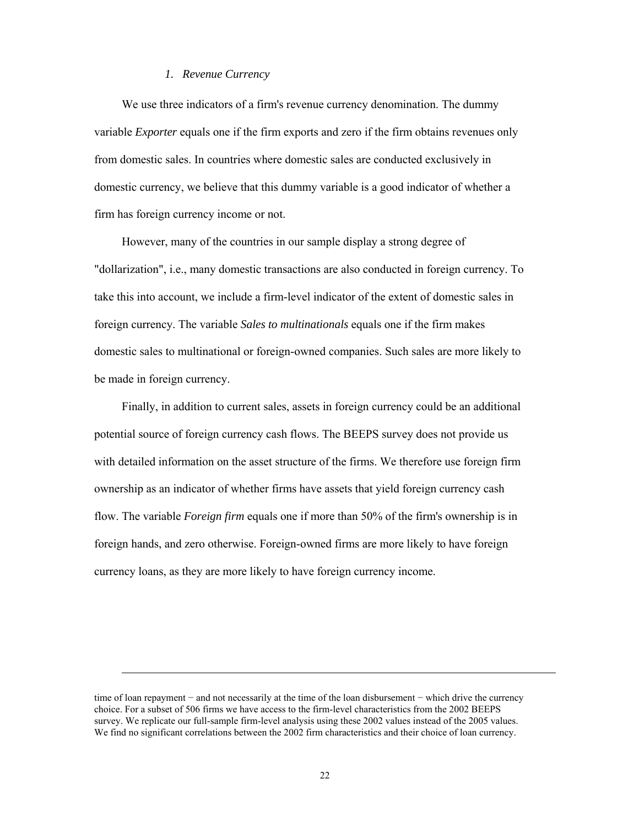#### *1. Revenue Currency*

We use three indicators of a firm's revenue currency denomination. The dummy variable *Exporter* equals one if the firm exports and zero if the firm obtains revenues only from domestic sales. In countries where domestic sales are conducted exclusively in domestic currency, we believe that this dummy variable is a good indicator of whether a firm has foreign currency income or not.

However, many of the countries in our sample display a strong degree of "dollarization", i.e., many domestic transactions are also conducted in foreign currency. To take this into account, we include a firm-level indicator of the extent of domestic sales in foreign currency. The variable *Sales to multinationals* equals one if the firm makes domestic sales to multinational or foreign-owned companies. Such sales are more likely to be made in foreign currency.

Finally, in addition to current sales, assets in foreign currency could be an additional potential source of foreign currency cash flows. The BEEPS survey does not provide us with detailed information on the asset structure of the firms. We therefore use foreign firm ownership as an indicator of whether firms have assets that yield foreign currency cash flow. The variable *Foreign firm* equals one if more than 50% of the firm's ownership is in foreign hands, and zero otherwise. Foreign-owned firms are more likely to have foreign currency loans, as they are more likely to have foreign currency income.

time of loan repayment − and not necessarily at the time of the loan disbursement − which drive the currency choice. For a subset of 506 firms we have access to the firm-level characteristics from the 2002 BEEPS survey. We replicate our full-sample firm-level analysis using these 2002 values instead of the 2005 values. We find no significant correlations between the 2002 firm characteristics and their choice of loan currency.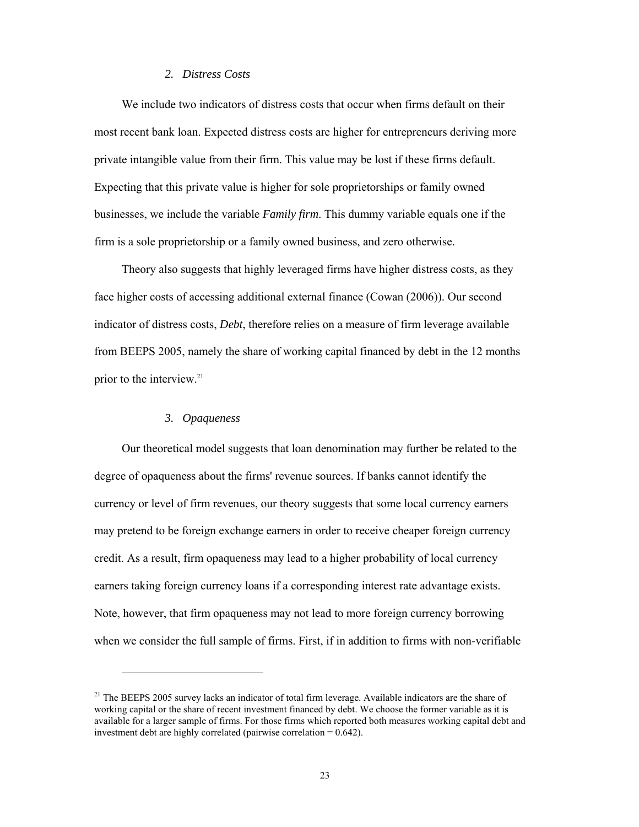#### *2. Distress Costs*

We include two indicators of distress costs that occur when firms default on their most recent bank loan. Expected distress costs are higher for entrepreneurs deriving more private intangible value from their firm. This value may be lost if these firms default. Expecting that this private value is higher for sole proprietorships or family owned businesses, we include the variable *Family firm*. This dummy variable equals one if the firm is a sole proprietorship or a family owned business, and zero otherwise.

Theory also suggests that highly leveraged firms have higher distress costs, as they face higher costs of accessing additional external finance (Cowan (2006)). Our second indicator of distress costs, *Debt*, therefore relies on a measure of firm leverage available from BEEPS 2005, namely the share of working capital financed by debt in the 12 months prior to the interview.<sup>21</sup>

#### *3. Opaqueness*

Our theoretical model suggests that loan denomination may further be related to the degree of opaqueness about the firms' revenue sources. If banks cannot identify the currency or level of firm revenues, our theory suggests that some local currency earners may pretend to be foreign exchange earners in order to receive cheaper foreign currency credit. As a result, firm opaqueness may lead to a higher probability of local currency earners taking foreign currency loans if a corresponding interest rate advantage exists. Note, however, that firm opaqueness may not lead to more foreign currency borrowing when we consider the full sample of firms. First, if in addition to firms with non-verifiable

<sup>&</sup>lt;sup>21</sup> The BEEPS 2005 survey lacks an indicator of total firm leverage. Available indicators are the share of working capital or the share of recent investment financed by debt. We choose the former variable as it is available for a larger sample of firms. For those firms which reported both measures working capital debt and investment debt are highly correlated (pairwise correlation  $= 0.642$ ).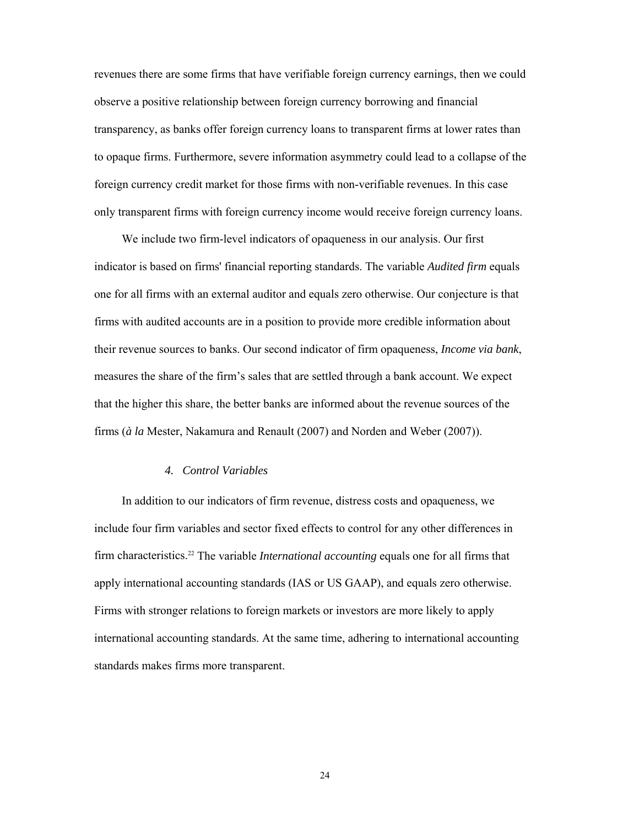revenues there are some firms that have verifiable foreign currency earnings, then we could observe a positive relationship between foreign currency borrowing and financial transparency, as banks offer foreign currency loans to transparent firms at lower rates than to opaque firms. Furthermore, severe information asymmetry could lead to a collapse of the foreign currency credit market for those firms with non-verifiable revenues. In this case only transparent firms with foreign currency income would receive foreign currency loans.

We include two firm-level indicators of opaqueness in our analysis. Our first indicator is based on firms' financial reporting standards. The variable *Audited firm* equals one for all firms with an external auditor and equals zero otherwise. Our conjecture is that firms with audited accounts are in a position to provide more credible information about their revenue sources to banks. Our second indicator of firm opaqueness, *Income via bank*, measures the share of the firm's sales that are settled through a bank account. We expect that the higher this share, the better banks are informed about the revenue sources of the firms (*à la* Mester, Nakamura and Renault (2007) and Norden and Weber (2007)).

# *4. Control Variables*

In addition to our indicators of firm revenue, distress costs and opaqueness, we include four firm variables and sector fixed effects to control for any other differences in firm characteristics.22 The variable *International accounting* equals one for all firms that apply international accounting standards (IAS or US GAAP), and equals zero otherwise. Firms with stronger relations to foreign markets or investors are more likely to apply international accounting standards. At the same time, adhering to international accounting standards makes firms more transparent.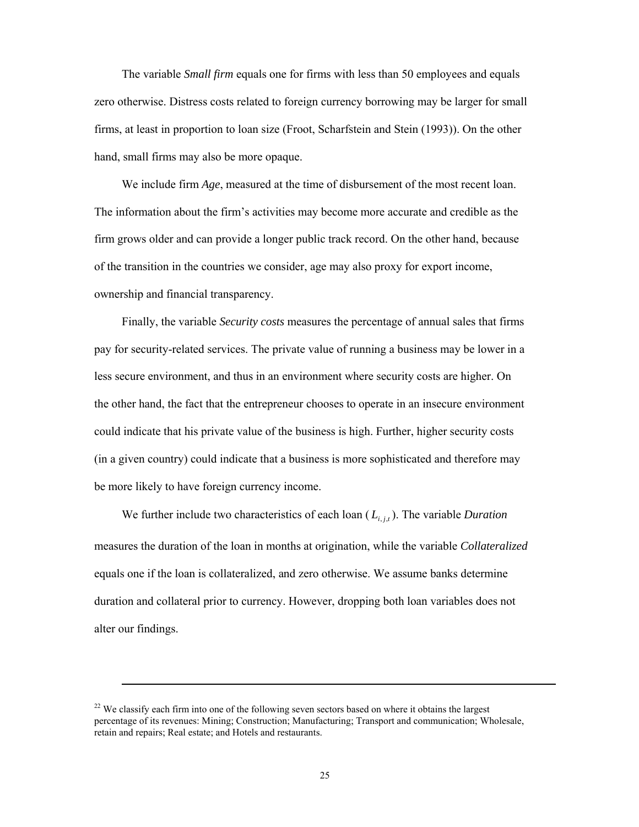The variable *Small firm* equals one for firms with less than 50 employees and equals zero otherwise. Distress costs related to foreign currency borrowing may be larger for small firms, at least in proportion to loan size (Froot, Scharfstein and Stein (1993)). On the other hand, small firms may also be more opaque.

We include firm *Age*, measured at the time of disbursement of the most recent loan. The information about the firm's activities may become more accurate and credible as the firm grows older and can provide a longer public track record. On the other hand, because of the transition in the countries we consider, age may also proxy for export income, ownership and financial transparency.

Finally, the variable *Security costs* measures the percentage of annual sales that firms pay for security-related services. The private value of running a business may be lower in a less secure environment, and thus in an environment where security costs are higher. On the other hand, the fact that the entrepreneur chooses to operate in an insecure environment could indicate that his private value of the business is high. Further, higher security costs (in a given country) could indicate that a business is more sophisticated and therefore may be more likely to have foreign currency income.

We further include two characteristics of each loan  $(L_{i,j,t})$ . The variable *Duration* measures the duration of the loan in months at origination, while the variable *Collateralized* equals one if the loan is collateralized, and zero otherwise. We assume banks determine duration and collateral prior to currency. However, dropping both loan variables does not alter our findings.

 $\overline{a}$ 

<sup>&</sup>lt;sup>22</sup> We classify each firm into one of the following seven sectors based on where it obtains the largest percentage of its revenues: Mining; Construction; Manufacturing; Transport and communication; Wholesale, retain and repairs; Real estate; and Hotels and restaurants.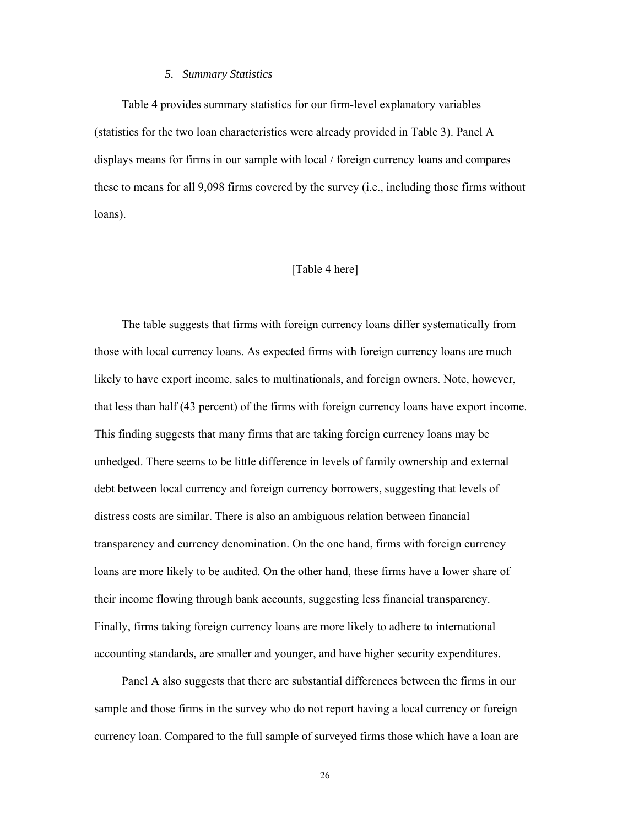#### *5. Summary Statistics*

Table 4 provides summary statistics for our firm-level explanatory variables (statistics for the two loan characteristics were already provided in Table 3). Panel A displays means for firms in our sample with local / foreign currency loans and compares these to means for all 9,098 firms covered by the survey (i.e., including those firms without loans).

# [Table 4 here]

The table suggests that firms with foreign currency loans differ systematically from those with local currency loans. As expected firms with foreign currency loans are much likely to have export income, sales to multinationals, and foreign owners. Note, however, that less than half (43 percent) of the firms with foreign currency loans have export income. This finding suggests that many firms that are taking foreign currency loans may be unhedged. There seems to be little difference in levels of family ownership and external debt between local currency and foreign currency borrowers, suggesting that levels of distress costs are similar. There is also an ambiguous relation between financial transparency and currency denomination. On the one hand, firms with foreign currency loans are more likely to be audited. On the other hand, these firms have a lower share of their income flowing through bank accounts, suggesting less financial transparency. Finally, firms taking foreign currency loans are more likely to adhere to international accounting standards, are smaller and younger, and have higher security expenditures.

Panel A also suggests that there are substantial differences between the firms in our sample and those firms in the survey who do not report having a local currency or foreign currency loan. Compared to the full sample of surveyed firms those which have a loan are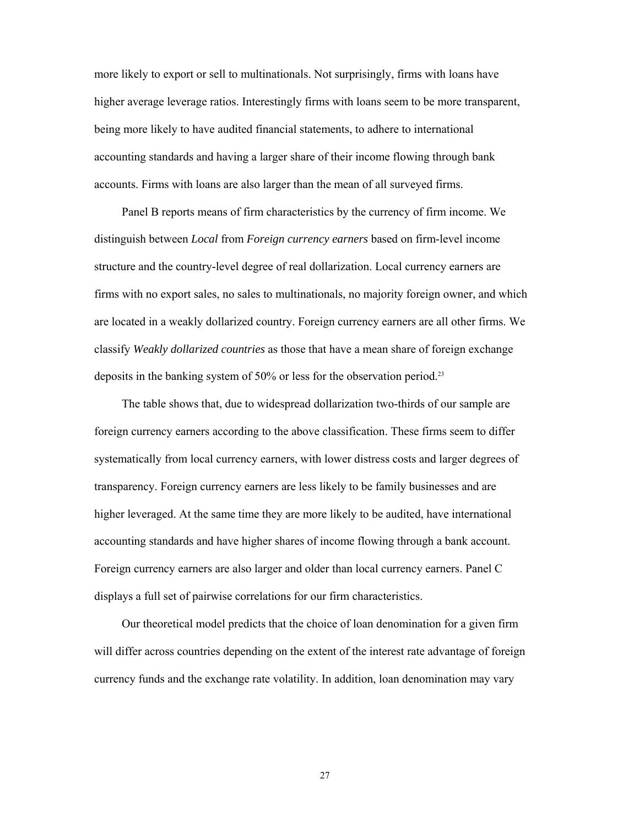more likely to export or sell to multinationals. Not surprisingly, firms with loans have higher average leverage ratios. Interestingly firms with loans seem to be more transparent, being more likely to have audited financial statements, to adhere to international accounting standards and having a larger share of their income flowing through bank accounts. Firms with loans are also larger than the mean of all surveyed firms.

Panel B reports means of firm characteristics by the currency of firm income. We distinguish between *Local* from *Foreign currency earners* based on firm-level income structure and the country-level degree of real dollarization. Local currency earners are firms with no export sales, no sales to multinationals, no majority foreign owner, and which are located in a weakly dollarized country. Foreign currency earners are all other firms. We classify *Weakly dollarized countries* as those that have a mean share of foreign exchange deposits in the banking system of 50% or less for the observation period.<sup>23</sup>

The table shows that, due to widespread dollarization two-thirds of our sample are foreign currency earners according to the above classification. These firms seem to differ systematically from local currency earners, with lower distress costs and larger degrees of transparency. Foreign currency earners are less likely to be family businesses and are higher leveraged. At the same time they are more likely to be audited, have international accounting standards and have higher shares of income flowing through a bank account. Foreign currency earners are also larger and older than local currency earners. Panel C displays a full set of pairwise correlations for our firm characteristics.

Our theoretical model predicts that the choice of loan denomination for a given firm will differ across countries depending on the extent of the interest rate advantage of foreign currency funds and the exchange rate volatility. In addition, loan denomination may vary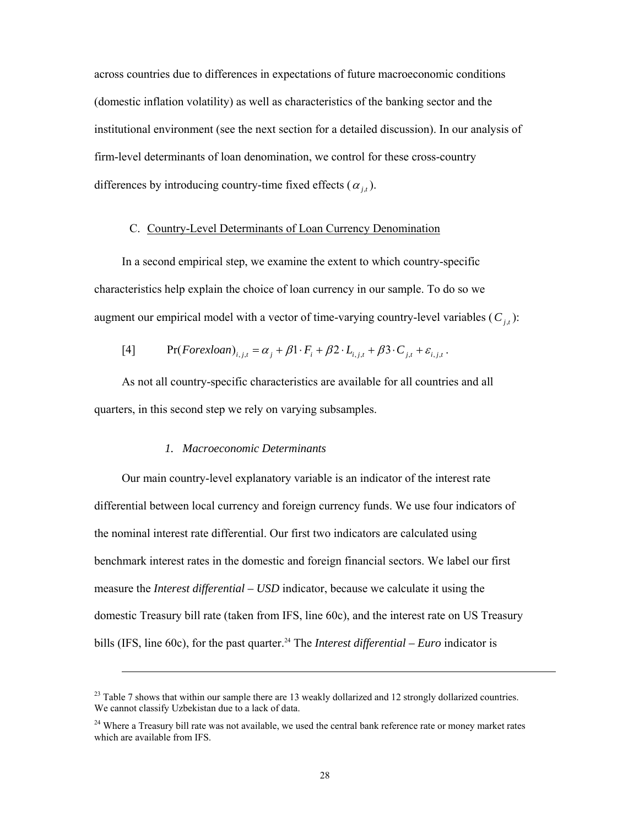across countries due to differences in expectations of future macroeconomic conditions (domestic inflation volatility) as well as characteristics of the banking sector and the institutional environment (see the next section for a detailed discussion). In our analysis of firm-level determinants of loan denomination, we control for these cross-country differences by introducing country-time fixed effects  $(\alpha_{i,t})$ .

#### C. Country-Level Determinants of Loan Currency Denomination

In a second empirical step, we examine the extent to which country-specific characteristics help explain the choice of loan currency in our sample. To do so we augment our empirical model with a vector of time-varying country-level variables  $(C_i)$ :

[4] 
$$
\Pr(For ex loan)_{i,j,t} = \alpha_j + \beta \cdot F_i + \beta 2 \cdot L_{i,j,t} + \beta 3 \cdot C_{j,t} + \varepsilon_{i,j,t}.
$$

As not all country-specific characteristics are available for all countries and all quarters, in this second step we rely on varying subsamples.

#### *1. Macroeconomic Determinants*

l

Our main country-level explanatory variable is an indicator of the interest rate differential between local currency and foreign currency funds. We use four indicators of the nominal interest rate differential. Our first two indicators are calculated using benchmark interest rates in the domestic and foreign financial sectors. We label our first measure the *Interest differential – USD* indicator, because we calculate it using the domestic Treasury bill rate (taken from IFS, line 60c), and the interest rate on US Treasury bills (IFS, line 60c), for the past quarter.<sup>24</sup> The *Interest differential – Euro* indicator is

<sup>&</sup>lt;sup>23</sup> Table 7 shows that within our sample there are 13 weakly dollarized and 12 strongly dollarized countries. We cannot classify Uzbekistan due to a lack of data.

<sup>&</sup>lt;sup>24</sup> Where a Treasury bill rate was not available, we used the central bank reference rate or money market rates which are available from IFS.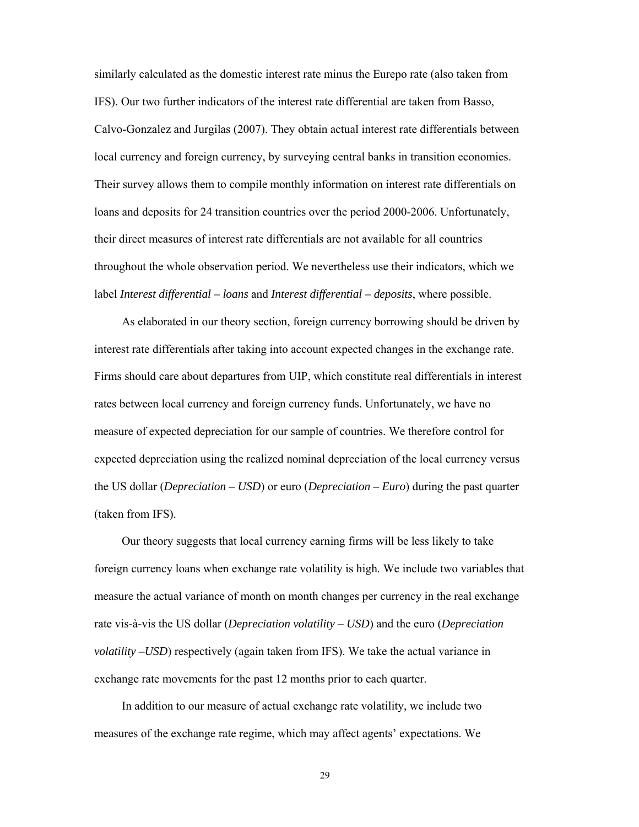similarly calculated as the domestic interest rate minus the Eurepo rate (also taken from IFS). Our two further indicators of the interest rate differential are taken from Basso, Calvo-Gonzalez and Jurgilas (2007). They obtain actual interest rate differentials between local currency and foreign currency, by surveying central banks in transition economies. Their survey allows them to compile monthly information on interest rate differentials on loans and deposits for 24 transition countries over the period 2000-2006. Unfortunately, their direct measures of interest rate differentials are not available for all countries throughout the whole observation period. We nevertheless use their indicators, which we label *Interest differential – loans* and *Interest differential – deposits*, where possible.

As elaborated in our theory section, foreign currency borrowing should be driven by interest rate differentials after taking into account expected changes in the exchange rate. Firms should care about departures from UIP, which constitute real differentials in interest rates between local currency and foreign currency funds. Unfortunately, we have no measure of expected depreciation for our sample of countries. We therefore control for expected depreciation using the realized nominal depreciation of the local currency versus the US dollar (*Depreciation – USD*) or euro (*Depreciation – Euro*) during the past quarter (taken from IFS).

Our theory suggests that local currency earning firms will be less likely to take foreign currency loans when exchange rate volatility is high. We include two variables that measure the actual variance of month on month changes per currency in the real exchange rate vis-à-vis the US dollar (*Depreciation volatility – USD*) and the euro (*Depreciation volatility –USD*) respectively (again taken from IFS). We take the actual variance in exchange rate movements for the past 12 months prior to each quarter.

In addition to our measure of actual exchange rate volatility, we include two measures of the exchange rate regime, which may affect agents' expectations. We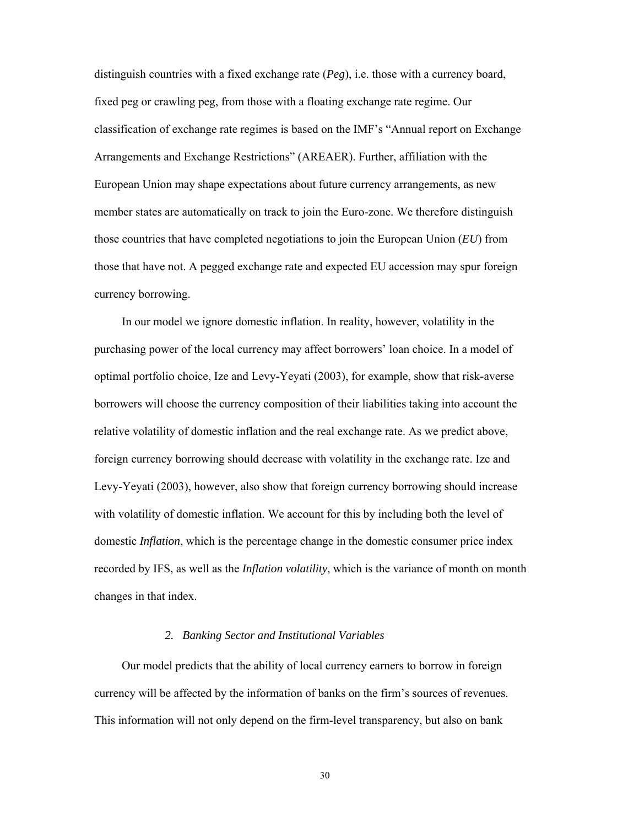distinguish countries with a fixed exchange rate (*Peg*), i.e. those with a currency board, fixed peg or crawling peg, from those with a floating exchange rate regime. Our classification of exchange rate regimes is based on the IMF's "Annual report on Exchange Arrangements and Exchange Restrictions" (AREAER). Further, affiliation with the European Union may shape expectations about future currency arrangements, as new member states are automatically on track to join the Euro-zone. We therefore distinguish those countries that have completed negotiations to join the European Union (*EU*) from those that have not. A pegged exchange rate and expected EU accession may spur foreign currency borrowing.

In our model we ignore domestic inflation. In reality, however, volatility in the purchasing power of the local currency may affect borrowers' loan choice. In a model of optimal portfolio choice, Ize and Levy-Yeyati (2003), for example, show that risk-averse borrowers will choose the currency composition of their liabilities taking into account the relative volatility of domestic inflation and the real exchange rate. As we predict above, foreign currency borrowing should decrease with volatility in the exchange rate. Ize and Levy-Yeyati (2003), however, also show that foreign currency borrowing should increase with volatility of domestic inflation. We account for this by including both the level of domestic *Inflation*, which is the percentage change in the domestic consumer price index recorded by IFS, as well as the *Inflation volatility*, which is the variance of month on month changes in that index.

#### *2. Banking Sector and Institutional Variables*

Our model predicts that the ability of local currency earners to borrow in foreign currency will be affected by the information of banks on the firm's sources of revenues. This information will not only depend on the firm-level transparency, but also on bank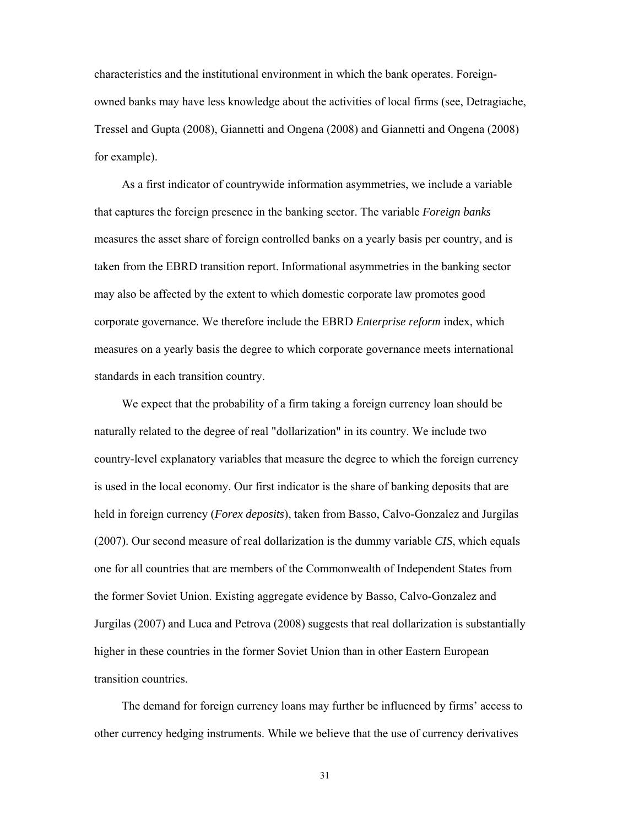characteristics and the institutional environment in which the bank operates. Foreignowned banks may have less knowledge about the activities of local firms (see, Detragiache, Tressel and Gupta (2008), Giannetti and Ongena (2008) and Giannetti and Ongena (2008) for example).

As a first indicator of countrywide information asymmetries, we include a variable that captures the foreign presence in the banking sector. The variable *Foreign banks* measures the asset share of foreign controlled banks on a yearly basis per country, and is taken from the EBRD transition report. Informational asymmetries in the banking sector may also be affected by the extent to which domestic corporate law promotes good corporate governance. We therefore include the EBRD *Enterprise reform* index, which measures on a yearly basis the degree to which corporate governance meets international standards in each transition country.

We expect that the probability of a firm taking a foreign currency loan should be naturally related to the degree of real "dollarization" in its country. We include two country-level explanatory variables that measure the degree to which the foreign currency is used in the local economy. Our first indicator is the share of banking deposits that are held in foreign currency (*Forex deposits*), taken from Basso, Calvo-Gonzalez and Jurgilas (2007). Our second measure of real dollarization is the dummy variable *CIS*, which equals one for all countries that are members of the Commonwealth of Independent States from the former Soviet Union. Existing aggregate evidence by Basso, Calvo-Gonzalez and Jurgilas (2007) and Luca and Petrova (2008) suggests that real dollarization is substantially higher in these countries in the former Soviet Union than in other Eastern European transition countries.

The demand for foreign currency loans may further be influenced by firms' access to other currency hedging instruments. While we believe that the use of currency derivatives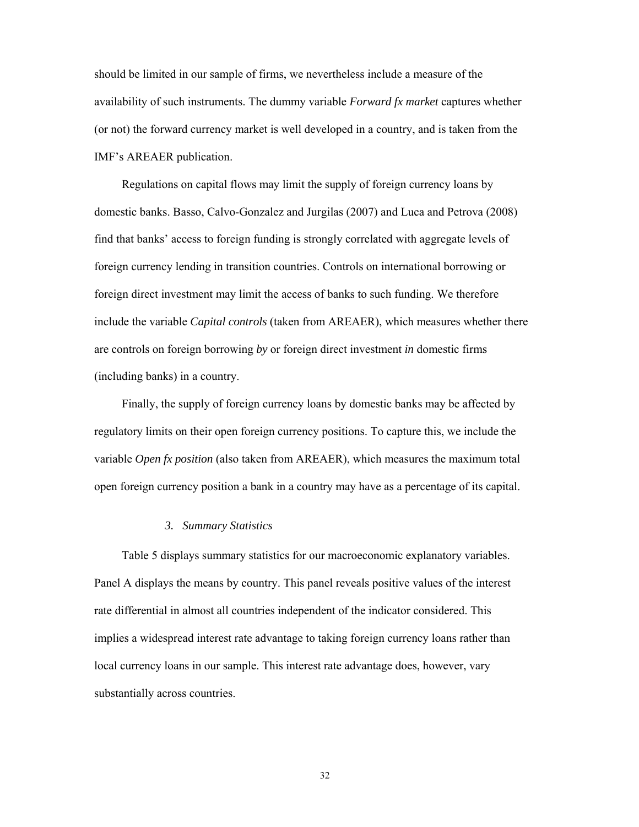should be limited in our sample of firms, we nevertheless include a measure of the availability of such instruments. The dummy variable *Forward fx market* captures whether (or not) the forward currency market is well developed in a country, and is taken from the IMF's AREAER publication.

Regulations on capital flows may limit the supply of foreign currency loans by domestic banks. Basso, Calvo-Gonzalez and Jurgilas (2007) and Luca and Petrova (2008) find that banks' access to foreign funding is strongly correlated with aggregate levels of foreign currency lending in transition countries. Controls on international borrowing or foreign direct investment may limit the access of banks to such funding. We therefore include the variable *Capital controls* (taken from AREAER), which measures whether there are controls on foreign borrowing *by* or foreign direct investment *in* domestic firms (including banks) in a country.

Finally, the supply of foreign currency loans by domestic banks may be affected by regulatory limits on their open foreign currency positions. To capture this, we include the variable *Open fx position* (also taken from AREAER), which measures the maximum total open foreign currency position a bank in a country may have as a percentage of its capital.

#### *3. Summary Statistics*

Table 5 displays summary statistics for our macroeconomic explanatory variables. Panel A displays the means by country. This panel reveals positive values of the interest rate differential in almost all countries independent of the indicator considered. This implies a widespread interest rate advantage to taking foreign currency loans rather than local currency loans in our sample. This interest rate advantage does, however, vary substantially across countries.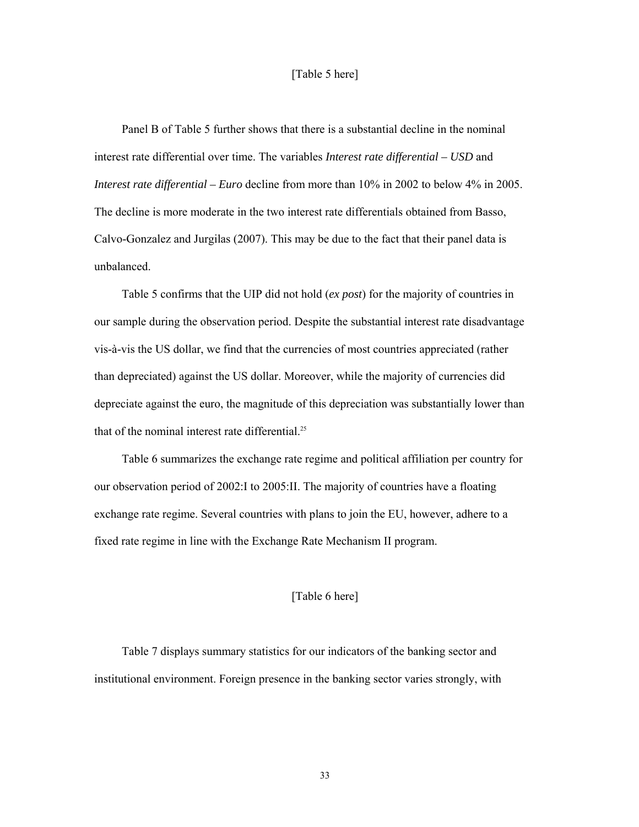# [Table 5 here]

Panel B of Table 5 further shows that there is a substantial decline in the nominal interest rate differential over time. The variables *Interest rate differential – USD* and *Interest rate differential – Euro* decline from more than 10% in 2002 to below 4% in 2005. The decline is more moderate in the two interest rate differentials obtained from Basso, Calvo-Gonzalez and Jurgilas (2007). This may be due to the fact that their panel data is unbalanced.

Table 5 confirms that the UIP did not hold (*ex post*) for the majority of countries in our sample during the observation period. Despite the substantial interest rate disadvantage vis-à-vis the US dollar, we find that the currencies of most countries appreciated (rather than depreciated) against the US dollar. Moreover, while the majority of currencies did depreciate against the euro, the magnitude of this depreciation was substantially lower than that of the nominal interest rate differential.<sup>25</sup>

Table 6 summarizes the exchange rate regime and political affiliation per country for our observation period of 2002:I to 2005:II. The majority of countries have a floating exchange rate regime. Several countries with plans to join the EU, however, adhere to a fixed rate regime in line with the Exchange Rate Mechanism II program.

#### [Table 6 here]

Table 7 displays summary statistics for our indicators of the banking sector and institutional environment. Foreign presence in the banking sector varies strongly, with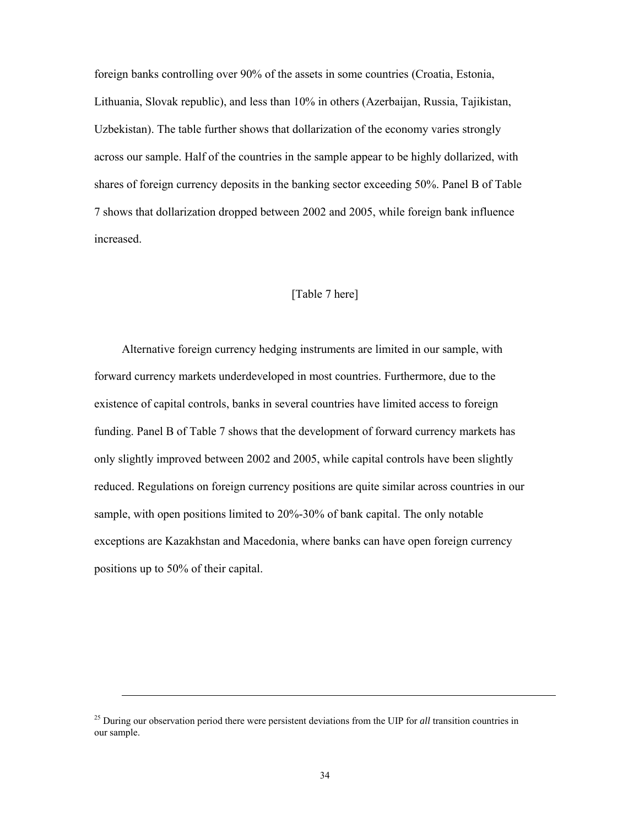foreign banks controlling over 90% of the assets in some countries (Croatia, Estonia, Lithuania, Slovak republic), and less than 10% in others (Azerbaijan, Russia, Tajikistan, Uzbekistan). The table further shows that dollarization of the economy varies strongly across our sample. Half of the countries in the sample appear to be highly dollarized, with shares of foreign currency deposits in the banking sector exceeding 50%. Panel B of Table 7 shows that dollarization dropped between 2002 and 2005, while foreign bank influence increased.

#### [Table 7 here]

Alternative foreign currency hedging instruments are limited in our sample, with forward currency markets underdeveloped in most countries. Furthermore, due to the existence of capital controls, banks in several countries have limited access to foreign funding. Panel B of Table 7 shows that the development of forward currency markets has only slightly improved between 2002 and 2005, while capital controls have been slightly reduced. Regulations on foreign currency positions are quite similar across countries in our sample, with open positions limited to 20%-30% of bank capital. The only notable exceptions are Kazakhstan and Macedonia, where banks can have open foreign currency positions up to 50% of their capital.

l

<sup>&</sup>lt;sup>25</sup> During our observation period there were persistent deviations from the UIP for *all* transition countries in our sample.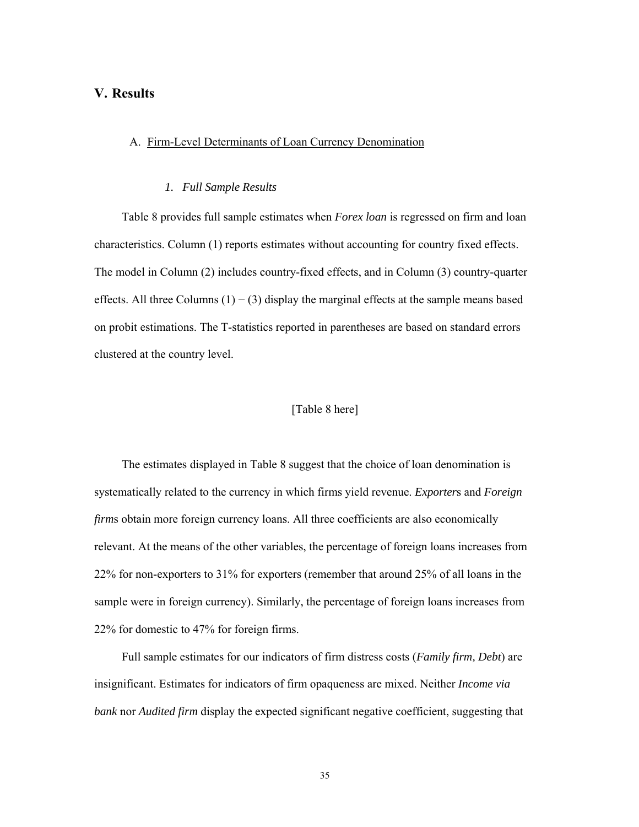## **V. Results**

#### A. Firm-Level Determinants of Loan Currency Denomination

#### *1. Full Sample Results*

Table 8 provides full sample estimates when *Forex loan* is regressed on firm and loan characteristics. Column (1) reports estimates without accounting for country fixed effects. The model in Column (2) includes country-fixed effects, and in Column (3) country-quarter effects. All three Columns  $(1) - (3)$  display the marginal effects at the sample means based on probit estimations. The T-statistics reported in parentheses are based on standard errors clustered at the country level.

### [Table 8 here]

The estimates displayed in Table 8 suggest that the choice of loan denomination is systematically related to the currency in which firms yield revenue. *Exporter*s and *Foreign firms* obtain more foreign currency loans. All three coefficients are also economically relevant. At the means of the other variables, the percentage of foreign loans increases from 22% for non-exporters to 31% for exporters (remember that around 25% of all loans in the sample were in foreign currency). Similarly, the percentage of foreign loans increases from 22% for domestic to 47% for foreign firms.

Full sample estimates for our indicators of firm distress costs (*Family firm, Debt*) are insignificant. Estimates for indicators of firm opaqueness are mixed. Neither *Income via bank* nor *Audited firm* display the expected significant negative coefficient, suggesting that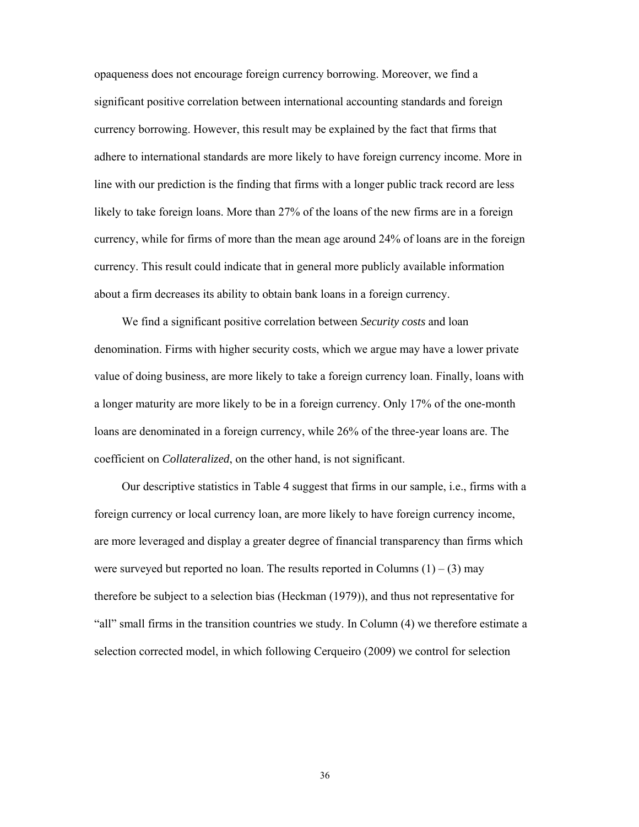opaqueness does not encourage foreign currency borrowing. Moreover, we find a significant positive correlation between international accounting standards and foreign currency borrowing. However, this result may be explained by the fact that firms that adhere to international standards are more likely to have foreign currency income. More in line with our prediction is the finding that firms with a longer public track record are less likely to take foreign loans. More than 27% of the loans of the new firms are in a foreign currency, while for firms of more than the mean age around 24% of loans are in the foreign currency. This result could indicate that in general more publicly available information about a firm decreases its ability to obtain bank loans in a foreign currency.

We find a significant positive correlation between *Security costs* and loan denomination. Firms with higher security costs, which we argue may have a lower private value of doing business, are more likely to take a foreign currency loan. Finally, loans with a longer maturity are more likely to be in a foreign currency. Only 17% of the one-month loans are denominated in a foreign currency, while 26% of the three-year loans are. The coefficient on *Collateralized*, on the other hand, is not significant.

Our descriptive statistics in Table 4 suggest that firms in our sample, i.e., firms with a foreign currency or local currency loan, are more likely to have foreign currency income, are more leveraged and display a greater degree of financial transparency than firms which were surveyed but reported no loan. The results reported in Columns  $(1) - (3)$  may therefore be subject to a selection bias (Heckman (1979)), and thus not representative for "all" small firms in the transition countries we study. In Column (4) we therefore estimate a selection corrected model, in which following Cerqueiro (2009) we control for selection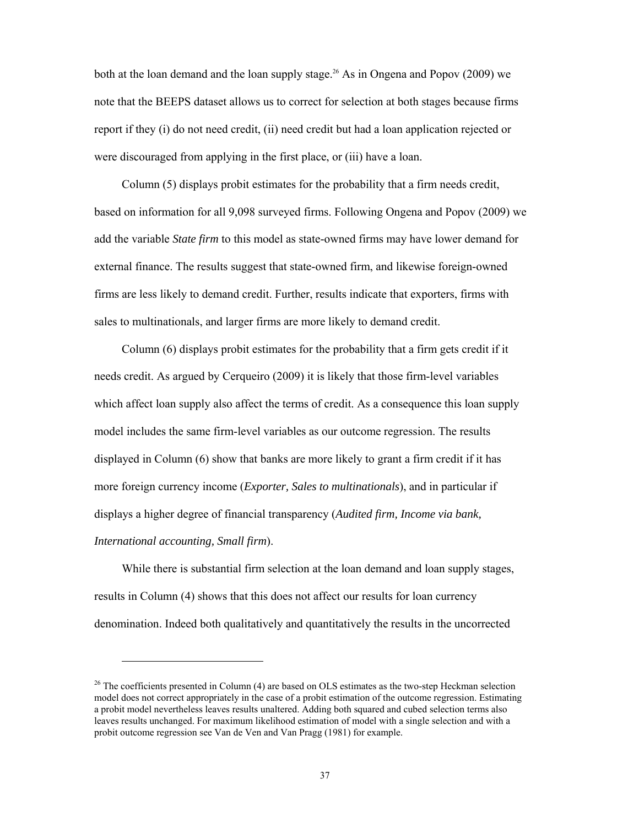both at the loan demand and the loan supply stage.<sup>26</sup> As in Ongena and Popov (2009) we note that the BEEPS dataset allows us to correct for selection at both stages because firms report if they (i) do not need credit, (ii) need credit but had a loan application rejected or were discouraged from applying in the first place, or (iii) have a loan.

Column (5) displays probit estimates for the probability that a firm needs credit, based on information for all 9,098 surveyed firms. Following Ongena and Popov (2009) we add the variable *State firm* to this model as state-owned firms may have lower demand for external finance. The results suggest that state-owned firm, and likewise foreign-owned firms are less likely to demand credit. Further, results indicate that exporters, firms with sales to multinationals, and larger firms are more likely to demand credit.

Column (6) displays probit estimates for the probability that a firm gets credit if it needs credit. As argued by Cerqueiro (2009) it is likely that those firm-level variables which affect loan supply also affect the terms of credit. As a consequence this loan supply model includes the same firm-level variables as our outcome regression. The results displayed in Column (6) show that banks are more likely to grant a firm credit if it has more foreign currency income (*Exporter, Sales to multinationals*), and in particular if displays a higher degree of financial transparency (*Audited firm, Income via bank, International accounting, Small firm*).

While there is substantial firm selection at the loan demand and loan supply stages, results in Column (4) shows that this does not affect our results for loan currency denomination. Indeed both qualitatively and quantitatively the results in the uncorrected

 $\overline{\phantom{a}}$ 

 $^{26}$  The coefficients presented in Column (4) are based on OLS estimates as the two-step Heckman selection model does not correct appropriately in the case of a probit estimation of the outcome regression. Estimating a probit model nevertheless leaves results unaltered. Adding both squared and cubed selection terms also leaves results unchanged. For maximum likelihood estimation of model with a single selection and with a probit outcome regression see Van de Ven and Van Pragg (1981) for example.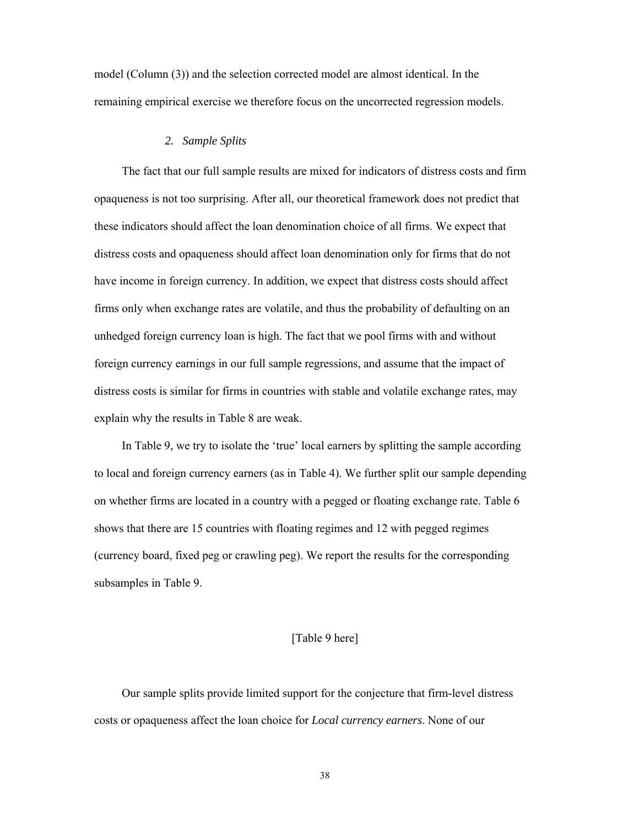model (Column (3)) and the selection corrected model are almost identical. In the remaining empirical exercise we therefore focus on the uncorrected regression models.

#### *2. Sample Splits*

The fact that our full sample results are mixed for indicators of distress costs and firm opaqueness is not too surprising. After all, our theoretical framework does not predict that these indicators should affect the loan denomination choice of all firms. We expect that distress costs and opaqueness should affect loan denomination only for firms that do not have income in foreign currency. In addition, we expect that distress costs should affect firms only when exchange rates are volatile, and thus the probability of defaulting on an unhedged foreign currency loan is high. The fact that we pool firms with and without foreign currency earnings in our full sample regressions, and assume that the impact of distress costs is similar for firms in countries with stable and volatile exchange rates, may explain why the results in Table 8 are weak.

In Table 9, we try to isolate the 'true' local earners by splitting the sample according to local and foreign currency earners (as in Table 4). We further split our sample depending on whether firms are located in a country with a pegged or floating exchange rate. Table 6 shows that there are 15 countries with floating regimes and 12 with pegged regimes (currency board, fixed peg or crawling peg). We report the results for the corresponding subsamples in Table 9.

### [Table 9 here]

Our sample splits provide limited support for the conjecture that firm-level distress costs or opaqueness affect the loan choice for *Local currency earners*. None of our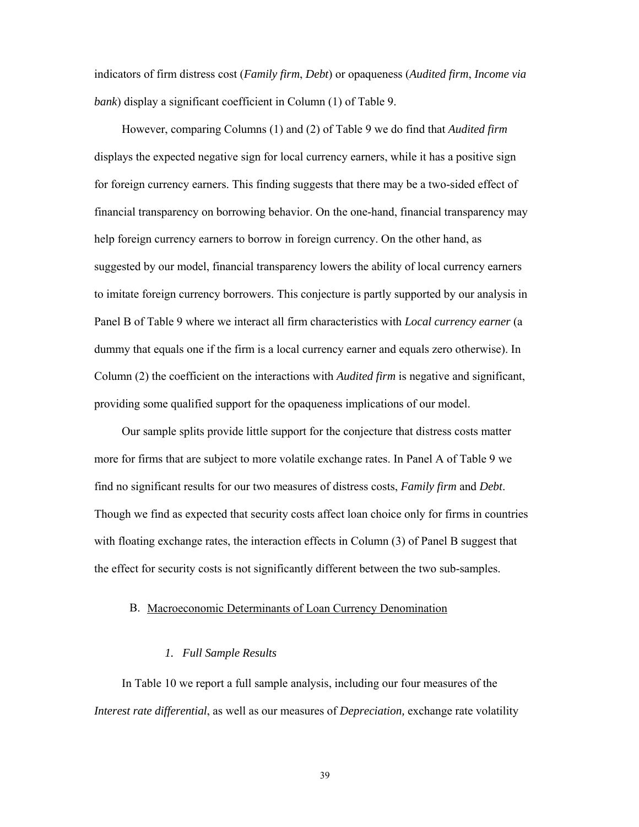indicators of firm distress cost (*Family firm*, *Debt*) or opaqueness (*Audited firm*, *Income via bank*) display a significant coefficient in Column (1) of Table 9.

However, comparing Columns (1) and (2) of Table 9 we do find that *Audited firm* displays the expected negative sign for local currency earners, while it has a positive sign for foreign currency earners. This finding suggests that there may be a two-sided effect of financial transparency on borrowing behavior. On the one-hand, financial transparency may help foreign currency earners to borrow in foreign currency. On the other hand, as suggested by our model, financial transparency lowers the ability of local currency earners to imitate foreign currency borrowers. This conjecture is partly supported by our analysis in Panel B of Table 9 where we interact all firm characteristics with *Local currency earner* (a dummy that equals one if the firm is a local currency earner and equals zero otherwise). In Column (2) the coefficient on the interactions with *Audited firm* is negative and significant, providing some qualified support for the opaqueness implications of our model.

Our sample splits provide little support for the conjecture that distress costs matter more for firms that are subject to more volatile exchange rates. In Panel A of Table 9 we find no significant results for our two measures of distress costs, *Family firm* and *Debt*. Though we find as expected that security costs affect loan choice only for firms in countries with floating exchange rates, the interaction effects in Column (3) of Panel B suggest that the effect for security costs is not significantly different between the two sub-samples.

### B. Macroeconomic Determinants of Loan Currency Denomination

#### *1. Full Sample Results*

In Table 10 we report a full sample analysis, including our four measures of the *Interest rate differential*, as well as our measures of *Depreciation,* exchange rate volatility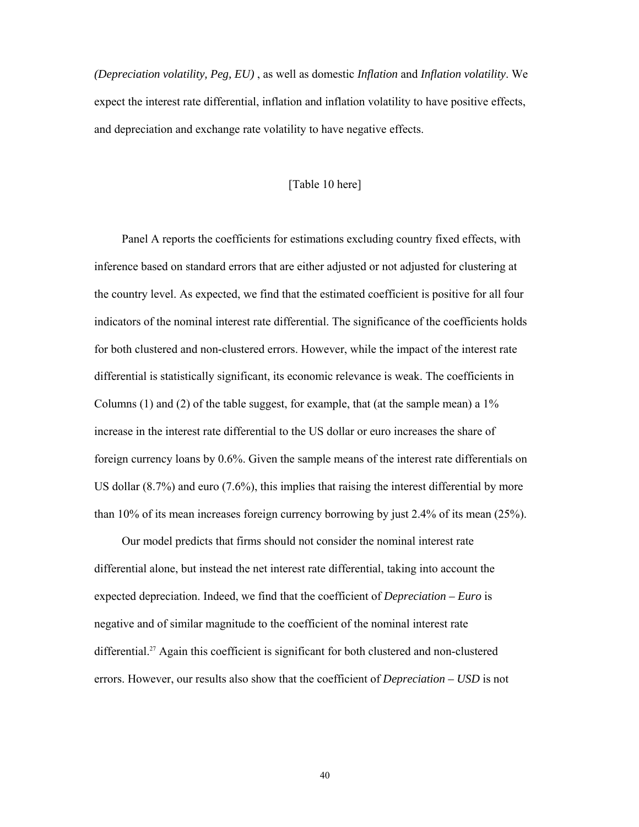*(Depreciation volatility, Peg, EU)* , as well as domestic *Inflation* and *Inflation volatility*. We expect the interest rate differential, inflation and inflation volatility to have positive effects, and depreciation and exchange rate volatility to have negative effects.

## [Table 10 here]

Panel A reports the coefficients for estimations excluding country fixed effects, with inference based on standard errors that are either adjusted or not adjusted for clustering at the country level. As expected, we find that the estimated coefficient is positive for all four indicators of the nominal interest rate differential. The significance of the coefficients holds for both clustered and non-clustered errors. However, while the impact of the interest rate differential is statistically significant, its economic relevance is weak. The coefficients in Columns  $(1)$  and  $(2)$  of the table suggest, for example, that (at the sample mean) a  $1\%$ increase in the interest rate differential to the US dollar or euro increases the share of foreign currency loans by 0.6%. Given the sample means of the interest rate differentials on US dollar (8.7%) and euro (7.6%), this implies that raising the interest differential by more than 10% of its mean increases foreign currency borrowing by just 2.4% of its mean (25%).

Our model predicts that firms should not consider the nominal interest rate differential alone, but instead the net interest rate differential, taking into account the expected depreciation. Indeed, we find that the coefficient of *Depreciation – Euro* is negative and of similar magnitude to the coefficient of the nominal interest rate differential.<sup>27</sup> Again this coefficient is significant for both clustered and non-clustered errors. However, our results also show that the coefficient of *Depreciation – USD* is not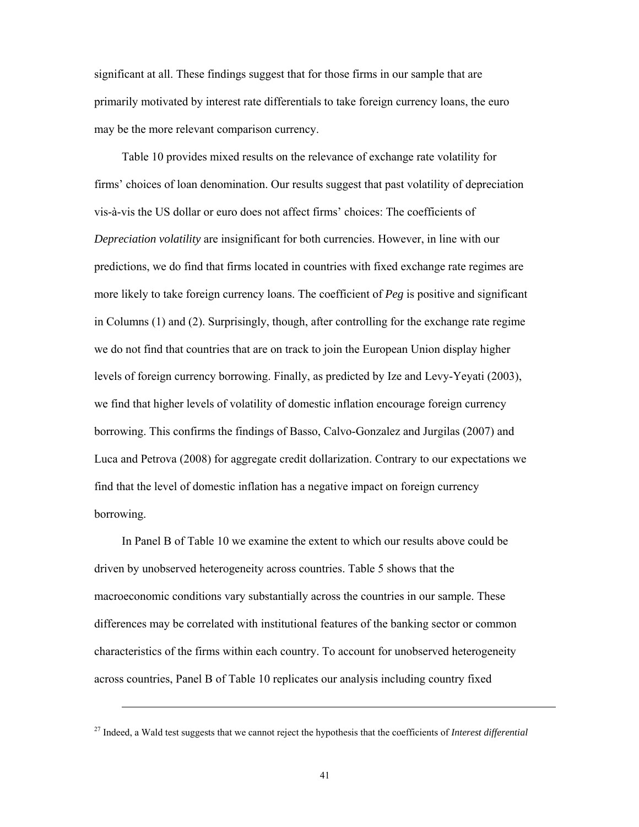significant at all. These findings suggest that for those firms in our sample that are primarily motivated by interest rate differentials to take foreign currency loans, the euro may be the more relevant comparison currency.

Table 10 provides mixed results on the relevance of exchange rate volatility for firms' choices of loan denomination. Our results suggest that past volatility of depreciation vis-à-vis the US dollar or euro does not affect firms' choices: The coefficients of *Depreciation volatility* are insignificant for both currencies. However, in line with our predictions, we do find that firms located in countries with fixed exchange rate regimes are more likely to take foreign currency loans. The coefficient of *Peg* is positive and significant in Columns (1) and (2). Surprisingly, though, after controlling for the exchange rate regime we do not find that countries that are on track to join the European Union display higher levels of foreign currency borrowing. Finally, as predicted by Ize and Levy-Yeyati (2003), we find that higher levels of volatility of domestic inflation encourage foreign currency borrowing. This confirms the findings of Basso, Calvo-Gonzalez and Jurgilas (2007) and Luca and Petrova (2008) for aggregate credit dollarization. Contrary to our expectations we find that the level of domestic inflation has a negative impact on foreign currency borrowing.

In Panel B of Table 10 we examine the extent to which our results above could be driven by unobserved heterogeneity across countries. Table 5 shows that the macroeconomic conditions vary substantially across the countries in our sample. These differences may be correlated with institutional features of the banking sector or common characteristics of the firms within each country. To account for unobserved heterogeneity across countries, Panel B of Table 10 replicates our analysis including country fixed

<sup>27</sup> Indeed, a Wald test suggests that we cannot reject the hypothesis that the coefficients of *Interest differential*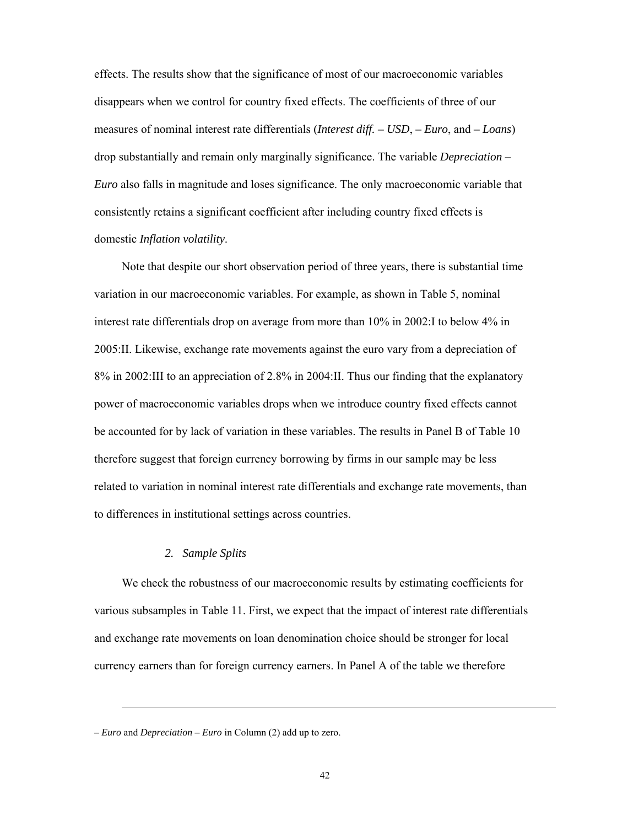effects. The results show that the significance of most of our macroeconomic variables disappears when we control for country fixed effects. The coefficients of three of our measures of nominal interest rate differentials (*Interest diff. – USD*, *– Euro*, and *– Loans*) drop substantially and remain only marginally significance. The variable *Depreciation – Euro* also falls in magnitude and loses significance. The only macroeconomic variable that consistently retains a significant coefficient after including country fixed effects is domestic *Inflation volatility*.

Note that despite our short observation period of three years, there is substantial time variation in our macroeconomic variables. For example, as shown in Table 5, nominal interest rate differentials drop on average from more than 10% in 2002:I to below 4% in 2005:II. Likewise, exchange rate movements against the euro vary from a depreciation of 8% in 2002:III to an appreciation of 2.8% in 2004:II. Thus our finding that the explanatory power of macroeconomic variables drops when we introduce country fixed effects cannot be accounted for by lack of variation in these variables. The results in Panel B of Table 10 therefore suggest that foreign currency borrowing by firms in our sample may be less related to variation in nominal interest rate differentials and exchange rate movements, than to differences in institutional settings across countries.

#### *2. Sample Splits*

We check the robustness of our macroeconomic results by estimating coefficients for various subsamples in Table 11. First, we expect that the impact of interest rate differentials and exchange rate movements on loan denomination choice should be stronger for local currency earners than for foreign currency earners. In Panel A of the table we therefore

*<sup>–</sup> Euro* and *Depreciation – Euro* in Column (2) add up to zero.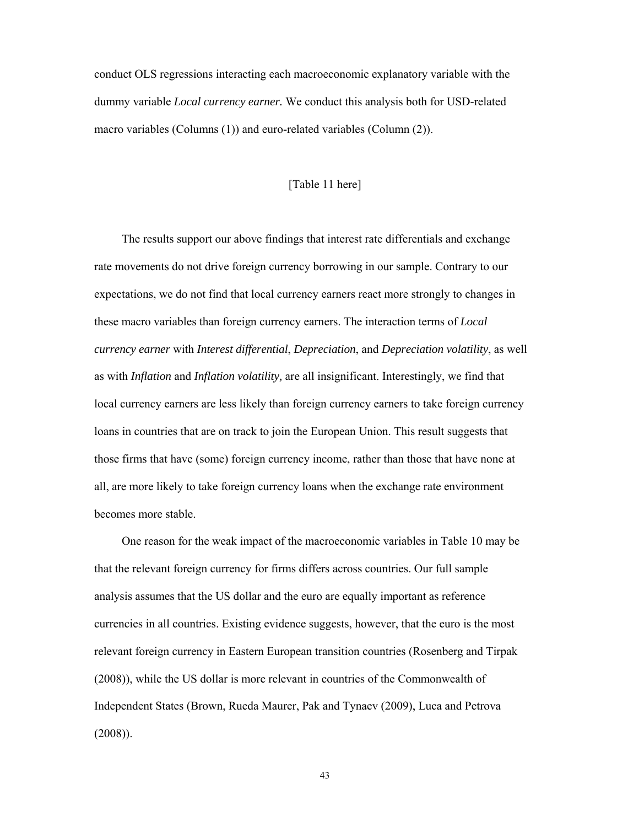conduct OLS regressions interacting each macroeconomic explanatory variable with the dummy variable *Local currency earner.* We conduct this analysis both for USD-related macro variables (Columns (1)) and euro-related variables (Column (2)).

## [Table 11 here]

The results support our above findings that interest rate differentials and exchange rate movements do not drive foreign currency borrowing in our sample. Contrary to our expectations, we do not find that local currency earners react more strongly to changes in these macro variables than foreign currency earners. The interaction terms of *Local currency earner* with *Interest differential*, *Depreciation*, and *Depreciation volatility*, as well as with *Inflation* and *Inflation volatility,* are all insignificant. Interestingly, we find that local currency earners are less likely than foreign currency earners to take foreign currency loans in countries that are on track to join the European Union. This result suggests that those firms that have (some) foreign currency income, rather than those that have none at all, are more likely to take foreign currency loans when the exchange rate environment becomes more stable.

One reason for the weak impact of the macroeconomic variables in Table 10 may be that the relevant foreign currency for firms differs across countries. Our full sample analysis assumes that the US dollar and the euro are equally important as reference currencies in all countries. Existing evidence suggests, however, that the euro is the most relevant foreign currency in Eastern European transition countries (Rosenberg and Tirpak (2008)), while the US dollar is more relevant in countries of the Commonwealth of Independent States (Brown, Rueda Maurer, Pak and Tynaev (2009), Luca and Petrova (2008)).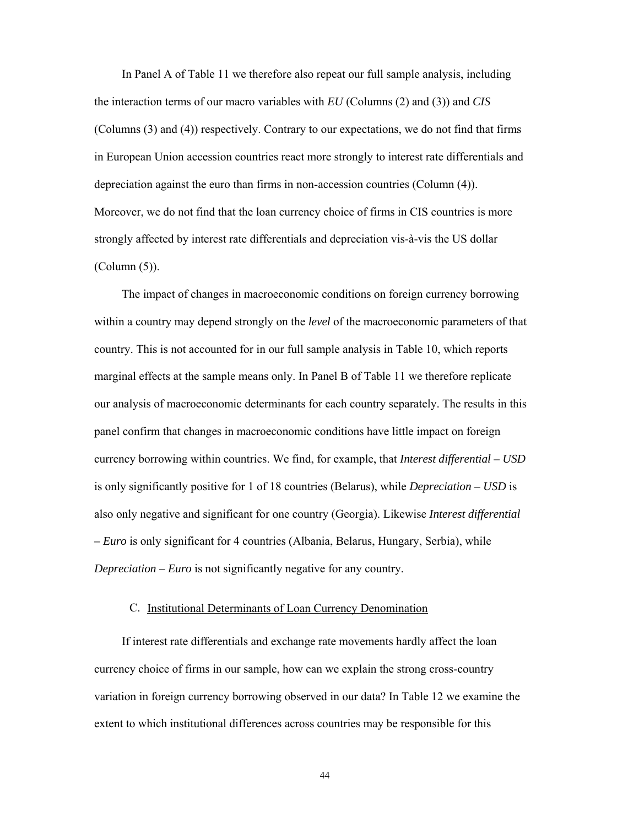In Panel A of Table 11 we therefore also repeat our full sample analysis, including the interaction terms of our macro variables with *EU* (Columns (2) and (3)) and *CIS* (Columns (3) and (4)) respectively. Contrary to our expectations, we do not find that firms in European Union accession countries react more strongly to interest rate differentials and depreciation against the euro than firms in non-accession countries (Column (4)). Moreover, we do not find that the loan currency choice of firms in CIS countries is more strongly affected by interest rate differentials and depreciation vis-à-vis the US dollar (Column (5)).

The impact of changes in macroeconomic conditions on foreign currency borrowing within a country may depend strongly on the *level* of the macroeconomic parameters of that country. This is not accounted for in our full sample analysis in Table 10, which reports marginal effects at the sample means only. In Panel B of Table 11 we therefore replicate our analysis of macroeconomic determinants for each country separately. The results in this panel confirm that changes in macroeconomic conditions have little impact on foreign currency borrowing within countries. We find, for example, that *Interest differential – USD* is only significantly positive for 1 of 18 countries (Belarus), while *Depreciation – USD* is also only negative and significant for one country (Georgia). Likewise *Interest differential – Euro* is only significant for 4 countries (Albania, Belarus, Hungary, Serbia), while *Depreciation – Euro* is not significantly negative for any country.

### C. Institutional Determinants of Loan Currency Denomination

If interest rate differentials and exchange rate movements hardly affect the loan currency choice of firms in our sample, how can we explain the strong cross-country variation in foreign currency borrowing observed in our data? In Table 12 we examine the extent to which institutional differences across countries may be responsible for this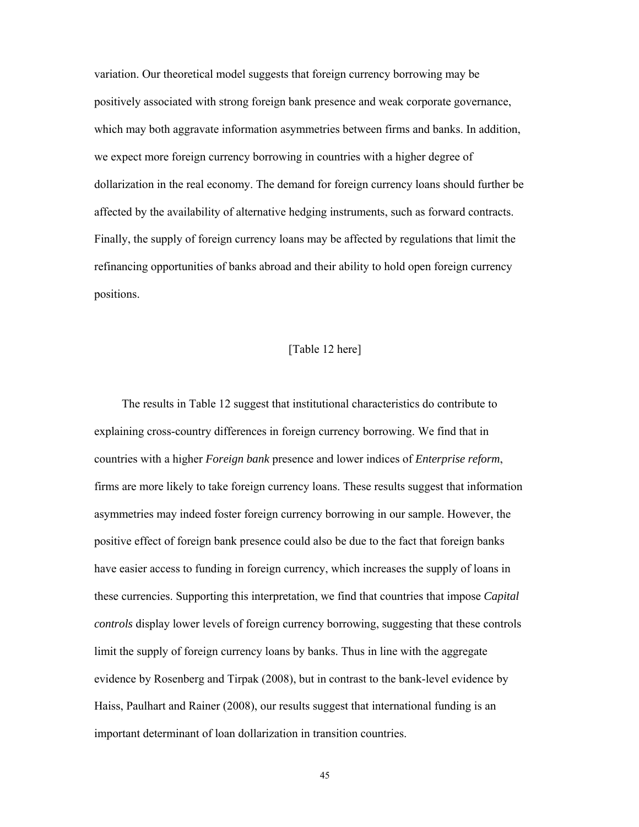variation. Our theoretical model suggests that foreign currency borrowing may be positively associated with strong foreign bank presence and weak corporate governance, which may both aggravate information asymmetries between firms and banks. In addition, we expect more foreign currency borrowing in countries with a higher degree of dollarization in the real economy. The demand for foreign currency loans should further be affected by the availability of alternative hedging instruments, such as forward contracts. Finally, the supply of foreign currency loans may be affected by regulations that limit the refinancing opportunities of banks abroad and their ability to hold open foreign currency positions.

### [Table 12 here]

The results in Table 12 suggest that institutional characteristics do contribute to explaining cross-country differences in foreign currency borrowing. We find that in countries with a higher *Foreign bank* presence and lower indices of *Enterprise reform*, firms are more likely to take foreign currency loans. These results suggest that information asymmetries may indeed foster foreign currency borrowing in our sample. However, the positive effect of foreign bank presence could also be due to the fact that foreign banks have easier access to funding in foreign currency, which increases the supply of loans in these currencies. Supporting this interpretation, we find that countries that impose *Capital controls* display lower levels of foreign currency borrowing, suggesting that these controls limit the supply of foreign currency loans by banks. Thus in line with the aggregate evidence by Rosenberg and Tirpak (2008), but in contrast to the bank-level evidence by Haiss, Paulhart and Rainer (2008), our results suggest that international funding is an important determinant of loan dollarization in transition countries.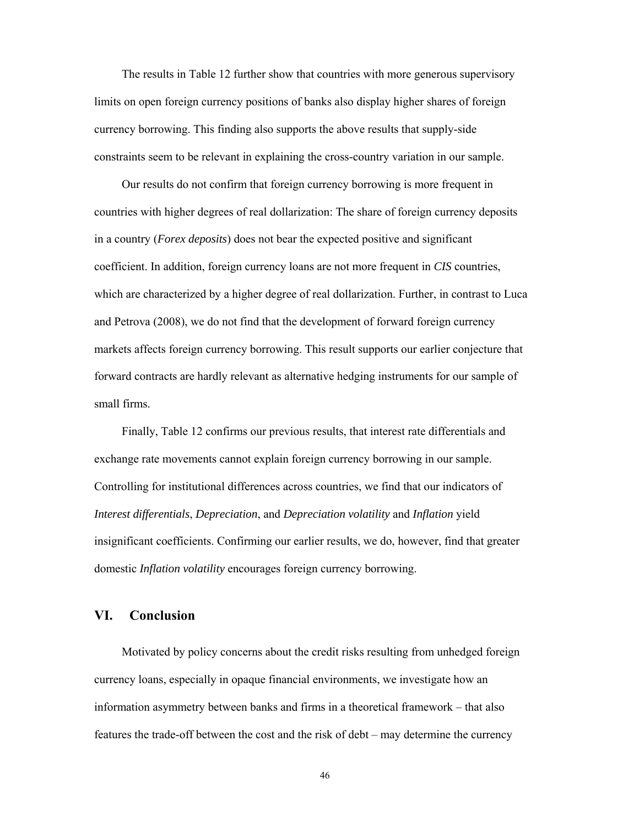The results in Table 12 further show that countries with more generous supervisory limits on open foreign currency positions of banks also display higher shares of foreign currency borrowing. This finding also supports the above results that supply-side constraints seem to be relevant in explaining the cross-country variation in our sample.

Our results do not confirm that foreign currency borrowing is more frequent in countries with higher degrees of real dollarization: The share of foreign currency deposits in a country (*Forex deposits*) does not bear the expected positive and significant coefficient. In addition, foreign currency loans are not more frequent in *CIS* countries, which are characterized by a higher degree of real dollarization. Further, in contrast to Luca and Petrova (2008), we do not find that the development of forward foreign currency markets affects foreign currency borrowing. This result supports our earlier conjecture that forward contracts are hardly relevant as alternative hedging instruments for our sample of small firms.

Finally, Table 12 confirms our previous results, that interest rate differentials and exchange rate movements cannot explain foreign currency borrowing in our sample. Controlling for institutional differences across countries, we find that our indicators of *Interest differentials*, *Depreciation*, and *Depreciation volatility* and *Inflation* yield insignificant coefficients. Confirming our earlier results, we do, however, find that greater domestic *Inflation volatility* encourages foreign currency borrowing.

## **VI. Conclusion**

Motivated by policy concerns about the credit risks resulting from unhedged foreign currency loans, especially in opaque financial environments, we investigate how an information asymmetry between banks and firms in a theoretical framework – that also features the trade-off between the cost and the risk of debt – may determine the currency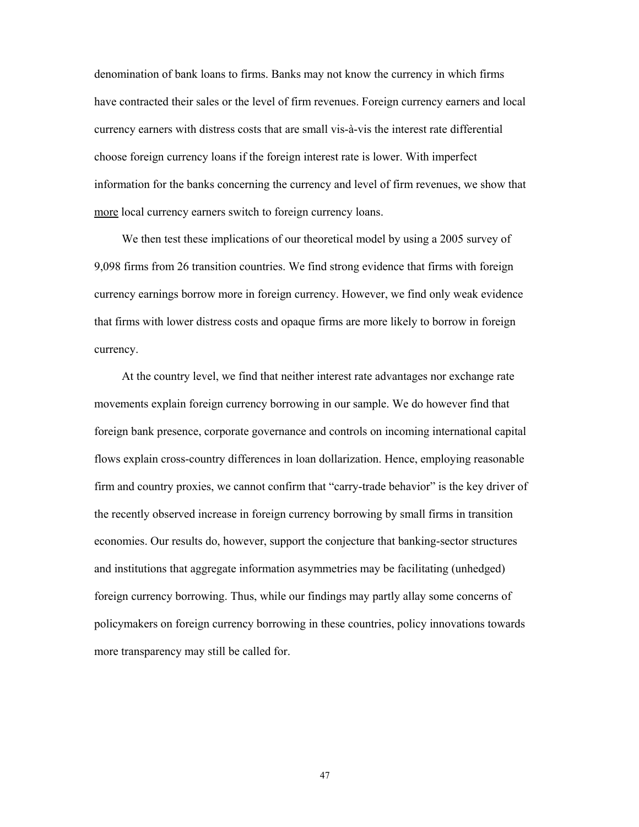denomination of bank loans to firms. Banks may not know the currency in which firms have contracted their sales or the level of firm revenues. Foreign currency earners and local currency earners with distress costs that are small vis-à-vis the interest rate differential choose foreign currency loans if the foreign interest rate is lower. With imperfect information for the banks concerning the currency and level of firm revenues, we show that more local currency earners switch to foreign currency loans.

We then test these implications of our theoretical model by using a 2005 survey of 9,098 firms from 26 transition countries. We find strong evidence that firms with foreign currency earnings borrow more in foreign currency. However, we find only weak evidence that firms with lower distress costs and opaque firms are more likely to borrow in foreign currency.

At the country level, we find that neither interest rate advantages nor exchange rate movements explain foreign currency borrowing in our sample. We do however find that foreign bank presence, corporate governance and controls on incoming international capital flows explain cross-country differences in loan dollarization. Hence, employing reasonable firm and country proxies, we cannot confirm that "carry-trade behavior" is the key driver of the recently observed increase in foreign currency borrowing by small firms in transition economies. Our results do, however, support the conjecture that banking-sector structures and institutions that aggregate information asymmetries may be facilitating (unhedged) foreign currency borrowing. Thus, while our findings may partly allay some concerns of policymakers on foreign currency borrowing in these countries, policy innovations towards more transparency may still be called for.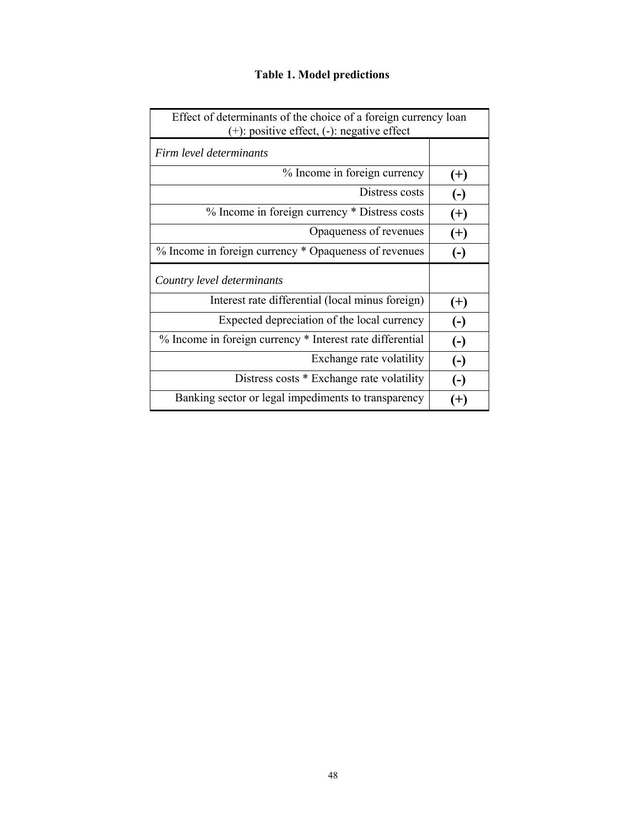| Effect of determinants of the choice of a foreign currency loan<br>$(+)$ : positive effect, $(-)$ : negative effect |                   |
|---------------------------------------------------------------------------------------------------------------------|-------------------|
| Firm level determinants                                                                                             |                   |
| % Income in foreign currency                                                                                        | $^{(+)}$          |
| Distress costs                                                                                                      | $\left( -\right)$ |
| % Income in foreign currency * Distress costs                                                                       | $(+)$             |
| Opaqueness of revenues                                                                                              | $(+)$             |
| % Income in foreign currency * Opaqueness of revenues                                                               | $\left( -\right)$ |
| Country level determinants                                                                                          |                   |
| Interest rate differential (local minus foreign)                                                                    | $(+)$             |
| Expected depreciation of the local currency                                                                         | $\left( -\right)$ |
| % Income in foreign currency * Interest rate differential                                                           | $\left( -\right)$ |
| Exchange rate volatility                                                                                            | $\left( -\right)$ |
| Distress costs * Exchange rate volatility                                                                           | $(-)$             |
|                                                                                                                     |                   |

# **Table 1. Model predictions**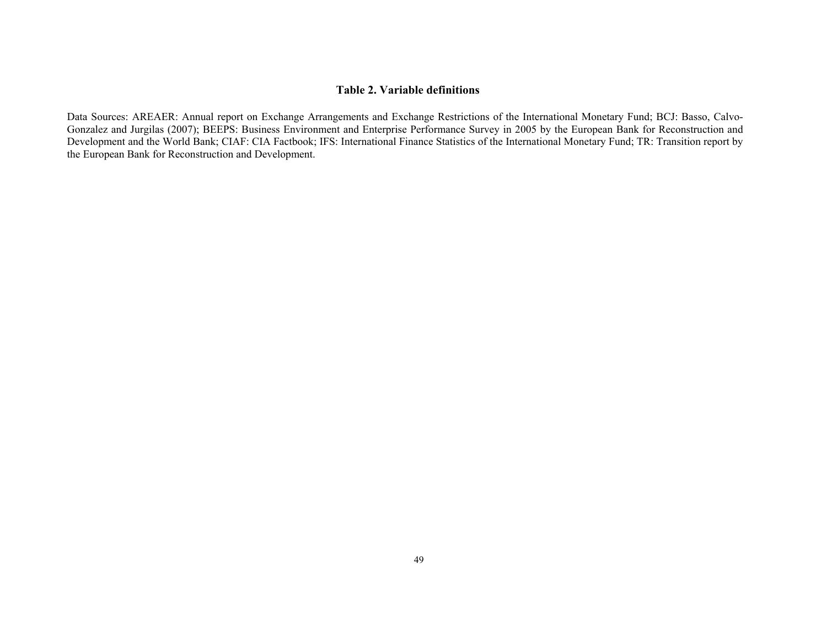#### **Table 2. Variable definitions**

Data Sources: AREAER: Annual report on Exchange Arrangements and Exchange Restrictions of the International Monetary Fund; BCJ: Basso, Calvo-Gonzalez and Jurgilas (2007); BEEPS: Business Environment and Enterprise Performance Survey in 2005 by the European Bank for Reconstruction and Development and the World Bank; CIAF: CIA Factbook; IFS: International Finance Statistics of the International Monetary Fund; TR: Transition report by the European Bank for Reconstruction and Development.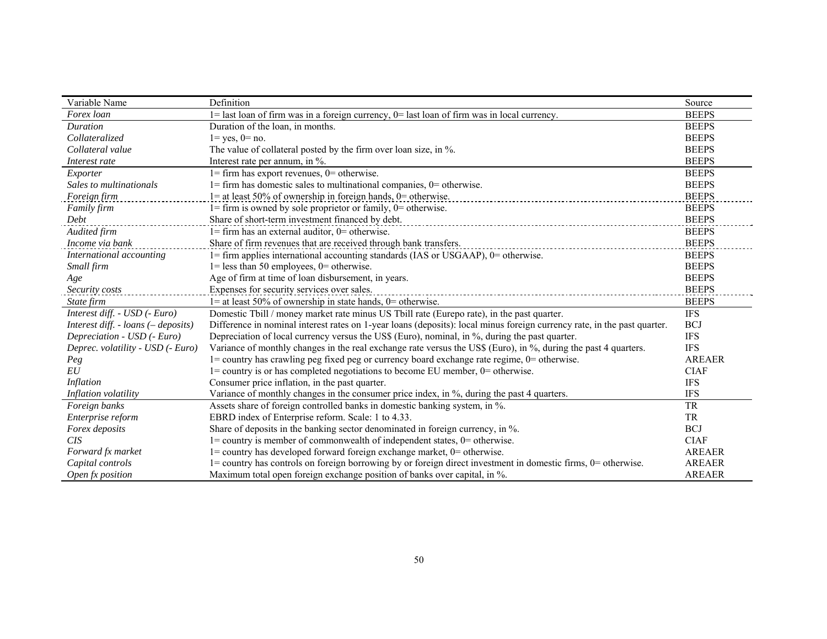| Variable Name                            | Definition                                                                                                               | Source        |
|------------------------------------------|--------------------------------------------------------------------------------------------------------------------------|---------------|
| Forex loan                               | 1= last loan of firm was in a foreign currency, 0= last loan of firm was in local currency.                              | <b>BEEPS</b>  |
| <b>Duration</b>                          | Duration of the loan, in months.                                                                                         | <b>BEEPS</b>  |
| Collateralized                           | $1 = yes, 0 = no.$                                                                                                       | <b>BEEPS</b>  |
| Collateral value                         | The value of collateral posted by the firm over loan size, in %.                                                         | <b>BEEPS</b>  |
| Interest rate                            | Interest rate per annum, in %.                                                                                           | <b>BEEPS</b>  |
| Exporter                                 | $l =$ firm has export revenues, $0 =$ otherwise.                                                                         | <b>BEEPS</b>  |
| Sales to multinationals                  | 1= firm has domestic sales to multinational companies, 0= otherwise.                                                     | <b>BEEPS</b>  |
| Foreign firm                             | $1 =$ at least 50% of ownership in foreign hands, $0 =$ otherwise.                                                       | <b>BEEPS</b>  |
| Family firm                              | $l =$ firm is owned by sole proprietor or family, $0 =$ otherwise.                                                       | <b>BEEPS</b>  |
| Debt                                     | Share of short-term investment financed by debt.                                                                         | <b>BEEPS</b>  |
| Audited firm                             | $l =$ firm has an external auditor, $0 =$ otherwise.                                                                     | <b>BEEPS</b>  |
| Income via bank                          | Share of firm revenues that are received through bank transfers.                                                         | <b>BEEPS</b>  |
| International accounting                 | 1= firm applies international accounting standards (IAS or USGAAP), 0= otherwise.                                        | <b>BEEPS</b>  |
| Small firm                               | $1 =$ less than 50 employees, $0 =$ otherwise.                                                                           | <b>BEEPS</b>  |
| Age                                      | Age of firm at time of loan disbursement, in years.                                                                      | <b>BEEPS</b>  |
| Security costs                           | Expenses for security services over sales.                                                                               | <b>BEEPS</b>  |
| State firm                               | $1 =$ at least 50% of ownership in state hands, 0= otherwise.                                                            | <b>BEEPS</b>  |
| Interest diff. - USD (- Euro)            | Domestic Tbill / money market rate minus US Tbill rate (Eurepo rate), in the past quarter.                               | <b>IFS</b>    |
| Interest diff. - $loans$ ( $-$ deposits) | Difference in nominal interest rates on 1-year loans (deposits): local minus foreign currency rate, in the past quarter. | <b>BCJ</b>    |
| Depreciation - USD (- Euro)              | Depreciation of local currency versus the US\$ (Euro), nominal, in %, during the past quarter.                           | <b>IFS</b>    |
| Deprec. volatility - USD (- Euro)        | Variance of monthly changes in the real exchange rate versus the US\$ (Euro), in %, during the past 4 quarters.          | <b>IFS</b>    |
| Peg                                      | 1= country has crawling peg fixed peg or currency board exchange rate regime, 0= otherwise.                              | <b>AREAER</b> |
| EU                                       | $1 =$ country is or has completed negotiations to become EU member, $0 =$ otherwise.                                     | <b>CIAF</b>   |
| Inflation                                | Consumer price inflation, in the past quarter.                                                                           | <b>IFS</b>    |
| Inflation volatility                     | Variance of monthly changes in the consumer price index, in %, during the past 4 quarters.                               | <b>IFS</b>    |
| Foreign banks                            | Assets share of foreign controlled banks in domestic banking system, in %.                                               | <b>TR</b>     |
| Enterprise reform                        | EBRD index of Enterprise reform. Scale: 1 to 4.33.                                                                       | TR            |
| Forex deposits                           | Share of deposits in the banking sector denominated in foreign currency, in %.                                           | <b>BCJ</b>    |
| CIS <sup>-</sup>                         | $1 =$ country is member of commonwealth of independent states, $0 =$ otherwise.                                          | <b>CIAF</b>   |
| Forward fx market                        | 1= country has developed forward foreign exchange market, 0= otherwise.                                                  | <b>AREAER</b> |
| Capital controls                         | 1= country has controls on foreign borrowing by or foreign direct investment in domestic firms, 0= otherwise.            | <b>AREAER</b> |
| Open fx position                         | Maximum total open foreign exchange position of banks over capital, in %.                                                | <b>AREAER</b> |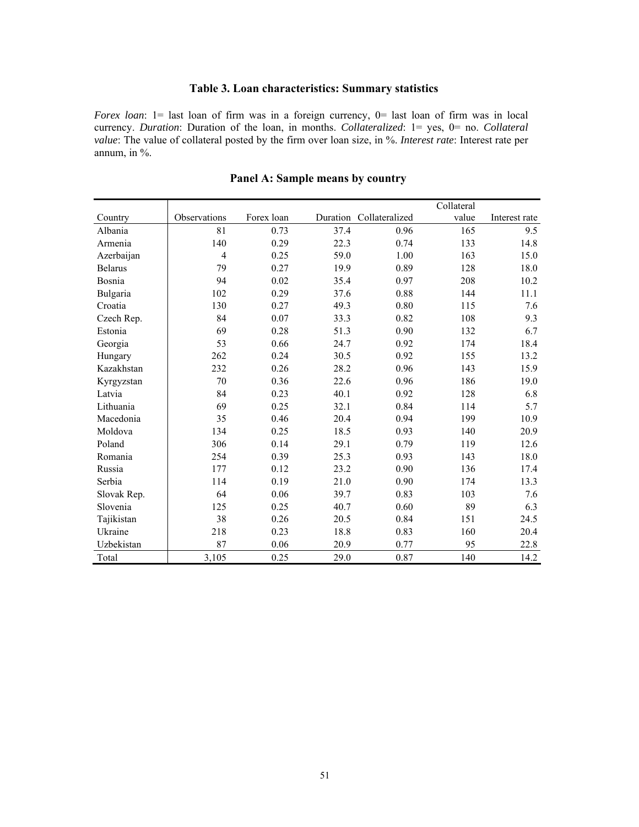### **Table 3. Loan characteristics: Summary statistics**

*Forex loan*: 1= last loan of firm was in a foreign currency, 0= last loan of firm was in local currency. *Duration*: Duration of the loan, in months. *Collateralized*: 1= yes, 0= no. *Collateral value*: The value of collateral posted by the firm over loan size, in %. *Interest rate*: Interest rate per annum, in %.

|                |                |            |      |                         | Collateral |               |
|----------------|----------------|------------|------|-------------------------|------------|---------------|
| Country        | Observations   | Forex loan |      | Duration Collateralized | value      | Interest rate |
| Albania        | 81             | 0.73       | 37.4 | 0.96                    | 165        | 9.5           |
| Armenia        | 140            | 0.29       | 22.3 | 0.74                    | 133        | 14.8          |
| Azerbaijan     | $\overline{4}$ | 0.25       | 59.0 | 1.00                    | 163        | 15.0          |
| <b>Belarus</b> | 79             | 0.27       | 19.9 | 0.89                    | 128        | 18.0          |
| Bosnia         | 94             | 0.02       | 35.4 | 0.97                    | 208        | 10.2          |
| Bulgaria       | 102            | 0.29       | 37.6 | 0.88                    | 144        | 11.1          |
| Croatia        | 130            | 0.27       | 49.3 | 0.80                    | 115        | 7.6           |
| Czech Rep.     | 84             | 0.07       | 33.3 | 0.82                    | 108        | 9.3           |
| Estonia        | 69             | 0.28       | 51.3 | 0.90                    | 132        | 6.7           |
| Georgia        | 53             | 0.66       | 24.7 | 0.92                    | 174        | 18.4          |
| Hungary        | 262            | 0.24       | 30.5 | 0.92                    | 155        | 13.2          |
| Kazakhstan     | 232            | 0.26       | 28.2 | 0.96                    | 143        | 15.9          |
| Kyrgyzstan     | 70             | 0.36       | 22.6 | 0.96                    | 186        | 19.0          |
| Latvia         | 84             | 0.23       | 40.1 | 0.92                    | 128        | 6.8           |
| Lithuania      | 69             | 0.25       | 32.1 | 0.84                    | 114        | 5.7           |
| Macedonia      | 35             | 0.46       | 20.4 | 0.94                    | 199        | 10.9          |
| Moldova        | 134            | 0.25       | 18.5 | 0.93                    | 140        | 20.9          |
| Poland         | 306            | 0.14       | 29.1 | 0.79                    | 119        | 12.6          |
| Romania        | 254            | 0.39       | 25.3 | 0.93                    | 143        | 18.0          |
| Russia         | 177            | 0.12       | 23.2 | 0.90                    | 136        | 17.4          |
| Serbia         | 114            | 0.19       | 21.0 | 0.90                    | 174        | 13.3          |
| Slovak Rep.    | 64             | 0.06       | 39.7 | 0.83                    | 103        | 7.6           |
| Slovenia       | 125            | 0.25       | 40.7 | 0.60                    | 89         | 6.3           |
| Tajikistan     | 38             | 0.26       | 20.5 | 0.84                    | 151        | 24.5          |
| Ukraine        | 218            | 0.23       | 18.8 | 0.83                    | 160        | 20.4          |
| Uzbekistan     | 87             | 0.06       | 20.9 | 0.77                    | 95         | 22.8          |
| Total          | 3,105          | 0.25       | 29.0 | 0.87                    | 140        | 14.2          |

## **Panel A: Sample means by country**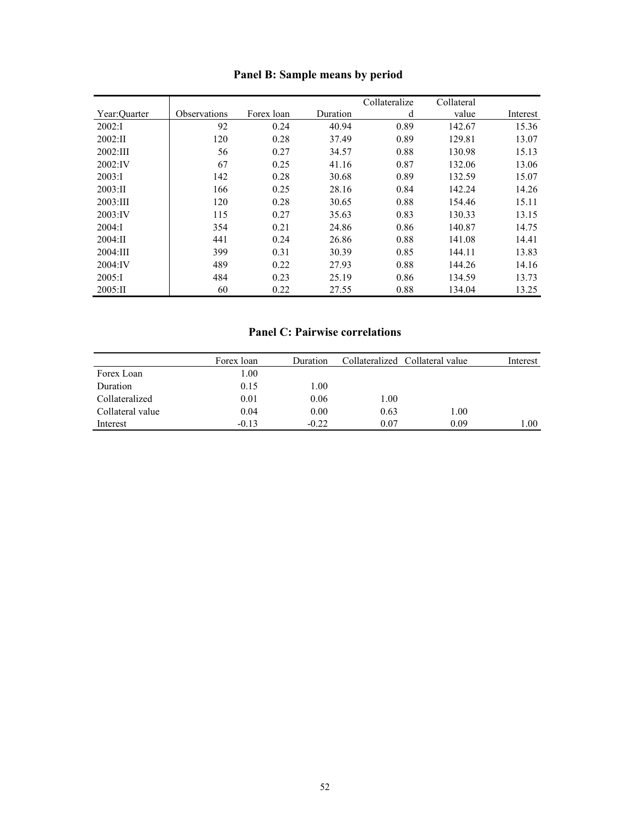|              |              |            |          | Collateralize | Collateral |          |
|--------------|--------------|------------|----------|---------------|------------|----------|
| Year:Quarter | Observations | Forex loan | Duration | d             | value      | Interest |
| 2002:1       | 92           | 0.24       | 40.94    | 0.89          | 142.67     | 15.36    |
| 2002:II      | 120          | 0.28       | 37.49    | 0.89          | 129.81     | 13.07    |
| 2002:III     | 56           | 0.27       | 34.57    | 0.88          | 130.98     | 15.13    |
| 2002:IV      | 67           | 0.25       | 41.16    | 0.87          | 132.06     | 13.06    |
| 2003:1       | 142          | 0.28       | 30.68    | 0.89          | 132.59     | 15.07    |
| 2003:II      | 166          | 0.25       | 28.16    | 0.84          | 142.24     | 14.26    |
| 2003:III     | 120          | 0.28       | 30.65    | 0.88          | 154.46     | 15.11    |
| 2003:IV      | 115          | 0.27       | 35.63    | 0.83          | 130.33     | 13.15    |
| 2004:1       | 354          | 0.21       | 24.86    | 0.86          | 140.87     | 14.75    |
| $2004:$ II   | 441          | 0.24       | 26.86    | 0.88          | 141.08     | 14.41    |
| 2004:III     | 399          | 0.31       | 30.39    | 0.85          | 144.11     | 13.83    |
| 2004:IV      | 489          | 0.22       | 27.93    | 0.88          | 144.26     | 14.16    |
| 2005:1       | 484          | 0.23       | 25.19    | 0.86          | 134.59     | 13.73    |
| 2005:II      | 60           | 0.22       | 27.55    | 0.88          | 134.04     | 13.25    |

# **Panel B: Sample means by period**

# **Panel C: Pairwise correlations**

|                  | Forex loan | Duration |      | Collateralized Collateral value | Interest |
|------------------|------------|----------|------|---------------------------------|----------|
| Forex Loan       | 1.00       |          |      |                                 |          |
| Duration         | 0.15       | l.00     |      |                                 |          |
| Collateralized   | 0.01       | 0.06     | 1.00 |                                 |          |
| Collateral value | 0.04       | 0.00     | 0.63 | 1.00                            |          |
| Interest         | $-0.13$    | $-0.22$  | 0.07 | 0.09                            | 00.1     |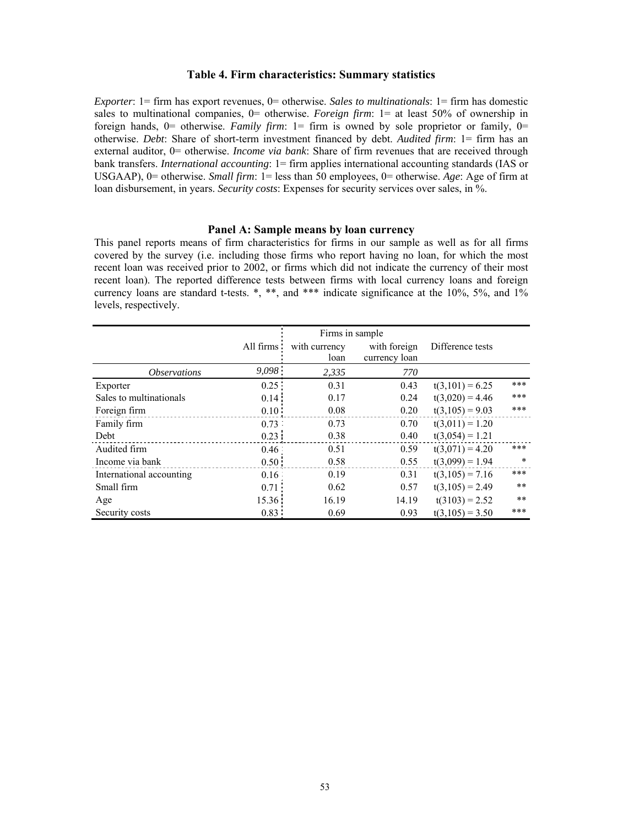#### **Table 4. Firm characteristics: Summary statistics**

*Exporter*: 1= firm has export revenues, 0= otherwise. *Sales to multinationals*: 1= firm has domestic sales to multinational companies, 0= otherwise. *Foreign firm*: 1= at least 50% of ownership in foreign hands, 0= otherwise. *Family firm*: 1= firm is owned by sole proprietor or family, 0= otherwise. *Debt*: Share of short-term investment financed by debt. *Audited firm*: 1= firm has an external auditor, 0= otherwise. *Income via bank*: Share of firm revenues that are received through bank transfers. *International accounting*: 1= firm applies international accounting standards (IAS or USGAAP), 0= otherwise. *Small firm*: 1= less than 50 employees, 0= otherwise. *Age*: Age of firm at loan disbursement, in years. *Security costs*: Expenses for security services over sales, in %.

### **Panel A: Sample means by loan currency**

This panel reports means of firm characteristics for firms in our sample as well as for all firms covered by the survey (i.e. including those firms who report having no loan, for which the most recent loan was received prior to 2002, or firms which did not indicate the currency of their most recent loan). The reported difference tests between firms with local currency loans and foreign currency loans are standard t-tests. \*, \*\*, and \*\*\* indicate significance at the 10%, 5%, and 1% levels, respectively.

|                            |                   | Firms in sample       |                               |                   |     |
|----------------------------|-------------------|-----------------------|-------------------------------|-------------------|-----|
|                            | All firms         | with currency<br>loan | with foreign<br>currency loan | Difference tests  |     |
| <i><b>Observations</b></i> | 9,098:            | 2,335                 | 770                           |                   |     |
| Exporter                   | 0.25              | 0.31                  | 0.43                          | $t(3,101) = 6.25$ | *** |
| Sales to multinationals    | 0.14              | 0.17                  | 0.24                          | $t(3,020) = 4.46$ | *** |
| Foreign firm               | 0.10:             | 0.08                  | 0.20                          | $t(3,105) = 9.03$ | *** |
| Family firm                | $0.73$ :          | 0.73                  | 0.70                          | $t(3,011) = 1.20$ |     |
| Debt                       | 0.23              | 0.38                  | 0.40                          | $t(3,054) = 1.21$ |     |
| Audited firm               | 0.46:             | 0.51                  | 0.59                          | $t(3,071) = 4.20$ | *** |
| Income via bank            | 0.50 <sup>1</sup> | 0.58                  | 0.55                          | $t(3,099) = 1.94$ | *   |
| International accounting   | 0.16              | 0.19                  | 0.31                          | $t(3,105) = 7.16$ | *** |
| Small firm                 | 0.71              | 0.62                  | 0.57                          | $t(3,105) = 2.49$ | **  |
| Age                        | 15.36             | 16.19                 | 14.19                         | $t(3103) = 2.52$  | **  |
| Security costs             | 0.83:             | 0.69                  | 0.93                          | $t(3,105) = 3.50$ | *** |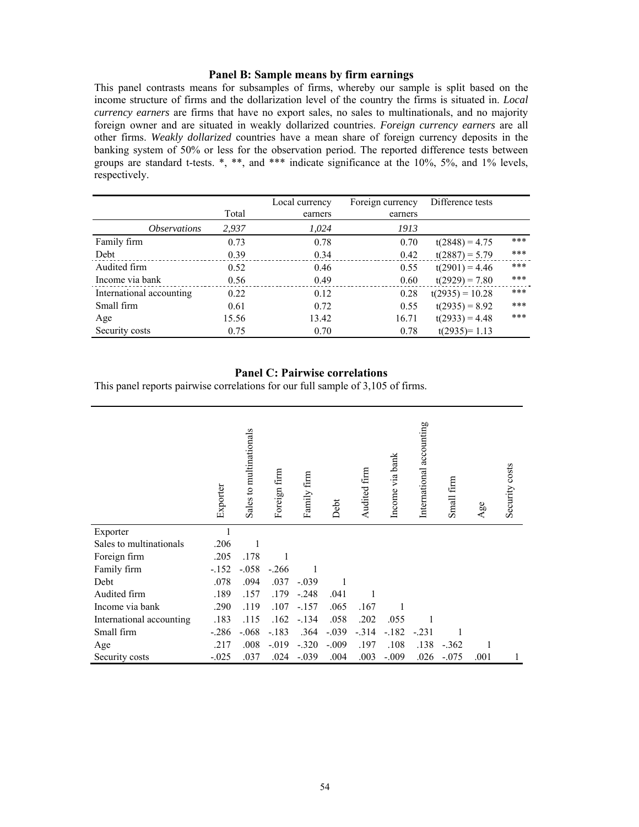### **Panel B: Sample means by firm earnings**

This panel contrasts means for subsamples of firms, whereby our sample is split based on the income structure of firms and the dollarization level of the country the firms is situated in. *Local currency earners* are firms that have no export sales, no sales to multinationals, and no majority foreign owner and are situated in weakly dollarized countries. *Foreign currency earners* are all other firms. *Weakly dollarized* countries have a mean share of foreign currency deposits in the banking system of 50% or less for the observation period. The reported difference tests between groups are standard t-tests. \*, \*\*, and \*\*\* indicate significance at the 10%, 5%, and 1% levels, respectively.

|                            |       | Local currency | Foreign currency | Difference tests  |     |
|----------------------------|-------|----------------|------------------|-------------------|-----|
|                            | Total | earners        | earners          |                   |     |
| <i><b>Observations</b></i> | 2,937 | 1,024          | 1913             |                   |     |
| Family firm                | 0.73  | 0.78           | 0.70             | $t(2848) = 4.75$  | *** |
| Debt                       | 0.39  | 0.34           | 0.42             | $t(2887) = 5.79$  | *** |
| Audited firm               | 0.52  | 0.46           | 0.55             | $t(2901) = 4.46$  | *** |
| Income via bank            | 0.56  | 0.49           | 0.60             | $t(2929) = 7.80$  | *** |
| International accounting   | 0.22  | 0.12           | 0.28             | $t(2935) = 10.28$ | *** |
| Small firm                 | 0.61  | 0.72           | 0.55             | $t(2935) = 8.92$  | *** |
| Age                        | 15.56 | 13.42          | 16.71            | $t(2933) = 4.48$  | *** |
| Security costs             | 0.75  | 0.70           | 0.78             | $t(2935)=1.13$    |     |

#### **Panel C: Pairwise correlations**

This panel reports pairwise correlations for our full sample of 3,105 of firms.

|                          | Exporter | Sales to multinationals | Foreign firm | Family firm | Debt    | Audited firm | Income via bank | International accounting | Small firm | Age  | Security costs |
|--------------------------|----------|-------------------------|--------------|-------------|---------|--------------|-----------------|--------------------------|------------|------|----------------|
| Exporter                 |          |                         |              |             |         |              |                 |                          |            |      |                |
| Sales to multinationals  | .206     | 1                       |              |             |         |              |                 |                          |            |      |                |
| Foreign firm             | .205     | .178                    |              |             |         |              |                 |                          |            |      |                |
| Family firm              | $-152$   | $-.058$                 | $-.266$      |             |         |              |                 |                          |            |      |                |
| Debt                     | .078     | .094                    | .037         | $-.039$     |         |              |                 |                          |            |      |                |
| Audited firm             | .189     | .157                    | .179         | $-.248$     | .041    |              |                 |                          |            |      |                |
| Income via bank          | .290     | .119                    | .107         | $-.157$     | .065    | .167         |                 |                          |            |      |                |
| International accounting | .183     | .115                    | .162         | $-134$      | .058    | .202         | .055            |                          |            |      |                |
| Small firm               | $-.286$  | $-0.068$                | $-.183$      | .364        | $-.039$ | $-.314$      | $-.182$         | $-.231$                  |            |      |                |
| Age                      | .217     | .008                    | $-0.019$     | $-.320$     | $-.009$ | .197         | .108            | .138                     | $-.362$    |      |                |
| Security costs           | $-.025$  | .037                    | .024         | $-.039$     | .004    | .003         | $-.009$         | .026                     | $-.075$    | .001 |                |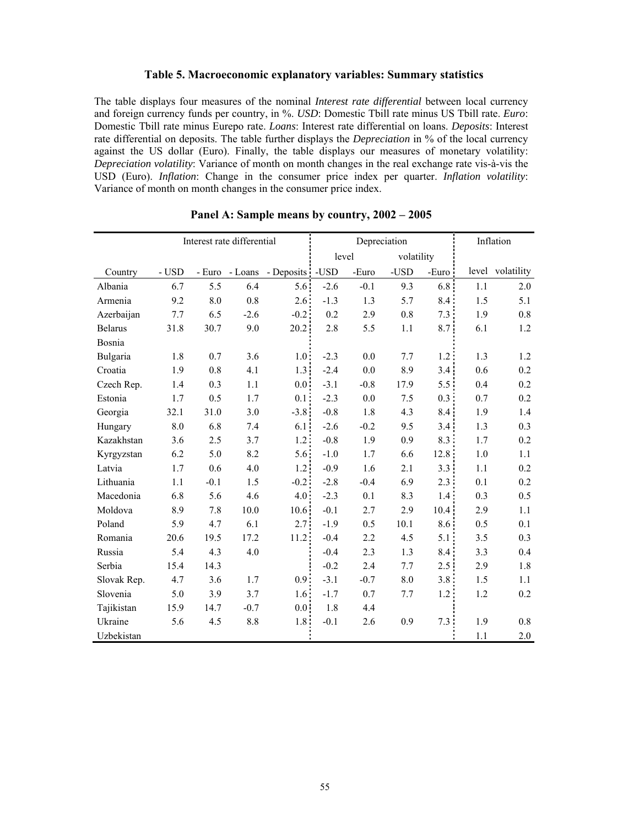#### **Table 5. Macroeconomic explanatory variables: Summary statistics**

The table displays four measures of the nominal *Interest rate differential* between local currency and foreign currency funds per country, in %. *USD*: Domestic Tbill rate minus US Tbill rate. *Euro*: Domestic Tbill rate minus Eurepo rate. *Loans*: Interest rate differential on loans. *Deposits*: Interest rate differential on deposits. The table further displays the *Depreciation* in % of the local currency against the US dollar (Euro). Finally, the table displays our measures of monetary volatility: *Depreciation volatility*: Variance of month on month changes in the real exchange rate vis-à-vis the USD (Euro). *Inflation*: Change in the consumer price index per quarter. *Inflation volatility*: Variance of month on month changes in the consumer price index.

|                |       |        | Interest rate differential |                  |        |         | Depreciation      |       |     | Inflation        |
|----------------|-------|--------|----------------------------|------------------|--------|---------|-------------------|-------|-----|------------------|
|                |       |        |                            |                  | level  |         | volatility        |       |     |                  |
| Country        | - USD |        | - Euro - Loans             | - Deposits       | -USD   | -Euro   | $\mbox{\sf -USD}$ | -Euro |     | level volatility |
| Albania        | 6.7   | 5.5    | 6.4                        | 5.6              | $-2.6$ | $-0.1$  | 9.3               | 6.8   | 1.1 | 2.0              |
| Armenia        | 9.2   | 8.0    | 0.8                        | $2.6^{\circ}$    | $-1.3$ | 1.3     | 5.7               | 8.4   | 1.5 | 5.1              |
| Azerbaijan     | 7.7   | 6.5    | $-2.6$                     | $-0.2$           | 0.2    | 2.9     | 0.8               | 7.3   | 1.9 | 0.8              |
| <b>Belarus</b> | 31.8  | 30.7   | 9.0                        | 20.2             | 2.8    | 5.5     | 1.1               | 8.7   | 6.1 | 1.2              |
| Bosnia         |       |        |                            |                  |        |         |                   |       |     |                  |
| Bulgaria       | 1.8   | 0.7    | 3.6                        | 1.0              | $-2.3$ | 0.0     | 7.7               | 1.2   | 1.3 | 1.2              |
| Croatia        | 1.9   | 0.8    | 4.1                        | 1.3              | $-2.4$ | 0.0     | 8.9               | 3.4   | 0.6 | 0.2              |
| Czech Rep.     | 1.4   | 0.3    | 1.1                        | 0.0              | $-3.1$ | $-0.8$  | 17.9              | 5.5   | 0.4 | 0.2              |
| Estonia        | 1.7   | 0.5    | 1.7                        | 0.1              | $-2.3$ | $0.0\,$ | 7.5               | 0.3   | 0.7 | 0.2              |
| Georgia        | 32.1  | 31.0   | 3.0                        | $-3.8$           | $-0.8$ | 1.8     | 4.3               | 8.4   | 1.9 | 1.4              |
| Hungary        | 8.0   | 6.8    | 7.4                        | 6.1              | $-2.6$ | $-0.2$  | 9.5               | 3.4   | 1.3 | 0.3              |
| Kazakhstan     | 3.6   | 2.5    | 3.7                        | 1.2              | $-0.8$ | 1.9     | 0.9               | 8.3   | 1.7 | 0.2              |
| Kyrgyzstan     | 6.2   | 5.0    | 8.2                        | 5.6              | $-1.0$ | 1.7     | 6.6               | 12.8  | 1.0 | 1.1              |
| Latvia         | 1.7   | 0.6    | 4.0                        | 1.2              | $-0.9$ | 1.6     | 2.1               | 3.3   | 1.1 | 0.2              |
| Lithuania      | 1.1   | $-0.1$ | 1.5                        | $-0.2$           | $-2.8$ | $-0.4$  | 6.9               | 2.3   | 0.1 | 0.2              |
| Macedonia      | 6.8   | 5.6    | 4.6                        | 4.0              | $-2.3$ | 0.1     | 8.3               | 1.4   | 0.3 | 0.5              |
| Moldova        | 8.9   | 7.8    | 10.0                       | 10.6             | $-0.1$ | 2.7     | 2.9               | 10.4  | 2.9 | 1.1              |
| Poland         | 5.9   | 4.7    | 6.1                        | 2.7              | $-1.9$ | 0.5     | 10.1              | 8.6   | 0.5 | 0.1              |
| Romania        | 20.6  | 19.5   | 17.2                       | 11.2:            | $-0.4$ | 2.2     | 4.5               | 5.1   | 3.5 | 0.3              |
| Russia         | 5.4   | 4.3    | 4.0                        |                  | $-0.4$ | 2.3     | 1.3               | 8.4   | 3.3 | 0.4              |
| Serbia         | 15.4  | 14.3   |                            |                  | $-0.2$ | 2.4     | 7.7               | 2.5   | 2.9 | 1.8              |
| Slovak Rep.    | 4.7   | 3.6    | 1.7                        | 0.9 <sup>1</sup> | $-3.1$ | $-0.7$  | 8.0               | 3.8   | 1.5 | 1.1              |
| Slovenia       | 5.0   | 3.9    | 3.7                        | 1.6              | $-1.7$ | 0.7     | 7.7               | 1.2   | 1.2 | 0.2              |
| Tajikistan     | 15.9  | 14.7   | $-0.7$                     | 0.0              | 1.8    | 4.4     |                   |       |     |                  |
| Ukraine        | 5.6   | 4.5    | $8.8\,$                    | 1.8              | $-0.1$ | 2.6     | 0.9               | 7.3   | 1.9 | 0.8              |
| Uzbekistan     |       |        |                            |                  |        |         |                   |       | 1.1 | 2.0              |

**Panel A: Sample means by country, 2002 – 2005**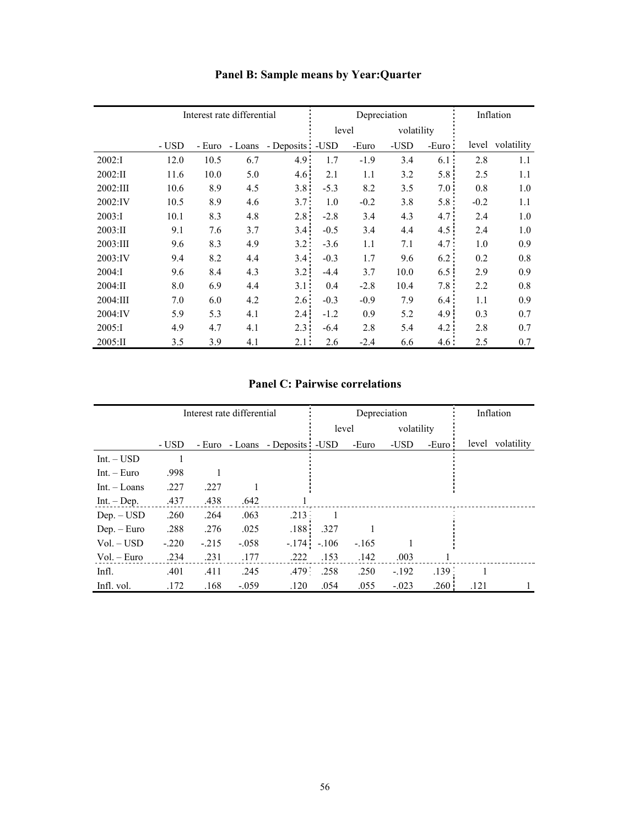|          |       |        | Interest rate differential |                  |        | Depreciation |            | Inflation        |        |            |
|----------|-------|--------|----------------------------|------------------|--------|--------------|------------|------------------|--------|------------|
|          |       |        |                            |                  |        | level        | volatility |                  |        |            |
|          | - USD | - Euro | - Loans                    | - Deposits - USD |        | -Euro        | -USD       | -Euro:           | level  | volatility |
| 2002:1   | 12.0  | 10.5   | 6.7                        | 4.9              | 1.7    | $-1.9$       | 3.4        | $6.1$ :          | 2.8    | 1.1        |
| 2002:II  | 11.6  | 10.0   | 5.0                        | 4.6              | 2.1    | 1.1          | 3.2        | 5.8              | 2.5    | 1.1        |
| 2002:III | 10.6  | 8.9    | 4.5                        | 3.8 <sub>1</sub> | $-5.3$ | 8.2          | 3.5        | 7.0 <sup>1</sup> | 0.8    | 1.0        |
| 2002:IV  | 10.5  | 8.9    | 4.6                        | 3.7:             | 1.0    | $-0.2$       | 3.8        | 5.8 <sup>1</sup> | $-0.2$ | 1.1        |
| 2003:1   | 10.1  | 8.3    | 4.8                        | 2.8              | $-2.8$ | 3.4          | 4.3        | 4.7              | 2.4    | 1.0        |
| 2003:II  | 9.1   | 7.6    | 3.7                        | 3.4              | $-0.5$ | 3.4          | 4.4        | 4.5              | 2.4    | 1.0        |
| 2003:III | 9.6   | 8.3    | 4.9                        | 3.2:             | $-3.6$ | 1.1          | 7.1        | 4.7:             | 1.0    | 0.9        |
| 2003:IV  | 9.4   | 8.2    | 4.4                        | 3.4:             | $-0.3$ | 1.7          | 9.6        | 6.2:             | 0.2    | 0.8        |
| 2004:I   | 9.6   | 8.4    | 4.3                        | 3.2              | $-4.4$ | 3.7          | 10.0       | 6.5              | 2.9    | 0.9        |
| 2004:II  | 8.0   | 6.9    | 4.4                        | 3.1:             | 0.4    | $-2.8$       | 10.4       | 7.8:             | 2.2    | 0.8        |
| 2004:III | 7.0   | 6.0    | 4.2                        | $2.6^{\circ}$    | $-0.3$ | $-0.9$       | 7.9        | 6.4              | 1.1    | 0.9        |
| 2004:IV  | 5.9   | 5.3    | 4.1                        | 2.4              | $-1.2$ | 0.9          | 5.2        | 4.9:             | 0.3    | 0.7        |
| 2005:1   | 4.9   | 4.7    | 4.1                        | 2.3 <sup>1</sup> | $-6.4$ | 2.8          | 5.4        | 4.2              | 2.8    | 0.7        |
| 2005:II  | 3.5   | 3.9    | 4.1                        | 2.1:             | 2.6    | $-2.4$       | 6.6        | 4.6:             | 2.5    | 0.7        |

# **Panel B: Sample means by Year:Quarter**

# **Panel C: Pairwise correlations**

|                |         |         | Interest rate differential |                   | Depreciation   |        |            |                   |      | Inflation        |
|----------------|---------|---------|----------------------------|-------------------|----------------|--------|------------|-------------------|------|------------------|
|                |         |         |                            |                   | level          |        | volatility |                   |      |                  |
|                | - USD   |         | - Euro - Loans             | - Deposits - USD  |                | -Euro  | -USD       | $-Euro$           |      | level volatility |
| $Int. - USD$   | 1       |         |                            |                   |                |        |            |                   |      |                  |
| $Int. - Euro$  | .998    |         |                            |                   |                |        |            |                   |      |                  |
| $Int. - Loans$ | .227    | .227    |                            |                   |                |        |            |                   |      |                  |
| $Int. - Dep.$  | .437    | .438    | .642                       |                   |                |        |            |                   |      |                  |
| $Dep. - USD$   | .260    | .264    | .063                       | .213:             | $\overline{1}$ |        |            |                   |      |                  |
| $Dep. - Euro$  | .288    | .276    | .025                       | .188 <sup>1</sup> | .327           |        |            |                   |      |                  |
| $Vol. - USD$   | $-.220$ | $-.215$ | $-.058$                    | $-174$            | $-.106$        | $-165$ |            |                   |      |                  |
| $Vol. - Euro$  | .234    | .231    | .177                       | .222              | .153           | .142   | .003       |                   |      |                  |
| Infl.          | .401    | .411    | .245                       | .479:             | .258           | .250   | $-.192$    | $.139 -$          |      |                  |
| Infl. vol.     | .172    | .168    | $-.059$                    | .120              | .054           | .055   | $-.023$    | .260 <sup>1</sup> | .121 |                  |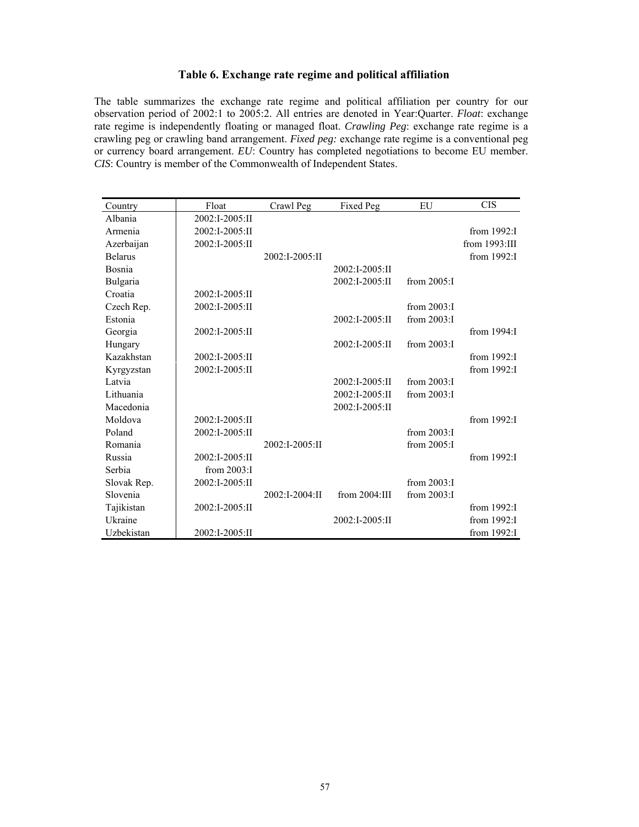### **Table 6. Exchange rate regime and political affiliation**

The table summarizes the exchange rate regime and political affiliation per country for our observation period of 2002:1 to 2005:2. All entries are denoted in Year:Quarter. *Float*: exchange rate regime is independently floating or managed float. *Crawling Peg*: exchange rate regime is a crawling peg or crawling band arrangement. *Fixed peg:* exchange rate regime is a conventional peg or currency board arrangement. *EU*: Country has completed negotiations to become EU member. *CIS*: Country is member of the Commonwealth of Independent States.

| Country        | Float          | Crawl Peg      | Fixed Peg        | EU             | <b>CIS</b>     |
|----------------|----------------|----------------|------------------|----------------|----------------|
| Albania        | 2002:I-2005:II |                |                  |                |                |
| Armenia        | 2002:I-2005:II |                |                  |                | from $1992:1$  |
| Azerbaijan     | 2002:I-2005:II |                |                  |                | from 1993:III  |
| <b>Belarus</b> |                | 2002:I-2005:II |                  |                | from 1992:I    |
| Bosnia         |                |                | 2002:I-2005:II   |                |                |
| Bulgaria       |                |                | 2002:I-2005:II   | from $2005:$ I |                |
| Croatia        | 2002:I-2005:II |                |                  |                |                |
| Czech Rep.     | 2002:I-2005:II |                |                  | from $2003:$ I |                |
| Estonia        |                |                | 2002:I-2005:II   | from $2003:$ I |                |
| Georgia        | 2002:I-2005:II |                |                  |                | from 1994:I    |
| Hungary        |                |                | 2002:I-2005:II   | from $2003:$ I |                |
| Kazakhstan     | 2002:I-2005:II |                |                  |                | from $1992:1$  |
| Kyrgyzstan     | 2002:I-2005:II |                |                  |                | from $1992:$ I |
| Latvia         |                |                | 2002:I-2005:II   | from $2003:$ I |                |
| Lithuania      |                |                | 2002:I-2005:II   | from $2003:$ I |                |
| Macedonia      |                |                | 2002:I-2005:II   |                |                |
| Moldova        | 2002:I-2005:II |                |                  |                | from $1992:1$  |
| Poland         | 2002:I-2005:II |                |                  | from $2003:$ I |                |
| Romania        |                | 2002:I-2005:II |                  | from $2005:$ I |                |
| Russia         | 2002:I-2005:II |                |                  |                | from $1992:1$  |
| Serbia         | from 2003:I    |                |                  |                |                |
| Slovak Rep.    | 2002:I-2005:II |                |                  | from 2003:I    |                |
| Slovenia       |                | 2002:I-2004:II | from $2004$ :III | from $2003:$   |                |
| Tajikistan     | 2002:I-2005:II |                |                  |                | from 1992:I    |
| Ukraine        |                |                | 2002:I-2005:II   |                | from 1992:I    |
| Uzbekistan     | 2002:I-2005:II |                |                  |                | from $1992:$ I |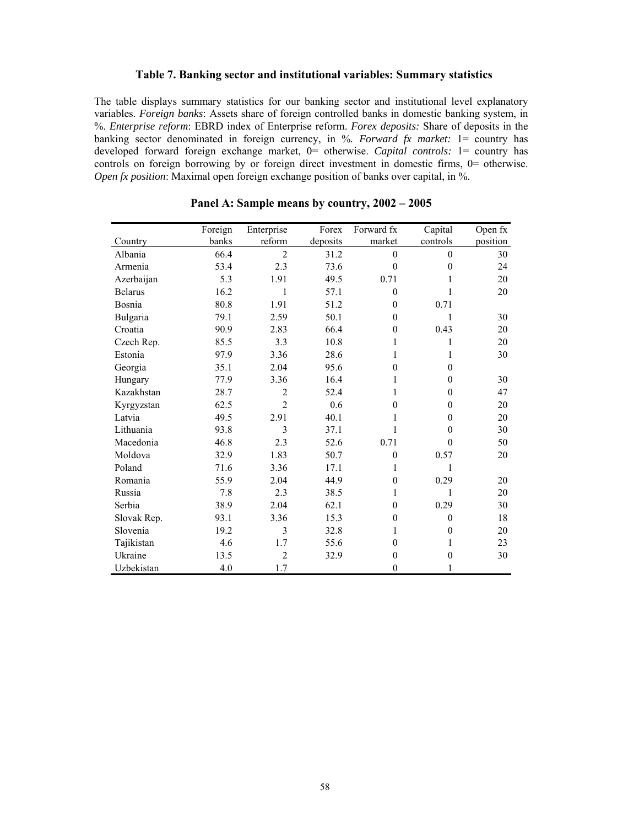### **Table 7. Banking sector and institutional variables: Summary statistics**

The table displays summary statistics for our banking sector and institutional level explanatory variables. *Foreign banks*: Assets share of foreign controlled banks in domestic banking system, in %. *Enterprise reform*: EBRD index of Enterprise reform. *Forex deposits:* Share of deposits in the banking sector denominated in foreign currency, in %*. Forward fx market:* 1= country has developed forward foreign exchange market, 0= otherwise. *Capital controls:* 1= country has controls on foreign borrowing by or foreign direct investment in domestic firms, 0= otherwise. *Open fx position*: Maximal open foreign exchange position of banks over capital, in %.

|                | Foreign | Enterprise     | Forex    | Forward fx   | Capital  | Open fx  |
|----------------|---------|----------------|----------|--------------|----------|----------|
| Country        | banks   | reform         | deposits | market       | controls | position |
| Albania        | 66.4    | $\overline{2}$ | 31.2     | $\theta$     | $\theta$ | 30       |
| Armenia        | 53.4    | 2.3            | 73.6     | $\Omega$     | $\theta$ | 24       |
| Azerbaijan     | 5.3     | 1.91           | 49.5     | 0.71         | 1        | 20       |
| <b>Belarus</b> | 16.2    | 1              | 57.1     | $\theta$     | 1        | 20       |
| Bosnia         | 80.8    | 1.91           | 51.2     | $\theta$     | 0.71     |          |
| Bulgaria       | 79.1    | 2.59           | 50.1     | $\theta$     | 1        | 30       |
| Croatia        | 90.9    | 2.83           | 66.4     | $\theta$     | 0.43     | 20       |
| Czech Rep.     | 85.5    | 3.3            | 10.8     | 1            | 1        | 20       |
| Estonia        | 97.9    | 3.36           | 28.6     | 1            | 1        | 30       |
| Georgia        | 35.1    | 2.04           | 95.6     | $\theta$     | $\theta$ |          |
| Hungary        | 77.9    | 3.36           | 16.4     | 1            | $\theta$ | 30       |
| Kazakhstan     | 28.7    | $\overline{c}$ | 52.4     | 1            | $\theta$ | 47       |
| Kyrgyzstan     | 62.5    | $\overline{2}$ | 0.6      | $\theta$     | $\theta$ | 20       |
| Latvia         | 49.5    | 2.91           | 40.1     | 1            | $\theta$ | 20       |
| Lithuania      | 93.8    | 3              | 37.1     | 1            | $\theta$ | 30       |
| Macedonia      | 46.8    | 2.3            | 52.6     | 0.71         | $\theta$ | 50       |
| Moldova        | 32.9    | 1.83           | 50.7     | $\mathbf{0}$ | 0.57     | 20       |
| Poland         | 71.6    | 3.36           | 17.1     | 1            | 1        |          |
| Romania        | 55.9    | 2.04           | 44.9     | $\theta$     | 0.29     | 20       |
| Russia         | 7.8     | 2.3            | 38.5     | 1            | 1        | 20       |
| Serbia         | 38.9    | 2.04           | 62.1     | $\theta$     | 0.29     | 30       |
| Slovak Rep.    | 93.1    | 3.36           | 15.3     | $\theta$     | $\theta$ | 18       |
| Slovenia       | 19.2    | 3              | 32.8     | 1            | $\theta$ | 20       |
| Tajikistan     | 4.6     | 1.7            | 55.6     | $\theta$     | 1        | 23       |
| Ukraine        | 13.5    | $\overline{2}$ | 32.9     | $\theta$     | $\theta$ | 30       |
| Uzbekistan     | 4.0     | 1.7            |          | $\theta$     | 1        |          |

**Panel A: Sample means by country, 2002 – 2005**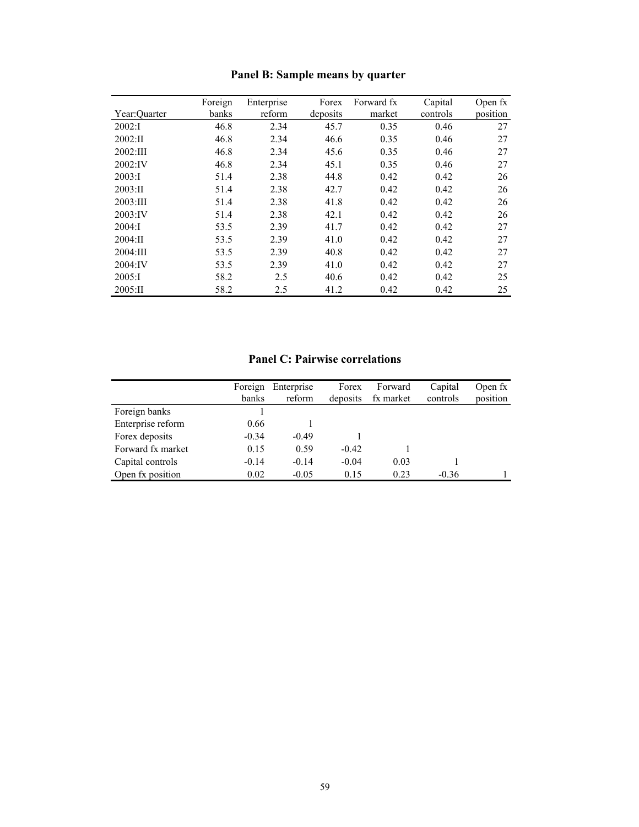|              | Foreign | Enterprise | Forex    | Forward fx | Capital  | Open fx  |
|--------------|---------|------------|----------|------------|----------|----------|
| Year:Quarter | banks   | reform     | deposits | market     | controls | position |
| 2002:1       | 46.8    | 2.34       | 45.7     | 0.35       | 0.46     | 27       |
| 2002:II      | 46.8    | 2.34       | 46.6     | 0.35       | 0.46     | 27       |
| 2002:III     | 46.8    | 2.34       | 45.6     | 0.35       | 0.46     | 27       |
| 2002:IV      | 46.8    | 2.34       | 45.1     | 0.35       | 0.46     | 27       |
| 2003:1       | 51.4    | 2.38       | 44.8     | 0.42       | 0.42     | 26       |
| 2003:II      | 51.4    | 2.38       | 42.7     | 0.42       | 0.42     | 26       |
| 2003:III     | 51.4    | 2.38       | 41.8     | 0.42       | 0.42     | 26       |
| 2003:IV      | 51.4    | 2.38       | 42.1     | 0.42       | 0.42     | 26       |
| 2004:1       | 53.5    | 2.39       | 41.7     | 0.42       | 0.42     | 27       |
| 2004:II      | 53.5    | 2.39       | 41.0     | 0.42       | 0.42     | 27       |
| 2004:III     | 53.5    | 2.39       | 40.8     | 0.42       | 0.42     | 27       |
| 2004:IV      | 53.5    | 2.39       | 41.0     | 0.42       | 0.42     | 27       |
| 2005:1       | 58.2    | 2.5        | 40.6     | 0.42       | 0.42     | 25       |
| 2005:II      | 58.2    | 2.5        | 41.2     | 0.42       | 0.42     | 25       |

# **Panel B: Sample means by quarter**

# **Panel C: Pairwise correlations**

|                   | Foreign<br>banks | Enterprise<br>reform | Forex<br>deposits | Forward<br>fx market | Capital<br>controls | Open fx<br>position |
|-------------------|------------------|----------------------|-------------------|----------------------|---------------------|---------------------|
| Foreign banks     |                  |                      |                   |                      |                     |                     |
| Enterprise reform | 0.66             |                      |                   |                      |                     |                     |
| Forex deposits    | $-0.34$          | $-0.49$              |                   |                      |                     |                     |
| Forward fx market | 0.15             | 0.59                 | $-0.42$           |                      |                     |                     |
| Capital controls  | $-0.14$          | $-0.14$              | $-0.04$           | 0.03                 |                     |                     |
| Open fx position  | 0.02             | $-0.05$              | 0.15              | 0.23                 | $-0.36$             |                     |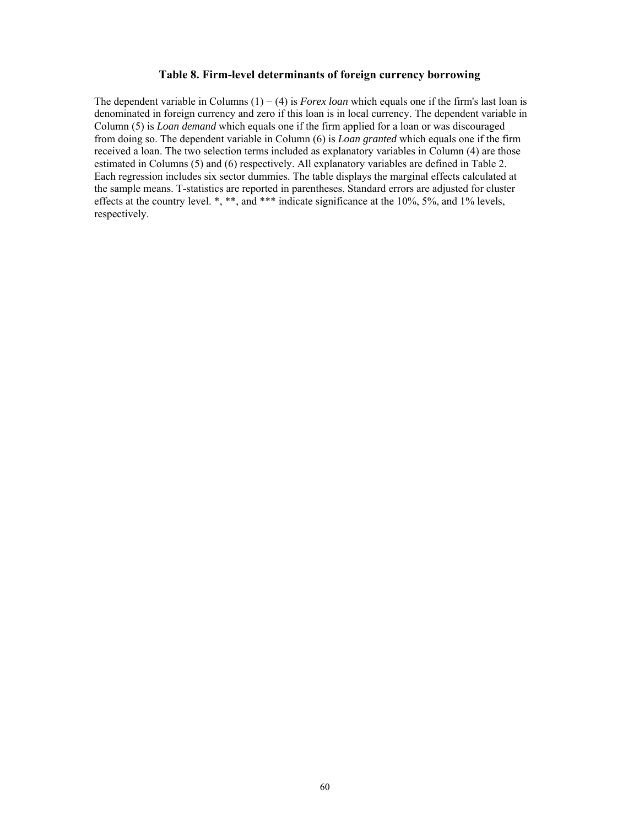#### **Table 8. Firm-level determinants of foreign currency borrowing**

The dependent variable in Columns (1) − (4) is *Forex loan* which equals one if the firm's last loan is denominated in foreign currency and zero if this loan is in local currency. The dependent variable in Column (5) is *Loan demand* which equals one if the firm applied for a loan or was discouraged from doing so. The dependent variable in Column (6) is *Loan granted* which equals one if the firm received a loan. The two selection terms included as explanatory variables in Column (4) are those estimated in Columns (5) and (6) respectively. All explanatory variables are defined in Table 2. Each regression includes six sector dummies. The table displays the marginal effects calculated at the sample means. T-statistics are reported in parentheses. Standard errors are adjusted for cluster effects at the country level. \*, \*\*, and \*\*\* indicate significance at the 10%, 5%, and 1% levels, respectively.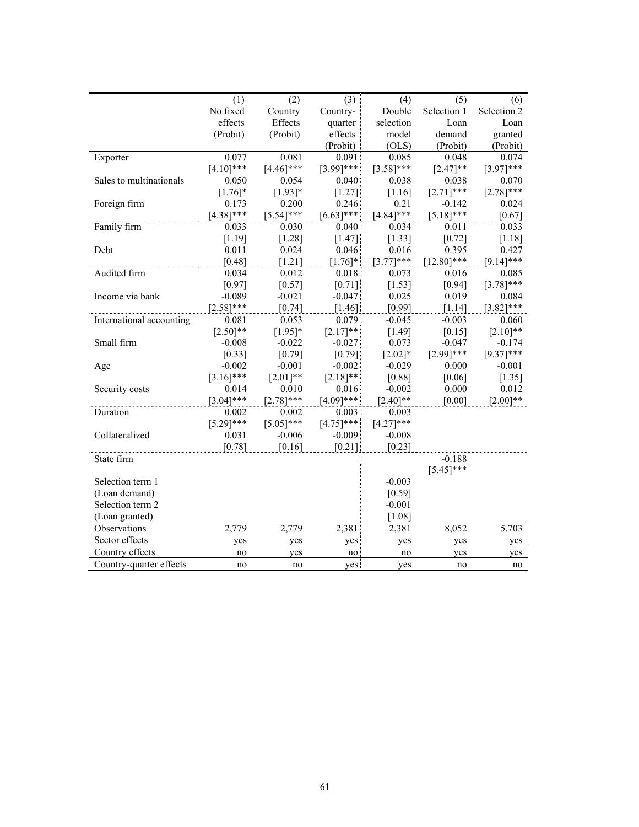|                          | (1)          | (2)          | (3)          | (4)          | (5)           | (6)          |
|--------------------------|--------------|--------------|--------------|--------------|---------------|--------------|
|                          | No fixed     | Country      | Country-     | Double       | Selection 1   | Selection 2  |
|                          | effects      | Effects      | quarter      | selection    | Loan          | Loan         |
|                          | (Probit)     | (Probit)     | effects      | model        | demand        | granted      |
|                          |              |              | (Probit)     | (OLS)        | (Probit)      | (Probit)     |
| Exporter                 | 0.077        | 0.081        | 0.091        | 0.085        | 0.048         | 0.074        |
|                          | $[4.10]$ *** | $[4.46]$ *** | $[3.99]$ *** | $[3.58]$ *** | $[2.47]$ **   | $[3.97]$ *** |
| Sales to multinationals  | 0.050        | 0.054        | 0.040        | 0.038        | 0.038         | 0.070        |
|                          | $[1.76]$ *   | $[1.93]*$    | [1.27]       | [1.16]       | $[2.71]$ ***  | $[2.78]$ *** |
| Foreign firm             | 0.173        | 0.200        | 0.246        | 0.21         | $-0.142$      | 0.024        |
|                          | $[4.38]$ *** | $[5.54]$ *** | $[6.63]***$  | $[4.84]$ *** | $[5.18]$ ***  | [0.67]       |
| Family firm              | 0.033        | 0.030        | 0.040:       | 0.034        | 0.011         | 0.033        |
|                          | [1.19]       | $[1.28]$     | [1.47]       | [1.33]       | [0.72]        | [1.18]       |
| Debt                     | 0.011        | 0.024        | 0.046        | 0.016        | 0.395         | 0.427        |
|                          | [0.48]       | $[1.21]$     | $[1.76]$ *   | $[3.77]$ *** | $[12.80]$ *** | $[9.14]$ *** |
| Audited firm             | 0.034        | 0.012        | 0.018:       | 0.073        | 0.016         | 0.085        |
|                          | [0.97]       | [0.57]       | [0.71]       | [1.53]       | [0.94]        | $[3.78]$ *** |
| Income via bank          | $-0.089$     | $-0.021$     | $-0.047$     | 0.025        | 0.019         | 0.084        |
|                          | $[2.58]$ *** | [0.74]       | [1.46]       | [0.99]       | [1.14]        | $[3.82]$ *** |
| International accounting | 0.081        | 0.053        | 0.079:       | $-0.045$     | $-0.003$      | 0.060        |
|                          | $[2.50]$ **  | $[1.95]*$    | $[2.17]**$   | [1.49]       | [0.15]        | $[2.10]$ **  |
| Small firm               | $-0.008$     | $-0.022$     | $-0.027$     | 0.073        | $-0.047$      | $-0.174$     |
|                          | [0.33]       | [0.79]       | [0.79]       | $[2.02]*$    | $[2.99]$ ***  | $[9.37]$ *** |
| Age                      | $-0.002$     | $-0.001$     | $-0.002$     | $-0.029$     | 0.000         | $-0.001$     |
|                          | $[3.16]$ *** | $[2.01]**$   | $[2.18]$ **  | [0.88]       | [0.06]        | [1.35]       |
| Security costs           | 0.014        | 0.010        | 0.016        | $-0.002$     | 0.000         | 0.012        |
|                          | $[3.04]$ *** | $[2.78]***$  | $[4.09]$ *** | $[2.40]$ **  | [0.00]        | $[2.00]**$   |
| Duration                 | 0.002        | 0.002        | 0.003:       | 0.003        |               |              |
|                          | $[5.29]$ *** | $[5.05]$ *** | $[4.75]***$  | $[4.27]$ *** |               |              |
| Collateralized           | 0.031        | $-0.006$     | $-0.009$     | $-0.008$     |               |              |
|                          | [0.78]       | [0.16]       | $[0.21]$     | $[0.23]$     |               |              |
| State firm               |              |              |              |              | $-0.188$      |              |
|                          |              |              |              |              | $[5.45]$ ***  |              |
| Selection term 1         |              |              |              | $-0.003$     |               |              |
| (Loan demand)            |              |              |              | [0.59]       |               |              |
| Selection term 2         |              |              |              | $-0.001$     |               |              |
| (Loan granted)           |              |              |              | [1.08]       |               |              |
| Observations             | 2,779        | 2,779        | 2,381        | 2,381        | 8,052         | 5,703        |
| Sector effects           | yes          | yes          | yes          | yes          | yes           | yes          |
| Country effects          | no           | ves          | no           | no           | ves           | yes          |
| Country-quarter effects  | no           | no           | yes:         | yes          | no            | no           |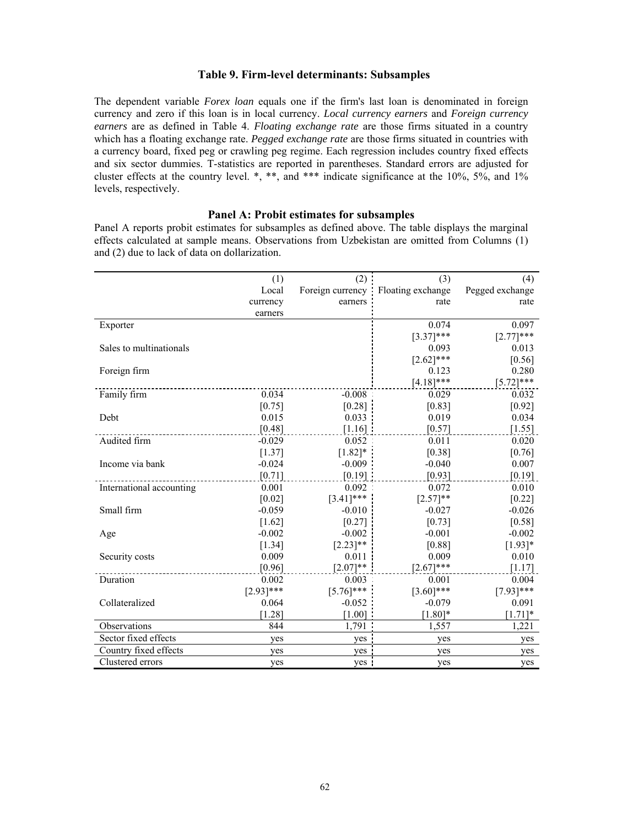#### **Table 9. Firm-level determinants: Subsamples**

The dependent variable *Forex loan* equals one if the firm's last loan is denominated in foreign currency and zero if this loan is in local currency. *Local currency earners* and *Foreign currency earners* are as defined in Table 4. *Floating exchange rate* are those firms situated in a country which has a floating exchange rate. *Pegged exchange rate* are those firms situated in countries with a currency board, fixed peg or crawling peg regime. Each regression includes country fixed effects and six sector dummies. T-statistics are reported in parentheses. Standard errors are adjusted for cluster effects at the country level. \*, \*\*, and \*\*\* indicate significance at the 10%, 5%, and 1% levels, respectively.

#### **Panel A: Probit estimates for subsamples**

Panel A reports probit estimates for subsamples as defined above. The table displays the marginal effects calculated at sample means. Observations from Uzbekistan are omitted from Columns (1) and (2) due to lack of data on dollarization.

|                          | (1)          | (2)              | (3)               | (4)             |
|--------------------------|--------------|------------------|-------------------|-----------------|
|                          | Local        | Foreign currency | Floating exchange | Pegged exchange |
|                          | currency     | earners          | rate              | rate            |
|                          | earners      |                  |                   |                 |
| Exporter                 |              |                  | 0.074             | 0.097           |
|                          |              |                  | $[3.37]$ ***      | $[2.77]$ ***    |
| Sales to multinationals  |              |                  | 0.093             | 0.013           |
|                          |              |                  | $[2.62]$ ***      | [0.56]          |
| Foreign firm             |              |                  | 0.123             | 0.280           |
|                          |              |                  | $[4.18]$ ***      | $[5.72]***$     |
| Family firm              | 0.034        | $-0.008$         | 0.029             | 0.032           |
|                          | [0.75]       | $[0.28]$         | [0.83]            | [0.92]          |
| Debt                     | 0.015        | 0.033            | 0.019             | 0.034           |
|                          | [0.48]       | [1.16]           | [0.57]            | $[1.55]$        |
| Audited firm             | $-0.029$     | 0.052            | 0.011             | 0.020           |
|                          | [1.37]       | $[1.82]*$        | [0.38]            | [0.76]          |
| Income via bank          | $-0.024$     | $-0.009$         | $-0.040$          | 0.007           |
|                          | [0.71]       | [0.19]           | [0.93]            | [0.19]          |
| International accounting | 0.001        | 0.092            | 0.072             | 0.010           |
|                          | [0.02]       | $[3.41]$ ***     | $[2.57]**$        | $[0.22]$        |
| Small firm               | $-0.059$     | $-0.010$         | $-0.027$          | $-0.026$        |
|                          | [1.62]       | [0.27]           | [0.73]            | [0.58]          |
| Age                      | $-0.002$     | $-0.002$         | $-0.001$          | $-0.002$        |
|                          | [1.34]       | $[2.23]$ **      | [0.88]            | $[1.93]*$       |
| Security costs           | 0.009        | 0.011            | 0.009             | 0.010           |
|                          | [0.96]       | $[2.07]**$       | $[2.67]$ ***      | [1.17]          |
| Duration                 | 0.002        | 0.003            | 0.001             | 0.004           |
|                          | $[2.93]$ *** | $[5.76]$ ***     | $[3.60]$ ***      | $[7.93]$ ***    |
| Collateralized           | 0.064        | $-0.052$         | $-0.079$          | 0.091           |
|                          | [1.28]       | [1.00]           | $[1.80]*$         | $[1.71]$ *      |
| Observations             | 844          | 1,791            | 1,557             | 1,221           |
| Sector fixed effects     | yes          | yes              | yes               | yes             |
| Country fixed effects    | yes          | yes              | yes               | yes             |
| Clustered errors         | yes          | yes              | yes               | yes             |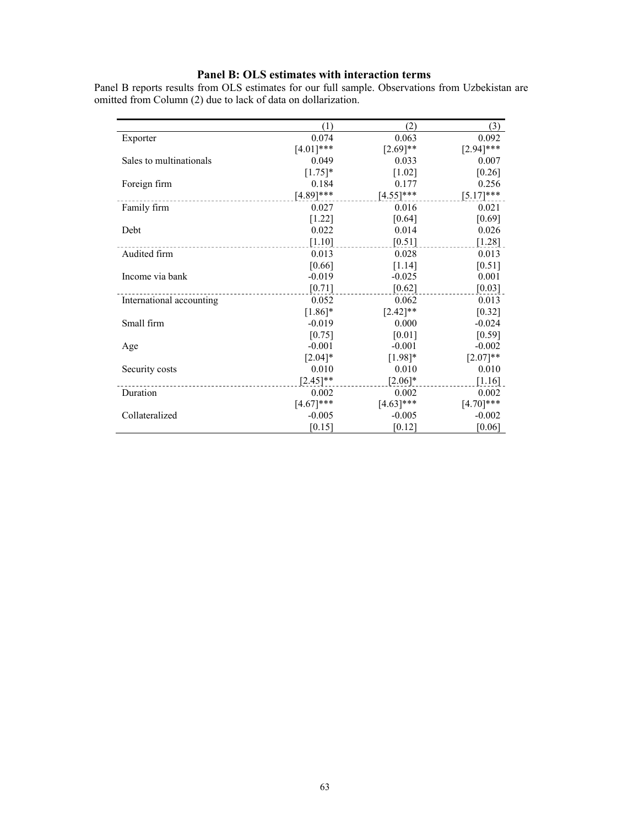# **Panel B: OLS estimates with interaction terms**

Panel B reports results from OLS estimates for our full sample. Observations from Uzbekistan are omitted from Column (2) due to lack of data on dollarization.

|                          | (1)          | (2)          | (3)          |
|--------------------------|--------------|--------------|--------------|
| Exporter                 | 0.074        | 0.063        | 0.092        |
|                          | $[4.01]$ *** | $[2.69]$ **  | $[2.94]$ *** |
| Sales to multinationals  | 0.049        | 0.033        | 0.007        |
|                          | $[1.75]$ *   | $[1.02]$     | $[0.26]$     |
| Foreign firm             | 0.184        | 0.177        | 0.256        |
|                          | $[4.89]$ *** | $[4.55]$ *** | $[5.17]$ *** |
| Family firm              | 0.027        | 0.016        | 0.021        |
|                          | [1.22]       | [0.64]       | [0.69]       |
| Debt                     | 0.022        | 0.014        | 0.026        |
|                          | [1.10]       | [0.51]       | $[1.28]$     |
| Audited firm             | 0.013        | 0.028        | 0.013        |
|                          | [0.66]       | [1.14]       | [0.51]       |
| Income via bank          | $-0.019$     | $-0.025$     | 0.001        |
|                          | [0.71]       | [0.62]       | [0.03]       |
| International accounting | 0.052        | 0.062        | 0.013        |
|                          | $[1.86]$ *   | $[2.42]$ **  | [0.32]       |
| Small firm               | $-0.019$     | 0.000        | $-0.024$     |
|                          | [0.75]       | [0.01]       | [0.59]       |
| Age                      | $-0.001$     | $-0.001$     | $-0.002$     |
|                          | $[2.04]*$    | $[1.98]*$    | $[2.07]**$   |
| Security costs           | 0.010        | 0.010        | 0.010        |
|                          | $[2.45]$ **  | $[2.06]*$    | [1.16]       |
| Duration                 | 0.002        | 0.002        | 0.002        |
|                          | $[4.67]$ *** | $[4.63]$ *** | $[4.70]$ *** |
| Collateralized           | $-0.005$     | $-0.005$     | $-0.002$     |
|                          | [0.15]       | [0.12]       | [0.06]       |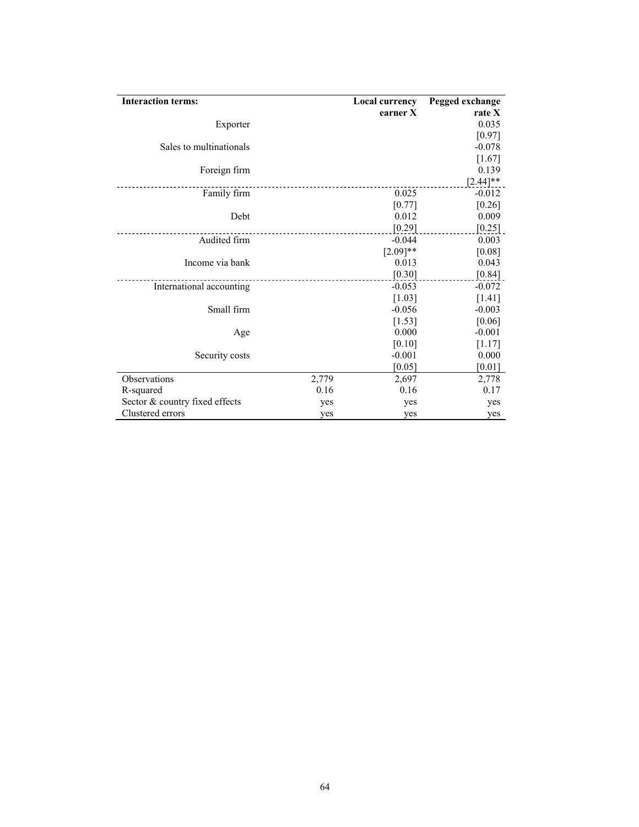| <b>Interaction terms:</b>      |       | <b>Local currency</b> | Pegged exchange |
|--------------------------------|-------|-----------------------|-----------------|
|                                |       | earner X              | rate X          |
| Exporter                       |       |                       | 0.035           |
|                                |       |                       | [0.97]          |
| Sales to multinationals        |       |                       | $-0.078$        |
|                                |       |                       | $[1.67]$        |
| Foreign firm                   |       |                       | 0.139           |
|                                |       |                       | $[2.44]$ **     |
| Family firm                    |       | 0.025                 | $-0.012$        |
|                                |       | [0.77]                | $[0.26]$        |
| Debt                           |       | 0.012                 | 0.009           |
|                                |       | [0.29]                | $[0.25]$        |
| Audited firm                   |       | $-0.044$              | 0.003           |
|                                |       | $[2.09]$ **           | [0.08]          |
| Income via bank                |       | 0.013                 | 0.043           |
|                                |       | [0.30]                | [0.84]          |
| International accounting       |       | $-0.053$              | $-0.072$        |
|                                |       | [1.03]                | [1.41]          |
| Small firm                     |       | $-0.056$              | $-0.003$        |
|                                |       | [1.53]                | [0.06]          |
| Age                            |       | 0.000                 | $-0.001$        |
|                                |       | [0.10]                | [1.17]          |
| Security costs                 |       | $-0.001$              | 0.000           |
|                                |       | [0.05]                | [0.01]          |
| Observations                   | 2,779 | 2,697                 | 2,778           |
| R-squared                      | 0.16  | 0.16                  | 0.17            |
| Sector & country fixed effects | yes   | yes                   | yes             |
| Clustered errors               | yes   | yes                   | yes             |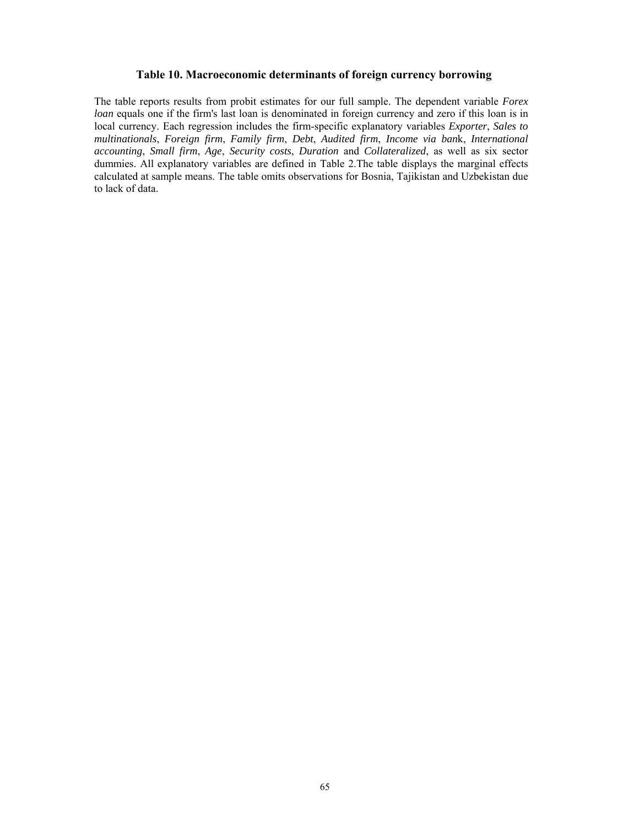#### **Table 10. Macroeconomic determinants of foreign currency borrowing**

The table reports results from probit estimates for our full sample. The dependent variable *Forex loan* equals one if the firm's last loan is denominated in foreign currency and zero if this loan is in local currency. Each regression includes the firm-specific explanatory variables *Exporter*, *Sales to multinationals*, *Foreign firm*, *Family firm*, *Debt*, *Audited firm*, *Income via ban*k, *International accounting*, *Small firm*, *Age*, *Security costs*, *Duration* and *Collateralized*, as well as six sector dummies. All explanatory variables are defined in Table 2.The table displays the marginal effects calculated at sample means. The table omits observations for Bosnia, Tajikistan and Uzbekistan due to lack of data.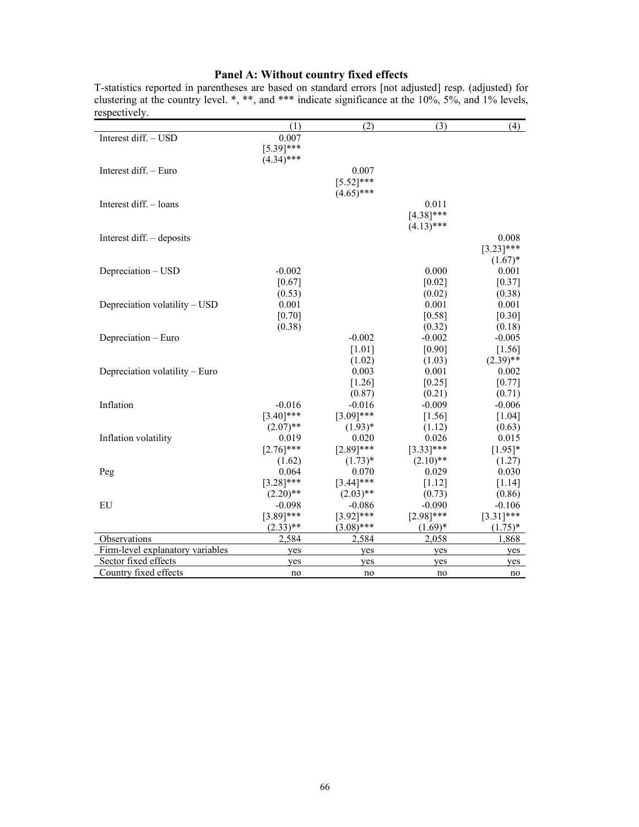#### **Panel A: Without country fixed effects**

|                                  | (1)                         | (2)                       | (3)             | (4)             |
|----------------------------------|-----------------------------|---------------------------|-----------------|-----------------|
| Interest diff. - USD             | 0.007                       |                           |                 |                 |
|                                  | $[5.39]$ ***                |                           |                 |                 |
|                                  | $(4.34)$ ***                |                           |                 |                 |
| Interest diff. - Euro            |                             | 0.007                     |                 |                 |
|                                  |                             | $[5.52]$ ***              |                 |                 |
| Interest diff. - loans           |                             | $(4.65)$ ***              | 0.011           |                 |
|                                  |                             |                           | $[4.38]$ ***    |                 |
|                                  |                             |                           | $(4.13)$ ***    |                 |
| Interest diff. - deposits        |                             |                           |                 | 0.008           |
|                                  |                             |                           |                 | $[3.23]$ ***    |
|                                  |                             |                           |                 | $(1.67)^*$      |
| Depreciation - USD               | $-0.002$                    |                           | 0.000           | 0.001           |
|                                  | [0.67]                      |                           | [0.02]          | [0.37]          |
|                                  | (0.53)                      |                           | (0.02)          | (0.38)          |
| Depreciation volatility - USD    | 0.001                       |                           | 0.001           | 0.001           |
|                                  | [0.70]                      |                           | $[0.58]$        | [0.30]          |
|                                  | (0.38)                      |                           | (0.32)          | (0.18)          |
| Depreciation - Euro              |                             | $-0.002$                  | $-0.002$        | $-0.005$        |
|                                  |                             | [1.01]                    | [0.90]          | [1.56]          |
|                                  |                             | (1.02)                    | (1.03)          | $(2.39)$ **     |
| Depreciation volatility – Euro   |                             | 0.003                     | 0.001           | 0.002           |
|                                  |                             | $[1.26]$                  | $[0.25]$        | [0.77]          |
|                                  |                             | (0.87)                    | (0.21)          | (0.71)          |
| Inflation                        | $-0.016$                    | $-0.016$                  | $-0.009$        | $-0.006$        |
|                                  | $[3.40]$ ***<br>$(2.07)$ ** | $[3.09]$ ***<br>$(1.93)*$ | $[1.56]$        | [1.04]          |
| Inflation volatility             | 0.019                       | 0.020                     | (1.12)<br>0.026 | (0.63)<br>0.015 |
|                                  | $[2.76]$ ***                | $[2.89]$ ***              | $[3.33]$ ***    | $[1.95]*$       |
|                                  | (1.62)                      | $(1.73)^*$                | $(2.10)$ **     | (1.27)          |
| Peg                              | 0.064                       | 0.070                     | 0.029           | 0.030           |
|                                  | $[3.28]$ ***                | $[3.44]$ ***              | $[1.12]$        | $[1.14]$        |
|                                  | $(2.20)$ **                 | $(2.03)$ **               | (0.73)          | (0.86)          |
| EU                               | $-0.098$                    | $-0.086$                  | $-0.090$        | $-0.106$        |
|                                  | $[3.89]$ ***                | $[3.92]$ ***              | $[2.98]$ ***    | $[3.31]$ ***    |
|                                  | $(2.33)$ **                 | $(3.08)$ ***              | $(1.69)*$       | $(1.75)^*$      |
| Observations                     | 2,584                       | 2,584                     | 2,058           | 1,868           |
| Firm-level explanatory variables | yes                         | yes                       | yes             | yes             |
| Sector fixed effects             | yes                         | yes                       | yes             | yes             |
| Country fixed effects            | no                          | no                        | no              | no              |

T-statistics reported in parentheses are based on standard errors [not adjusted] resp. (adjusted) for clustering at the country level. \*, \*\*, and \*\*\* indicate significance at the 10%, 5%, and 1% levels, respectively.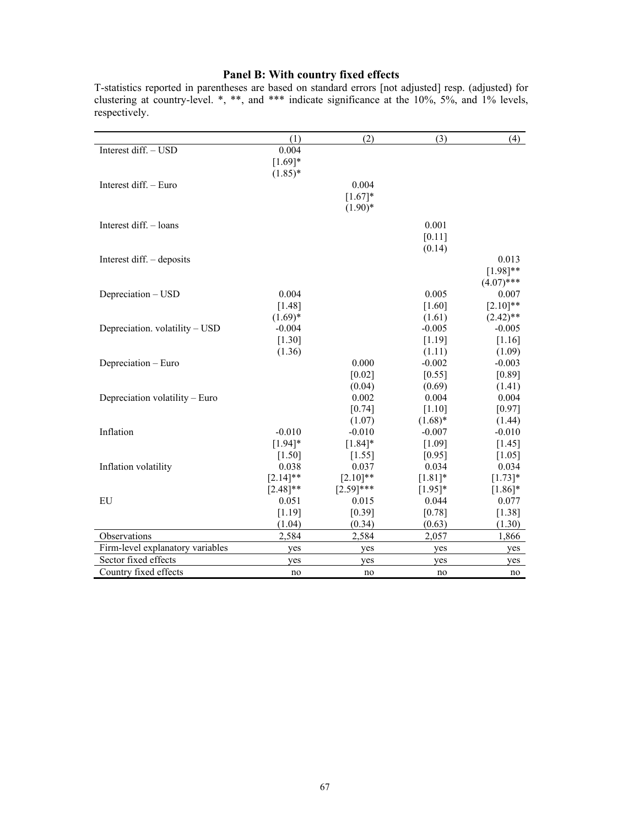#### **Panel B: With country fixed effects**

T-statistics reported in parentheses are based on standard errors [not adjusted] resp. (adjusted) for clustering at country-level. \*, \*\*, and \*\*\* indicate significance at the 10%, 5%, and 1% levels, respectively.

|                                  | (1)                        | (2)                         | (3)                     | (4)                     |
|----------------------------------|----------------------------|-----------------------------|-------------------------|-------------------------|
| Interest diff. - USD             | 0.004                      |                             |                         |                         |
|                                  | $[1.69]*$                  |                             |                         |                         |
|                                  | $(1.85)^*$                 |                             |                         |                         |
| Interest diff. - Euro            |                            | 0.004                       |                         |                         |
|                                  |                            | $[1.67]*$                   |                         |                         |
|                                  |                            | $(1.90)$ *                  |                         |                         |
| Interest diff. - loans           |                            |                             | 0.001                   |                         |
|                                  |                            |                             | [0.11]                  |                         |
|                                  |                            |                             | (0.14)                  |                         |
| Interest diff. $-$ deposits      |                            |                             |                         | 0.013                   |
|                                  |                            |                             |                         | $[1.98]$ **             |
|                                  |                            |                             |                         | $(4.07)$ ***            |
| Depreciation - USD               | 0.004                      |                             | 0.005                   | 0.007                   |
|                                  | [1.48]                     |                             | [1.60]                  | $[2.10]$ **             |
|                                  | $(1.69)*$                  |                             | (1.61)                  | $(2.42)$ **             |
| Depreciation. volatility - USD   | $-0.004$                   |                             | $-0.005$                | $-0.005$                |
|                                  | [1.30]                     |                             | [1.19]                  | [1.16]                  |
|                                  | (1.36)                     |                             | (1.11)                  | (1.09)                  |
| Depreciation - Euro              |                            | 0.000                       | $-0.002$                | $-0.003$                |
|                                  |                            | [0.02]                      | [0.55]                  | [0.89]                  |
|                                  |                            | (0.04)                      | (0.69)                  | (1.41)                  |
| Depreciation volatility – Euro   |                            | 0.002                       | 0.004                   | 0.004                   |
|                                  |                            | [0.74]                      | [1.10]                  | [0.97]                  |
|                                  |                            | (1.07)                      | $(1.68)*$               | (1.44)                  |
| Inflation                        | $-0.010$                   | $-0.010$                    | $-0.007$                | $-0.010$                |
|                                  | $[1.94]$ *                 | $[1.84]$ *                  | [1.09]                  | [1.45]                  |
|                                  | [1.50]                     | [1.55]                      | [0.95]                  | [1.05]                  |
| Inflation volatility             | 0.038                      | 0.037                       | 0.034                   | 0.034                   |
|                                  | $[2.14]$ **<br>$[2.48]$ ** | $[2.10]$ **<br>$[2.59]$ *** | $[1.81]$ *<br>$[1.95]*$ | $[1.73]*$<br>$[1.86]$ * |
| EU                               | 0.051                      | 0.015                       | 0.044                   | 0.077                   |
|                                  | [1.19]                     | [0.39]                      | [0.78]                  | $[1.38]$                |
|                                  | (1.04)                     | (0.34)                      | (0.63)                  | (1.30)                  |
| Observations                     | 2,584                      | 2,584                       | 2,057                   | 1,866                   |
| Firm-level explanatory variables | yes                        | yes                         | yes                     | yes                     |
| Sector fixed effects             | yes                        | yes                         | yes                     | yes                     |
| Country fixed effects            | no                         | no                          | no                      | no                      |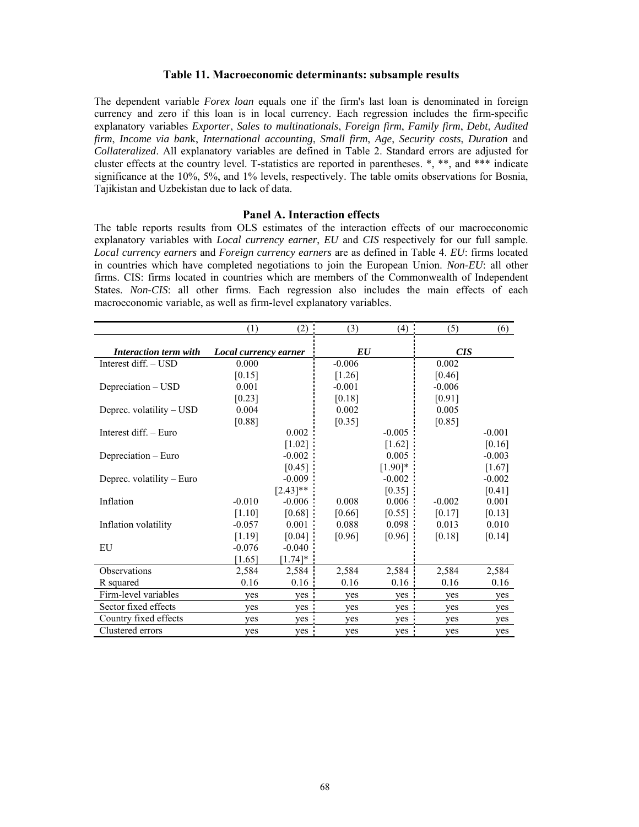#### **Table 11. Macroeconomic determinants: subsample results**

The dependent variable *Forex loan* equals one if the firm's last loan is denominated in foreign currency and zero if this loan is in local currency. Each regression includes the firm-specific explanatory variables *Exporter*, *Sales to multinationals*, *Foreign firm*, *Family firm*, *Debt*, *Audited firm*, *Income via ban*k, *International accounting*, *Small firm*, *Age*, *Security costs*, *Duration* and *Collateralized*. All explanatory variables are defined in Table 2. Standard errors are adjusted for cluster effects at the country level. T-statistics are reported in parentheses. \*, \*\*, and \*\*\* indicate significance at the 10%, 5%, and 1% levels, respectively. The table omits observations for Bosnia, Tajikistan and Uzbekistan due to lack of data.

#### **Panel A. Interaction effects**

The table reports results from OLS estimates of the interaction effects of our macroeconomic explanatory variables with *Local currency earner*, *EU* and *CIS* respectively for our full sample. *Local currency earners* and *Foreign currency earners* are as defined in Table 4. *EU*: firms located in countries which have completed negotiations to join the European Union. *Non-EU*: all other firms. CIS: firms located in countries which are members of the Commonwealth of Independent States. *Non-CIS*: all other firms. Each regression also includes the main effects of each macroeconomic variable, as well as firm-level explanatory variables.

|                              | (1)                   | (2)         | (3)      | (4)        | (5)        | (6)      |
|------------------------------|-----------------------|-------------|----------|------------|------------|----------|
|                              |                       |             |          |            |            |          |
| <b>Interaction term with</b> | Local currency earner |             | EU       |            | <b>CIS</b> |          |
| Interest diff. - USD         | 0.000                 |             | $-0.006$ |            | 0.002      |          |
|                              | [0.15]                |             | [1.26]   |            | [0.46]     |          |
| Depreciation – USD           | 0.001                 |             | $-0.001$ |            | $-0.006$   |          |
|                              | [0.23]                |             | [0.18]   |            | [0.91]     |          |
| Deprec. volatility – USD     | 0.004                 |             | 0.002    |            | 0.005      |          |
|                              | [0.88]                |             | [0.35]   |            | [0.85]     |          |
| Interest diff. - Euro        |                       | 0.002       |          | $-0.005$   |            | $-0.001$ |
|                              |                       | [1.02]      |          | $[1.62]$   |            | [0.16]   |
| Depreciation - Euro          |                       | $-0.002$    |          | 0.005      |            | $-0.003$ |
|                              |                       | [0.45]      |          | $[1.90]$ * |            | [1.67]   |
| Deprec. volatility – Euro    |                       | $-0.009$    |          | $-0.002$   |            | $-0.002$ |
|                              |                       | $[2.43]$ ** |          | [0.35]     |            | [0.41]   |
| Inflation                    | $-0.010$              | $-0.006$    | 0.008    | 0.006      | $-0.002$   | 0.001    |
|                              | [1.10]                | [0.68]      | [0.66]   | [0.55]     | [0.17]     | [0.13]   |
| Inflation volatility         | $-0.057$              | 0.001       | 0.088    | 0.098      | 0.013      | 0.010    |
|                              | [1.19]                | [0.04]      | [0.96]   | [0.96]     | [0.18]     | [0.14]   |
| EU                           | $-0.076$              | $-0.040$    |          |            |            |          |
|                              | $[1.65]$              | $[1.74]$ *  |          |            |            |          |
| Observations                 | 2,584                 | 2,584       | 2,584    | 2,584      | 2,584      | 2,584    |
| R squared                    | 0.16                  | 0.16        | 0.16     | 0.16       | 0.16       | 0.16     |
| Firm-level variables         | yes                   | yes         | yes      | yes        | yes        | yes      |
| Sector fixed effects         | yes                   | yes         | yes      | yes        | yes        | yes      |
| Country fixed effects        | ves                   | yes         | yes      | yes        | yes        | yes      |
| Clustered errors             | yes                   | yes         | yes      | yes        | yes        | yes      |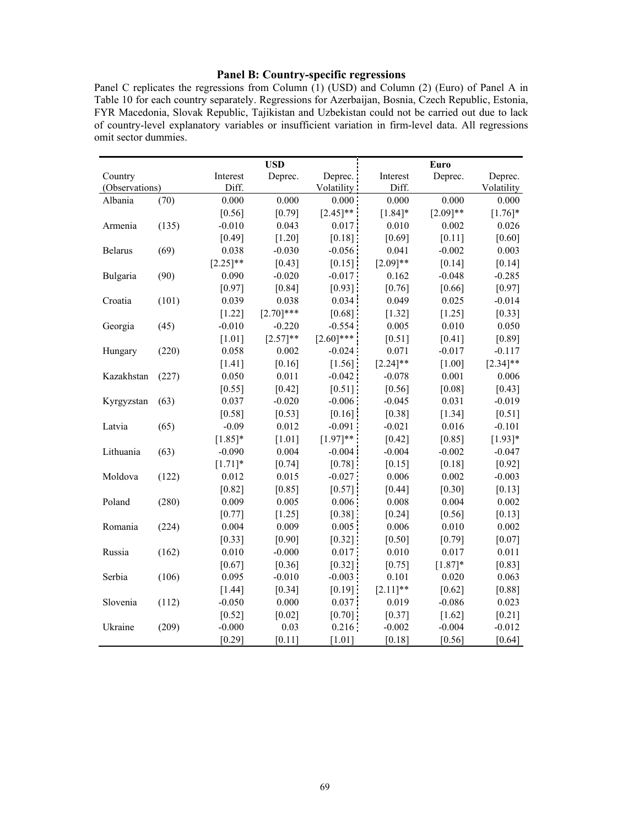## **Panel B: Country-specific regressions**

Panel C replicates the regressions from Column (1) (USD) and Column (2) (Euro) of Panel A in Table 10 for each country separately. Regressions for Azerbaijan, Bosnia, Czech Republic, Estonia, FYR Macedonia, Slovak Republic, Tajikistan and Uzbekistan could not be carried out due to lack of country-level explanatory variables or insufficient variation in firm-level data. All regressions omit sector dummies.

|                |       |             | <b>USD</b>   |              |             | <b>Euro</b> |             |
|----------------|-------|-------------|--------------|--------------|-------------|-------------|-------------|
| Country        |       | Interest    | Deprec.      | Deprec.      | Interest    | Deprec.     | Deprec.     |
| (Observations) |       | Diff.       |              | Volatility   | Diff.       |             | Volatility  |
| Albania        | (70)  | 0.000       | 0.000        | 0.000        | 0.000       | 0.000       | 0.000       |
|                |       | [0.56]      | [0.79]       | $[2.45]$ **  | $[1.84]$ *  | $[2.09]**$  | $[1.76]$ *  |
| Armenia        | (135) | $-0.010$    | 0.043        | 0.017        | 0.010       | 0.002       | 0.026       |
|                |       | [0.49]      | $[1.20]$     | [0.18]       | $[0.69]$    | [0.11]      | [0.60]      |
| <b>Belarus</b> | (69)  | 0.038       | $-0.030$     | $-0.056$     | 0.041       | $-0.002$    | 0.003       |
|                |       | $[2.25]$ ** | [0.43]       | [0.15]       | $[2.09]$ ** | [0.14]      | [0.14]      |
| Bulgaria       | (90)  | 0.090       | $-0.020$     | $-0.017$     | 0.162       | $-0.048$    | $-0.285$    |
|                |       | [0.97]      | [0.84]       | [0.93]       | [0.76]      | [0.66]      | [0.97]      |
| Croatia        | (101) | 0.039       | 0.038        | 0.034        | 0.049       | 0.025       | $-0.014$    |
|                |       | $[1.22]$    | $[2.70]$ *** | [0.68]       | [1.32]      | $[1.25]$    | $[0.33]$    |
| Georgia        | (45)  | $-0.010$    | $-0.220$     | $-0.554$     | 0.005       | 0.010       | 0.050       |
|                |       | $[1.01]$    | $[2.57]**$   | $[2.60]$ *** | [0.51]      | [0.41]      | [0.89]      |
| Hungary        | (220) | 0.058       | 0.002        | $-0.024$     | 0.071       | $-0.017$    | $-0.117$    |
|                |       | [1.41]      | [0.16]       | [1.56]       | $[2.24]$ ** | $[1.00]$    | $[2.34]$ ** |
| Kazakhstan     | (227) | 0.050       | 0.011        | $-0.042$     | $-0.078$    | 0.001       | 0.006       |
|                |       | [0.55]      | $[0.42]$     | [0.51]       | [0.56]      | [0.08]      | [0.43]      |
| Kyrgyzstan     | (63)  | 0.037       | $-0.020$     | $-0.006$     | $-0.045$    | 0.031       | $-0.019$    |
|                |       | [0.58]      | [0.53]       | [0.16]       | [0.38]      | [1.34]      | [0.51]      |
| Latvia         | (65)  | $-0.09$     | 0.012        | $-0.091$     | $-0.021$    | 0.016       | $-0.101$    |
|                |       | $[1.85]$ *  | $[1.01]$     | $[1.97]**$   | [0.42]      | [0.85]      | $[1.93]*$   |
| Lithuania      | (63)  | $-0.090$    | 0.004        | $-0.004$     | $-0.004$    | $-0.002$    | $-0.047$    |
|                |       | $[1.71]$ *  | $[0.74]$     | [0.78]       | [0.15]      | $[0.18]$    | [0.92]      |
| Moldova        | (122) | 0.012       | 0.015        | $-0.027$     | 0.006       | 0.002       | $-0.003$    |
|                |       | [0.82]      | [0.85]       | [0.57]       | [0.44]      | [0.30]      | [0.13]      |
| Poland         | (280) | 0.009       | 0.005        | 0.006        | 0.008       | 0.004       | 0.002       |
|                |       | [0.77]      | $[1.25]$     | [0.38]       | [0.24]      | [0.56]      | [0.13]      |
| Romania        | (224) | 0.004       | 0.009        | 0.005        | 0.006       | 0.010       | 0.002       |
|                |       | [0.33]      | [0.90]       | [0.32]       | [0.50]      | [0.79]      | [0.07]      |
| Russia         | (162) | 0.010       | $-0.000$     | 0.017        | 0.010       | 0.017       | 0.011       |
|                |       | [0.67]      | [0.36]       | [0.32]       | [0.75]      | $[1.87]*$   | [0.83]      |
| Serbia         | (106) | 0.095       | $-0.010$     | $-0.003$     | 0.101       | 0.020       | 0.063       |
|                |       | $[1.44]$    | [0.34]       | [0.19]       | $[2.11]$ ** | [0.62]      | $[0.88]$    |
| Slovenia       | (112) | $-0.050$    | 0.000        | 0.037:       | 0.019       | $-0.086$    | 0.023       |
|                |       | [0.52]      | $[0.02]$     | [0.70]       | [0.37]      | $[1.62]$    | [0.21]      |
| Ukraine        | (209) | $-0.000$    | 0.03         | 0.216:       | $-0.002$    | $-0.004$    | $-0.012$    |
|                |       | [0.29]      | [0.11]       | [1.01]       | [0.18]      | [0.56]      | $[0.64]$    |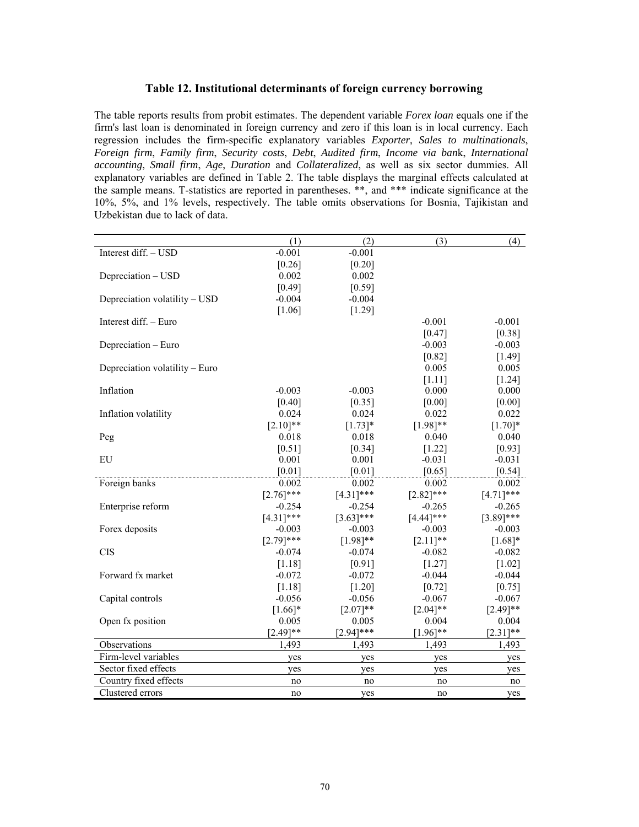### **Table 12. Institutional determinants of foreign currency borrowing**

The table reports results from probit estimates. The dependent variable *Forex loan* equals one if the firm's last loan is denominated in foreign currency and zero if this loan is in local currency. Each regression includes the firm-specific explanatory variables *Exporter*, *Sales to multinationals*, *Foreign firm*, *Family firm*, *Security costs*, *Debt*, *Audited firm*, *Income via ban*k, *International accounting*, *Small firm*, *Age*, *Duration* and *Collateralized*, as well as six sector dummies. All explanatory variables are defined in Table 2. The table displays the marginal effects calculated at the sample means. T-statistics are reported in parentheses. \*\*, and \*\*\* indicate significance at the 10%, 5%, and 1% levels, respectively. The table omits observations for Bosnia, Tajikistan and Uzbekistan due to lack of data.

|                                | (1)          | (2)          | (3)          | (4)          |
|--------------------------------|--------------|--------------|--------------|--------------|
| Interest diff. - USD           | $-0.001$     | $-0.001$     |              |              |
|                                | [0.26]       | [0.20]       |              |              |
| Depreciation - USD             | 0.002        | 0.002        |              |              |
|                                | [0.49]       | [0.59]       |              |              |
| Depreciation volatility - USD  | $-0.004$     | $-0.004$     |              |              |
|                                | [1.06]       | $[1.29]$     |              |              |
| Interest diff. - Euro          |              |              | $-0.001$     | $-0.001$     |
|                                |              |              | [0.47]       | [0.38]       |
| Depreciation - Euro            |              |              | $-0.003$     | $-0.003$     |
|                                |              |              | [0.82]       | [1.49]       |
| Depreciation volatility - Euro |              |              | 0.005        | 0.005        |
|                                |              |              | [1.11]       | [1.24]       |
| Inflation                      | $-0.003$     | $-0.003$     | 0.000        | 0.000        |
|                                | [0.40]       | [0.35]       | [0.00]       | $[0.00]$     |
| Inflation volatility           | 0.024        | 0.024        | 0.022        | 0.022        |
|                                | $[2.10]$ **  | $[1.73]$ *   | $[1.98]$ **  | $[1.70]$ *   |
| Peg                            | 0.018        | 0.018        | 0.040        | 0.040        |
|                                | $[0.51]$     | [0.34]       | $[1.22]$     | [0.93]       |
| EU                             | 0.001        | 0.001        | $-0.031$     | $-0.031$     |
|                                | [0.01]       | [0.01]       | [0.65]       | [0.54]       |
| Foreign banks                  | 0.002        | 0.002        | 0.002        | 0.002        |
|                                | $[2.76]$ *** | $[4.31]$ *** | $[2.82]$ *** | $[4.71]$ *** |
| Enterprise reform              | $-0.254$     | $-0.254$     | $-0.265$     | $-0.265$     |
|                                | $[4.31]$ *** | $[3.63]$ *** | $[4.44]$ *** | $[3.89]$ *** |
| Forex deposits                 | $-0.003$     | $-0.003$     | $-0.003$     | $-0.003$     |
|                                | $[2.79]$ *** | $[1.98]$ **  | $[2.11]$ **  | $[1.68]*$    |
| <b>CIS</b>                     | $-0.074$     | $-0.074$     | $-0.082$     | $-0.082$     |
|                                | [1.18]       | [0.91]       | [1.27]       | [1.02]       |
| Forward fx market              | $-0.072$     | $-0.072$     | $-0.044$     | $-0.044$     |
|                                | [1.18]       | $[1.20]$     | [0.72]       | [0.75]       |
| Capital controls               | $-0.056$     | $-0.056$     | $-0.067$     | $-0.067$     |
|                                | $[1.66]$ *   | $[2.07]**$   | $[2.04]$ **  | $[2.49]$ **  |
| Open fx position               | 0.005        | 0.005        | 0.004        | 0.004        |
|                                | $[2.49]$ **  | $[2.94]$ *** | $[1.96]$ **  | $[2.31]$ **  |
| Observations                   | 1,493        | 1,493        | 1,493        | 1,493        |
| Firm-level variables           | yes          | yes          | yes          | yes          |
| Sector fixed effects           | yes          | yes          | yes          | yes          |
| Country fixed effects          | no           | no           | no           | no           |
| Clustered errors               | no           | yes          | no           | yes          |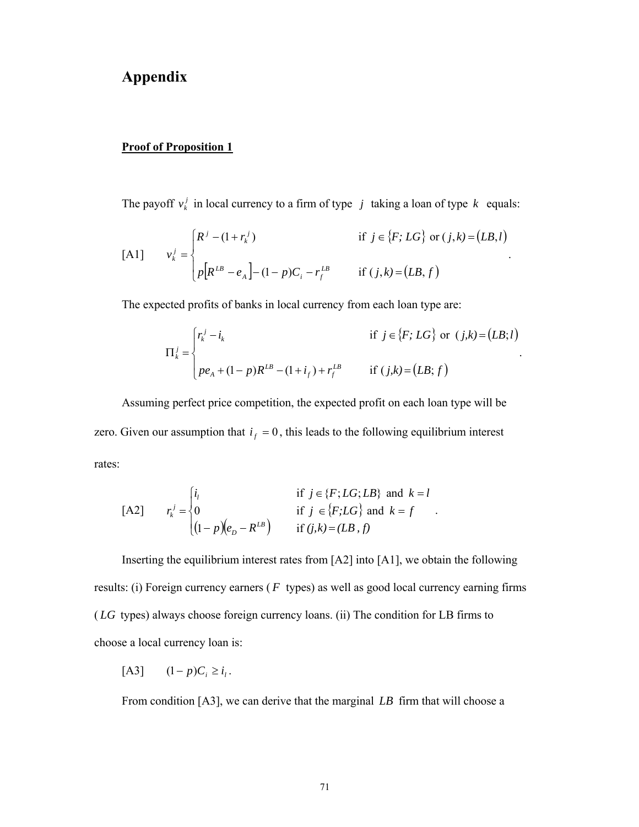## **Appendix**

## **Proof of Proposition 1**

The payoff  $v_k^j$  in local currency to a firm of type *j* taking a loan of type *k* equals:

[A1] 
$$
v_k^j = \begin{cases} R^j - (1 + r_k^j) & \text{if } j \in \{F; LG\} \text{ or } (j,k) = (LB, l) \\ p[R^{LB} - e_A] - (1 - p)C_i - r_f^{LB} & \text{if } (j,k) = (LB, f) \end{cases}
$$

The expected profits of banks in local currency from each loan type are:

$$
\Pi_{k}^{j} = \begin{cases} r_{k}^{j} - i_{k} & \text{if } j \in \{F; LG\} \text{ or } (j,k) = (LB; l) \\ p e_{A} + (1-p)R^{LB} - (1+i_{f}) + r_{f}^{LB} & \text{if } (j,k) = (LB; f) \end{cases}
$$

.

.

.

Assuming perfect price competition, the expected profit on each loan type will be zero. Given our assumption that  $i_f = 0$ , this leads to the following equilibrium interest rates:

$$
\begin{aligned}\n\text{[A2]} \qquad r_k^j &= \n\begin{cases}\n i_l & \text{if } j \in \{F; LG; LB\} \text{ and } k = l \\
 0 & \text{if } j \in \{F; LG\} \text{ and } k = f \\
 (1 - p)(e_D - R^{LB}) & \text{if } (j, k) = (LB, f)\n\end{cases}\n\end{aligned}
$$

Inserting the equilibrium interest rates from [A2] into [A1], we obtain the following results: (i) Foreign currency earners ( *F* types) as well as good local currency earning firms ( *LG* types) always choose foreign currency loans. (ii) The condition for LB firms to choose a local currency loan is:

$$
[A3] \qquad (1-p)C_i \ge i_l.
$$

From condition [A3], we can derive that the marginal *LB* firm that will choose a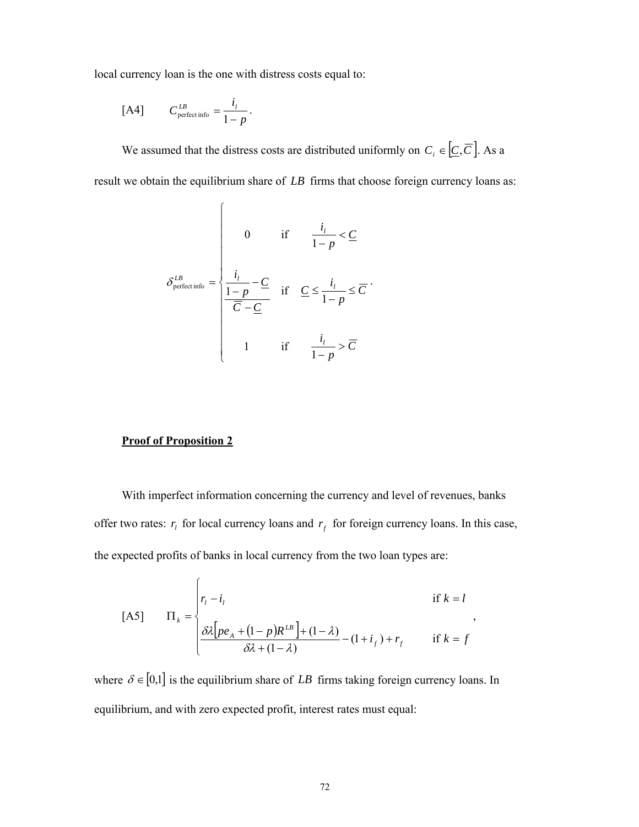local currency loan is the one with distress costs equal to:

$$
[A4] \tC_{\text{perfect info}}^{LB} = \frac{i_l}{1-p}.
$$

We assumed that the distress costs are distributed uniformly on  $C_i \in \left[ \underline{C}, \overline{C} \right]$ . As a result we obtain the equilibrium share of *LB* firms that choose foreign currency loans as:

$$
\delta_{\text{perfect info}}^{LB} = \begin{cases}\n0 & \text{if } \frac{i_l}{1-p} < \underline{C} \\
\frac{i_l}{1-p} - \underline{C} & \text{if } \underline{C} \le \frac{i_l}{1-p} \le \overline{C} \\
\frac{1}{\overline{C} - \underline{C}} & \text{if } \frac{i_l}{1-p} > \overline{C}\n\end{cases}
$$

## **Proof of Proposition 2**

With imperfect information concerning the currency and level of revenues, banks offer two rates:  $r_i$  for local currency loans and  $r_f$  for foreign currency loans. In this case, the expected profits of banks in local currency from the two loan types are:

$$
\begin{aligned}\n\text{[A5]} \qquad \Pi_k &= \begin{cases}\n r_l - i_l & \text{if } k = l \\
 \frac{\partial \lambda \left[ pe_A + (1-p)R^{LB} \right] + (1-\lambda)}{\partial \lambda + (1-\lambda)} - (1+i_f) + r_f & \text{if } k = f\n \end{cases},\n\end{aligned}
$$

where  $\delta \in [0,1]$  is the equilibrium share of *LB* firms taking foreign currency loans. In equilibrium, and with zero expected profit, interest rates must equal: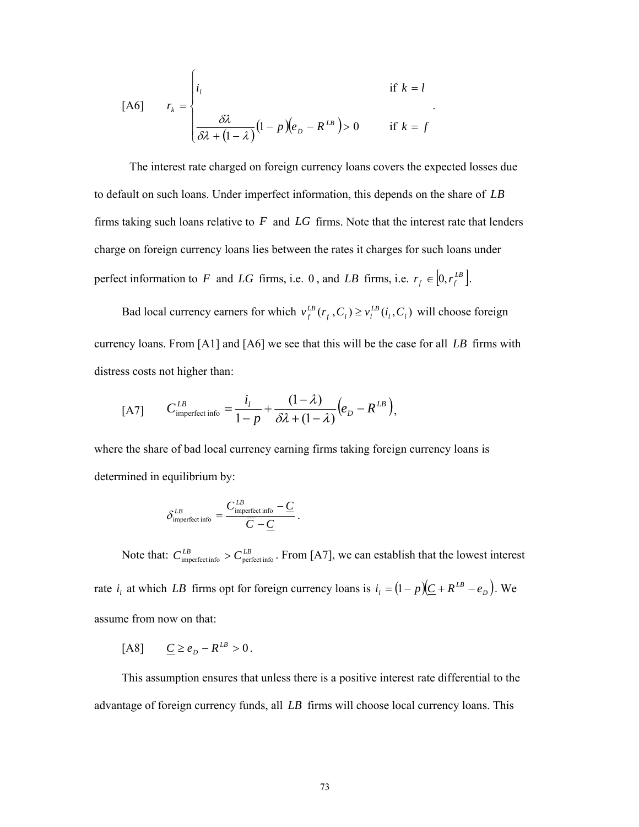$$
\begin{aligned}\n\text{[A6]} \qquad r_k &= \begin{cases} \ni_l & \text{if } k = l \\ \frac{\delta \lambda}{\delta \lambda + (1 - \lambda)} (1 - p)(e_D - R^{LB}) > 0 & \text{if } k = f \end{cases}\n\end{aligned}
$$

The interest rate charged on foreign currency loans covers the expected losses due to default on such loans. Under imperfect information, this depends on the share of *LB* firms taking such loans relative to *F* and *LG* firms. Note that the interest rate that lenders charge on foreign currency loans lies between the rates it charges for such loans under perfect information to *F* and *LG* firms, i.e. 0, and *LB* firms, i.e.  $r_f \in [0, r_f^L]$ .

.

Bad local currency earners for which  $v_f^{LB}(r_f, C_i) \ge v_l^{LB}(i_l, C_i)$  will choose foreign currency loans. From [A1] and [A6] we see that this will be the case for all *LB* firms with distress costs not higher than:

$$
[A7] \qquad C_{\text{imperfect info}}^{LB} = \frac{i_l}{1-p} + \frac{(1-\lambda)}{\delta\lambda + (1-\lambda)} \Big(e_D - R^{LB}\Big),
$$

where the share of bad local currency earning firms taking foreign currency loans is determined in equilibrium by:

$$
\delta^{LB}_{\rm imperfect\,info} = \frac{C^{LB}_{\rm imperfect\,info} - \underline{C}}{\overline{C} - \underline{C}} \; .
$$

Note that:  $C_{\text{imperfect info}}^{LB} > C_{\text{perfect info}}^{LB}$ . From [A7], we can establish that the lowest interest rate  $i_l$  at which *LB* firms opt for foreign currency loans is  $i_l = (1 - p)(C + R^{LB} - e_D)$ . We assume from now on that:

 $[A8]$   $C \ge e_p - R^{LB} > 0$ .

This assumption ensures that unless there is a positive interest rate differential to the advantage of foreign currency funds, all *LB* firms will choose local currency loans. This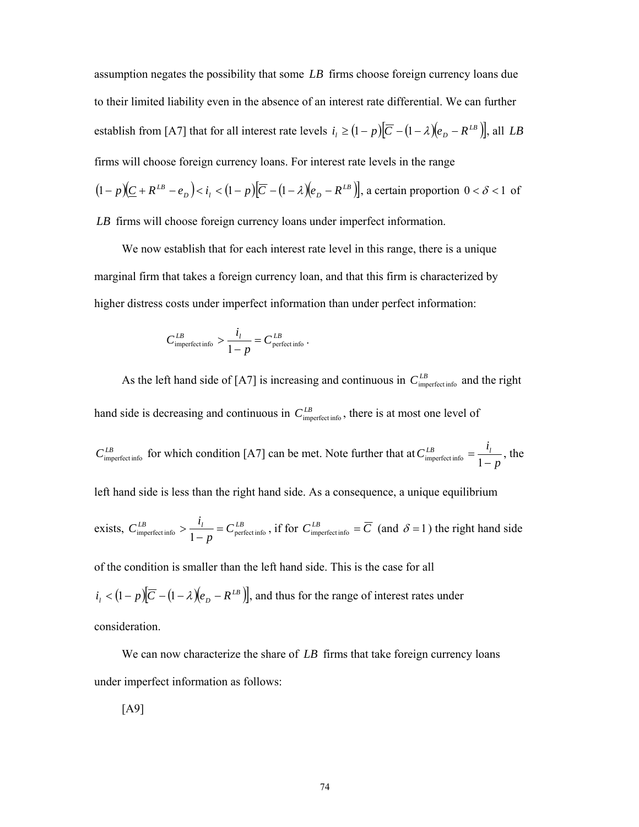assumption negates the possibility that some *LB* firms choose foreign currency loans due to their limited liability even in the absence of an interest rate differential. We can further establish from [A7] that for all interest rate levels  $i_l \geq (1-p)[\overline{C} - (1-\lambda)(e_D - R^{LB})]$ , all *LB* firms will choose foreign currency loans. For interest rate levels in the range  $(1-p)(\underline{C} + R^{LB} - e_D) < i_1 < (1-p)(\overline{C} - (1-\lambda)(e_D - R^{LB}))$ , a certain proportion  $0 < \delta < 1$  of *LB* firms will choose foreign currency loans under imperfect information.

We now establish that for each interest rate level in this range, there is a unique marginal firm that takes a foreign currency loan, and that this firm is characterized by higher distress costs under imperfect information than under perfect information:

$$
C_{\text{imperfect info}}^{LB} > \frac{i_l}{1-p} = C_{\text{perfect info}}^{LB}.
$$

As the left hand side of [A7] is increasing and continuous in  $C_{\text{imperfect info}}^{LB}$  and the right hand side is decreasing and continuous in  $C_{\text{imperfect info}}^{LB}$ , there is at most one level of  $C_{\text{imperfect info}}^{LB}$  for which condition [A7] can be met. Note further that at  $C_{\text{imperfect info}}^{LB} = \frac{V_I}{1 - p}$  $C^{LB}_{\text{imperfect info}} = \frac{i_l}{1-p}$ , the left hand side is less than the right hand side. As a consequence, a unique equilibrium exists,  $C_{\text{imperfect info}}^{LB} > \frac{\iota_l}{\iota_l} = C_{\text{ner}}^{LB}$  $C_{\text{imperfect info}}^{LB} > \frac{i_i}{1-p} = C_{\text{perfect info}}^{LB}$ , if for  $C_{\text{imperfect info}}^{LB} = \overline{C}$  (and  $\delta = 1$ ) the right hand side of the condition is smaller than the left hand side. This is the case for all  $i_l < (1 - p)\sqrt{C} - (1 - \lambda)(e_D - R^{LB})$ , and thus for the range of interest rates under consideration.

We can now characterize the share of *LB* firms that take foreign currency loans under imperfect information as follows:

[A9]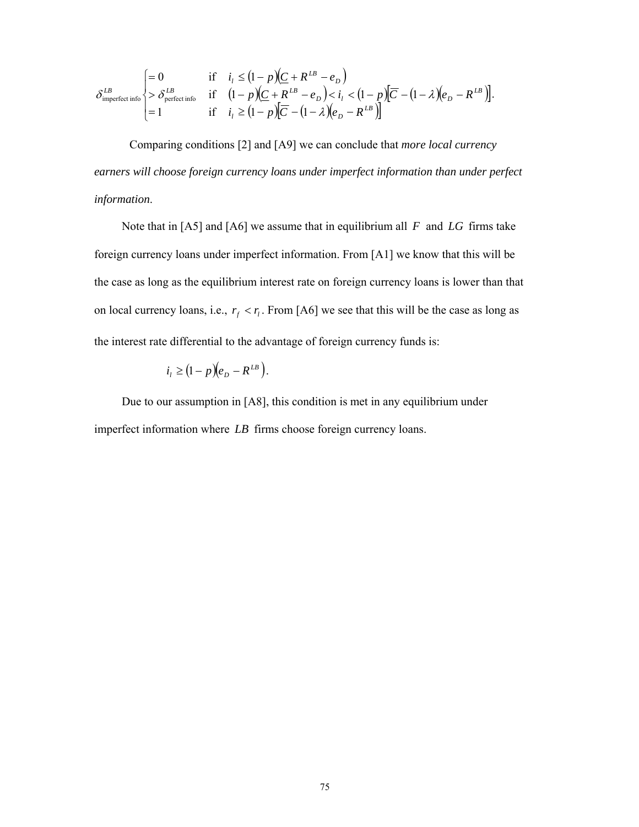$$
\delta^{\mathit{LB}}_{\mathit{imperfect\,info}}\begin{cases}\n=0 & \text{if} \quad i_{\mathit{l}} \leq (1-p)(\underline{C}+R^{\mathit{LB}}-e_{\mathit{D}}) \\
\geq \delta^{\mathit{LB}}_{\mathit{perfect\,info}} & \text{if} \quad (1-p)(\underline{C}+R^{\mathit{LB}}-e_{\mathit{D}}) < i_{\mathit{l}} < (1-p)[\overline{C}-(1-\lambda)(e_{\mathit{D}}-R^{\mathit{LB}})]. \\
=1 & \text{if} \quad i_{\mathit{l}} \geq (1-p)[\overline{C}-(1-\lambda)(e_{\mathit{D}}-R^{\mathit{LB}})]\n\end{cases}
$$

Comparing conditions [2] and [A9] we can conclude that *more local currency earners will choose foreign currency loans under imperfect information than under perfect information*.

Note that in [A5] and [A6] we assume that in equilibrium all *F* and *LG* firms take foreign currency loans under imperfect information. From [A1] we know that this will be the case as long as the equilibrium interest rate on foreign currency loans is lower than that on local currency loans, i.e.,  $r_f < r_l$ . From [A6] we see that this will be the case as long as the interest rate differential to the advantage of foreign currency funds is:

$$
i_l \geq (1-p)(e_D - R^{LB}).
$$

Due to our assumption in [A8], this condition is met in any equilibrium under imperfect information where *LB* firms choose foreign currency loans.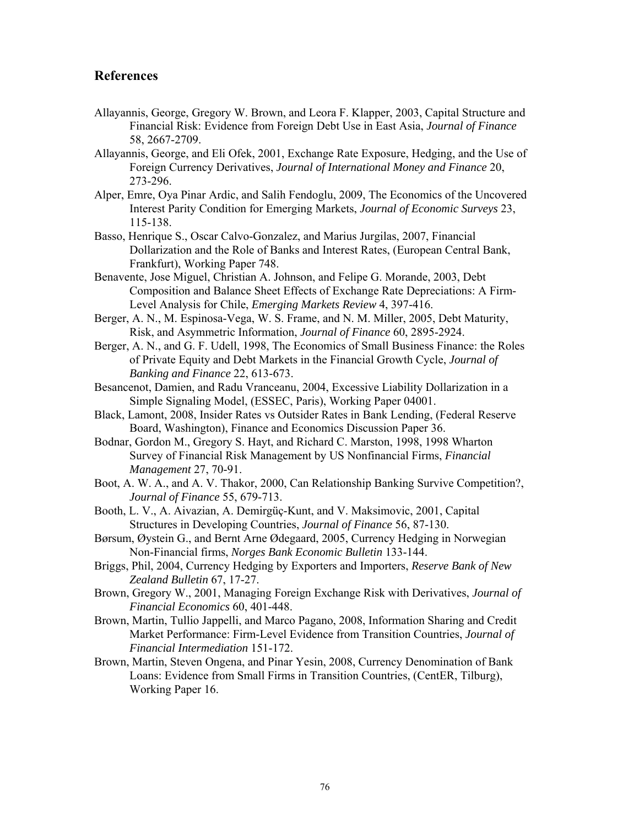## **References**

- Allayannis, George, Gregory W. Brown, and Leora F. Klapper, 2003, Capital Structure and Financial Risk: Evidence from Foreign Debt Use in East Asia, *Journal of Finance* 58, 2667-2709.
- Allayannis, George, and Eli Ofek, 2001, Exchange Rate Exposure, Hedging, and the Use of Foreign Currency Derivatives, *Journal of International Money and Finance* 20, 273-296.
- Alper, Emre, Oya Pinar Ardic, and Salih Fendoglu, 2009, The Economics of the Uncovered Interest Parity Condition for Emerging Markets, *Journal of Economic Surveys* 23, 115-138.
- Basso, Henrique S., Oscar Calvo-Gonzalez, and Marius Jurgilas, 2007, Financial Dollarization and the Role of Banks and Interest Rates, (European Central Bank, Frankfurt), Working Paper 748.
- Benavente, Jose Miguel, Christian A. Johnson, and Felipe G. Morande, 2003, Debt Composition and Balance Sheet Effects of Exchange Rate Depreciations: A Firm-Level Analysis for Chile, *Emerging Markets Review* 4, 397-416.
- Berger, A. N., M. Espinosa-Vega, W. S. Frame, and N. M. Miller, 2005, Debt Maturity, Risk, and Asymmetric Information, *Journal of Finance* 60, 2895-2924.
- Berger, A. N., and G. F. Udell, 1998, The Economics of Small Business Finance: the Roles of Private Equity and Debt Markets in the Financial Growth Cycle, *Journal of Banking and Finance* 22, 613-673.
- Besancenot, Damien, and Radu Vranceanu, 2004, Excessive Liability Dollarization in a Simple Signaling Model, (ESSEC, Paris), Working Paper 04001.
- Black, Lamont, 2008, Insider Rates vs Outsider Rates in Bank Lending, (Federal Reserve Board, Washington), Finance and Economics Discussion Paper 36.
- Bodnar, Gordon M., Gregory S. Hayt, and Richard C. Marston, 1998, 1998 Wharton Survey of Financial Risk Management by US Nonfinancial Firms, *Financial Management* 27, 70-91.
- Boot, A. W. A., and A. V. Thakor, 2000, Can Relationship Banking Survive Competition?, *Journal of Finance* 55, 679-713.
- Booth, L. V., A. Aivazian, A. Demirgüç-Kunt, and V. Maksimovic, 2001, Capital Structures in Developing Countries, *Journal of Finance* 56, 87-130.
- Børsum, Øystein G., and Bernt Arne Ødegaard, 2005, Currency Hedging in Norwegian Non-Financial firms, *Norges Bank Economic Bulletin* 133-144.
- Briggs, Phil, 2004, Currency Hedging by Exporters and Importers, *Reserve Bank of New Zealand Bulletin* 67, 17-27.
- Brown, Gregory W., 2001, Managing Foreign Exchange Risk with Derivatives, *Journal of Financial Economics* 60, 401-448.
- Brown, Martin, Tullio Jappelli, and Marco Pagano, 2008, Information Sharing and Credit Market Performance: Firm-Level Evidence from Transition Countries, *Journal of Financial Intermediation* 151-172.
- Brown, Martin, Steven Ongena, and Pinar Yesin, 2008, Currency Denomination of Bank Loans: Evidence from Small Firms in Transition Countries, (CentER, Tilburg), Working Paper 16.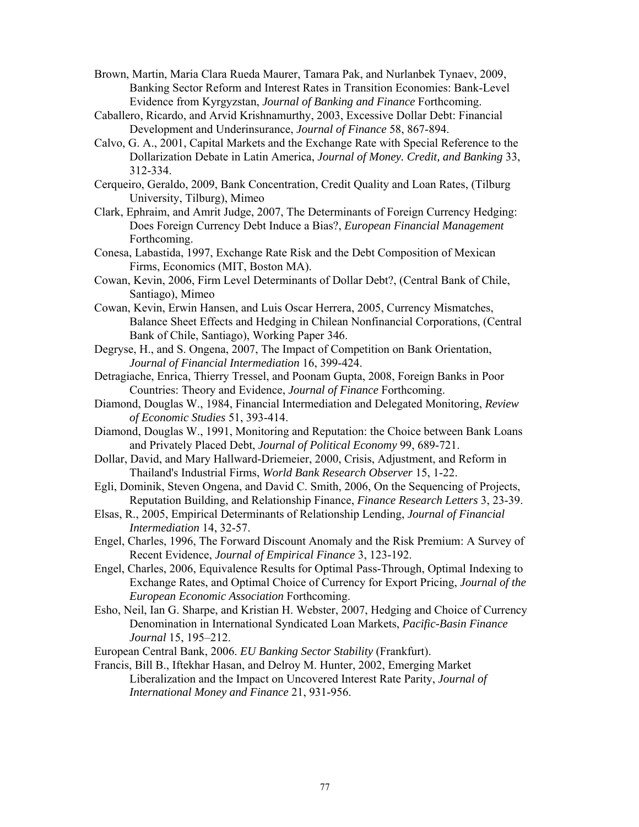- Brown, Martin, Maria Clara Rueda Maurer, Tamara Pak, and Nurlanbek Tynaev, 2009, Banking Sector Reform and Interest Rates in Transition Economies: Bank-Level Evidence from Kyrgyzstan, *Journal of Banking and Finance* Forthcoming.
- Caballero, Ricardo, and Arvid Krishnamurthy, 2003, Excessive Dollar Debt: Financial Development and Underinsurance, *Journal of Finance* 58, 867-894.
- Calvo, G. A., 2001, Capital Markets and the Exchange Rate with Special Reference to the Dollarization Debate in Latin America, *Journal of Money. Credit, and Banking* 33, 312-334.
- Cerqueiro, Geraldo, 2009, Bank Concentration, Credit Quality and Loan Rates, (Tilburg University, Tilburg), Mimeo
- Clark, Ephraim, and Amrit Judge, 2007, The Determinants of Foreign Currency Hedging: Does Foreign Currency Debt Induce a Bias?, *European Financial Management* Forthcoming.
- Conesa, Labastida, 1997, Exchange Rate Risk and the Debt Composition of Mexican Firms, Economics (MIT, Boston MA).
- Cowan, Kevin, 2006, Firm Level Determinants of Dollar Debt?, (Central Bank of Chile, Santiago), Mimeo
- Cowan, Kevin, Erwin Hansen, and Luis Oscar Herrera, 2005, Currency Mismatches, Balance Sheet Effects and Hedging in Chilean Nonfinancial Corporations, (Central Bank of Chile, Santiago), Working Paper 346.
- Degryse, H., and S. Ongena, 2007, The Impact of Competition on Bank Orientation, *Journal of Financial Intermediation* 16, 399-424.
- Detragiache, Enrica, Thierry Tressel, and Poonam Gupta, 2008, Foreign Banks in Poor Countries: Theory and Evidence, *Journal of Finance* Forthcoming.
- Diamond, Douglas W., 1984, Financial Intermediation and Delegated Monitoring, *Review of Economic Studies* 51, 393-414.
- Diamond, Douglas W., 1991, Monitoring and Reputation: the Choice between Bank Loans and Privately Placed Debt, *Journal of Political Economy* 99, 689-721.
- Dollar, David, and Mary Hallward-Driemeier, 2000, Crisis, Adjustment, and Reform in Thailand's Industrial Firms, *World Bank Research Observer* 15, 1-22.
- Egli, Dominik, Steven Ongena, and David C. Smith, 2006, On the Sequencing of Projects, Reputation Building, and Relationship Finance, *Finance Research Letters* 3, 23-39.
- Elsas, R., 2005, Empirical Determinants of Relationship Lending, *Journal of Financial Intermediation* 14, 32-57.
- Engel, Charles, 1996, The Forward Discount Anomaly and the Risk Premium: A Survey of Recent Evidence, *Journal of Empirical Finance* 3, 123-192.
- Engel, Charles, 2006, Equivalence Results for Optimal Pass-Through, Optimal Indexing to Exchange Rates, and Optimal Choice of Currency for Export Pricing, *Journal of the European Economic Association* Forthcoming.
- Esho, Neil, Ian G. Sharpe, and Kristian H. Webster, 2007, Hedging and Choice of Currency Denomination in International Syndicated Loan Markets, *Pacific-Basin Finance Journal* 15, 195–212.
- European Central Bank, 2006. *EU Banking Sector Stability* (Frankfurt).
- Francis, Bill B., Iftekhar Hasan, and Delroy M. Hunter, 2002, Emerging Market Liberalization and the Impact on Uncovered Interest Rate Parity, *Journal of International Money and Finance* 21, 931-956.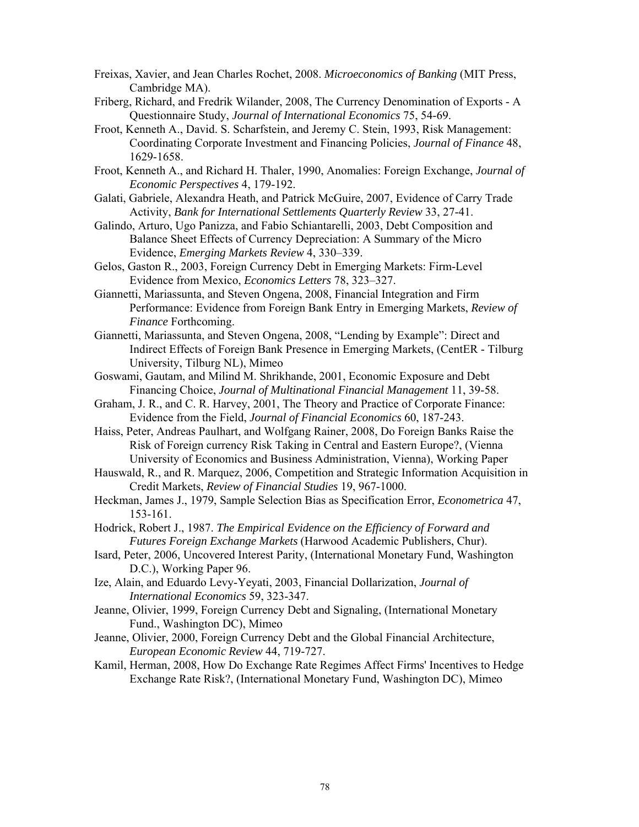- Freixas, Xavier, and Jean Charles Rochet, 2008. *Microeconomics of Banking* (MIT Press, Cambridge MA).
- Friberg, Richard, and Fredrik Wilander, 2008, The Currency Denomination of Exports A Questionnaire Study, *Journal of International Economics* 75, 54-69.
- Froot, Kenneth A., David. S. Scharfstein, and Jeremy C. Stein, 1993, Risk Management: Coordinating Corporate Investment and Financing Policies, *Journal of Finance* 48, 1629-1658.
- Froot, Kenneth A., and Richard H. Thaler, 1990, Anomalies: Foreign Exchange, *Journal of Economic Perspectives* 4, 179-192.
- Galati, Gabriele, Alexandra Heath, and Patrick McGuire, 2007, Evidence of Carry Trade Activity, *Bank for International Settlements Quarterly Review* 33, 27-41.
- Galindo, Arturo, Ugo Panizza, and Fabio Schiantarelli, 2003, Debt Composition and Balance Sheet Effects of Currency Depreciation: A Summary of the Micro Evidence, *Emerging Markets Review* 4, 330–339.
- Gelos, Gaston R., 2003, Foreign Currency Debt in Emerging Markets: Firm-Level Evidence from Mexico, *Economics Letters* 78, 323–327.
- Giannetti, Mariassunta, and Steven Ongena, 2008, Financial Integration and Firm Performance: Evidence from Foreign Bank Entry in Emerging Markets, *Review of Finance* Forthcoming.
- Giannetti, Mariassunta, and Steven Ongena, 2008, "Lending by Example": Direct and Indirect Effects of Foreign Bank Presence in Emerging Markets, (CentER - Tilburg University, Tilburg NL), Mimeo
- Goswami, Gautam, and Milind M. Shrikhande, 2001, Economic Exposure and Debt Financing Choice, *Journal of Multinational Financial Management* 11, 39-58.
- Graham, J. R., and C. R. Harvey, 2001, The Theory and Practice of Corporate Finance: Evidence from the Field, *Journal of Financial Economics* 60, 187-243.
- Haiss, Peter, Andreas Paulhart, and Wolfgang Rainer, 2008, Do Foreign Banks Raise the Risk of Foreign currency Risk Taking in Central and Eastern Europe?, (Vienna University of Economics and Business Administration, Vienna), Working Paper
- Hauswald, R., and R. Marquez, 2006, Competition and Strategic Information Acquisition in Credit Markets, *Review of Financial Studies* 19, 967-1000.
- Heckman, James J., 1979, Sample Selection Bias as Specification Error, *Econometrica* 47, 153-161.
- Hodrick, Robert J., 1987. *The Empirical Evidence on the Efficiency of Forward and Futures Foreign Exchange Markets* (Harwood Academic Publishers, Chur).
- Isard, Peter, 2006, Uncovered Interest Parity, (International Monetary Fund, Washington D.C.), Working Paper 96.
- Ize, Alain, and Eduardo Levy-Yeyati, 2003, Financial Dollarization, *Journal of International Economics* 59, 323-347.
- Jeanne, Olivier, 1999, Foreign Currency Debt and Signaling, (International Monetary Fund., Washington DC), Mimeo
- Jeanne, Olivier, 2000, Foreign Currency Debt and the Global Financial Architecture, *European Economic Review* 44, 719-727.
- Kamil, Herman, 2008, How Do Exchange Rate Regimes Affect Firms' Incentives to Hedge Exchange Rate Risk?, (International Monetary Fund, Washington DC), Mimeo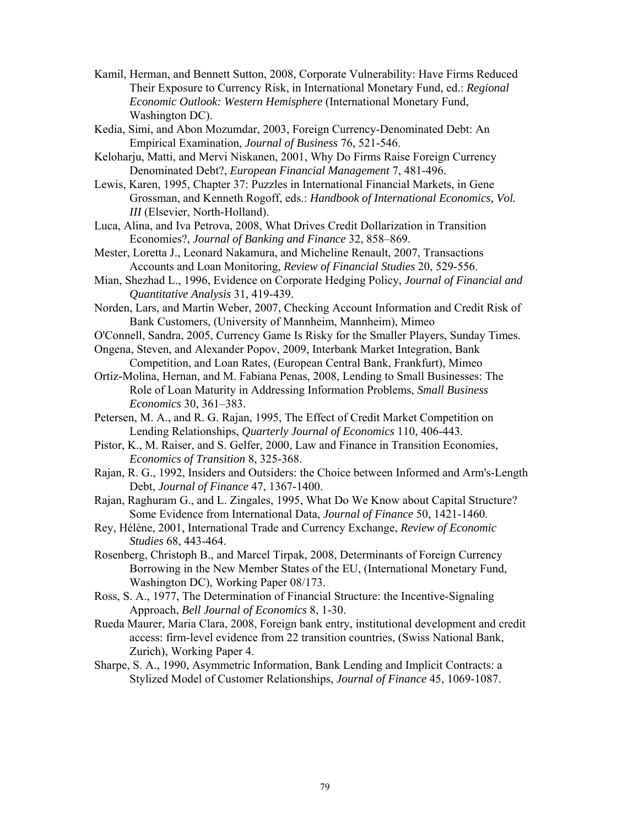- Kamil, Herman, and Bennett Sutton, 2008, Corporate Vulnerability: Have Firms Reduced Their Exposure to Currency Risk, in International Monetary Fund, ed.: *Regional Economic Outlook: Western Hemisphere* (International Monetary Fund, Washington DC).
- Kedia, Simi, and Abon Mozumdar, 2003, Foreign Currency-Denominated Debt: An Empirical Examination, *Journal of Business* 76, 521-546.
- Keloharju, Matti, and Mervi Niskanen, 2001, Why Do Firms Raise Foreign Currency Denominated Debt?, *European Financial Management* 7, 481-496.
- Lewis, Karen, 1995, Chapter 37: Puzzles in International Financial Markets, in Gene Grossman, and Kenneth Rogoff, eds.: *Handbook of International Economics, Vol. III* (Elsevier, North-Holland).
- Luca, Alina, and Iva Petrova, 2008, What Drives Credit Dollarization in Transition Economies?, *Journal of Banking and Finance* 32, 858–869.
- Mester, Loretta J., Leonard Nakamura, and Micheline Renault, 2007, Transactions Accounts and Loan Monitoring, *Review of Financial Studies* 20, 529-556.
- Mian, Shezhad L., 1996, Evidence on Corporate Hedging Policy, *Journal of Financial and Quantitative Analysis* 31, 419-439.
- Norden, Lars, and Martin Weber, 2007, Checking Account Information and Credit Risk of Bank Customers, (University of Mannheim, Mannheim), Mimeo
- O'Connell, Sandra, 2005, Currency Game Is Risky for the Smaller Players, Sunday Times.
- Ongena, Steven, and Alexander Popov, 2009, Interbank Market Integration, Bank Competition, and Loan Rates, (European Central Bank, Frankfurt), Mimeo
- Ortiz-Molina, Hernan, and M. Fabiana Penas, 2008, Lending to Small Businesses: The Role of Loan Maturity in Addressing Information Problems, *Small Business Economics* 30, 361–383.
- Petersen, M. A., and R. G. Rajan, 1995, The Effect of Credit Market Competition on Lending Relationships, *Quarterly Journal of Economics* 110, 406-443.
- Pistor, K., M. Raiser, and S. Gelfer, 2000, Law and Finance in Transition Economies, *Economics of Transition* 8, 325-368.
- Rajan, R. G., 1992, Insiders and Outsiders: the Choice between Informed and Arm's-Length Debt, *Journal of Finance* 47, 1367-1400.
- Rajan, Raghuram G., and L. Zingales, 1995, What Do We Know about Capital Structure? Some Evidence from International Data, *Journal of Finance* 50, 1421-1460.
- Rey, Hélène, 2001, International Trade and Currency Exchange, *Review of Economic Studies* 68, 443-464.
- Rosenberg, Christoph B., and Marcel Tirpak, 2008, Determinants of Foreign Currency Borrowing in the New Member States of the EU, (International Monetary Fund, Washington DC), Working Paper 08/173.
- Ross, S. A., 1977, The Determination of Financial Structure: the Incentive-Signaling Approach, *Bell Journal of Economics* 8, 1-30.
- Rueda Maurer, Maria Clara, 2008, Foreign bank entry, institutional development and credit access: firm-level evidence from 22 transition countries, (Swiss National Bank, Zurich), Working Paper 4.
- Sharpe, S. A., 1990, Asymmetric Information, Bank Lending and Implicit Contracts: a Stylized Model of Customer Relationships, *Journal of Finance* 45, 1069-1087.